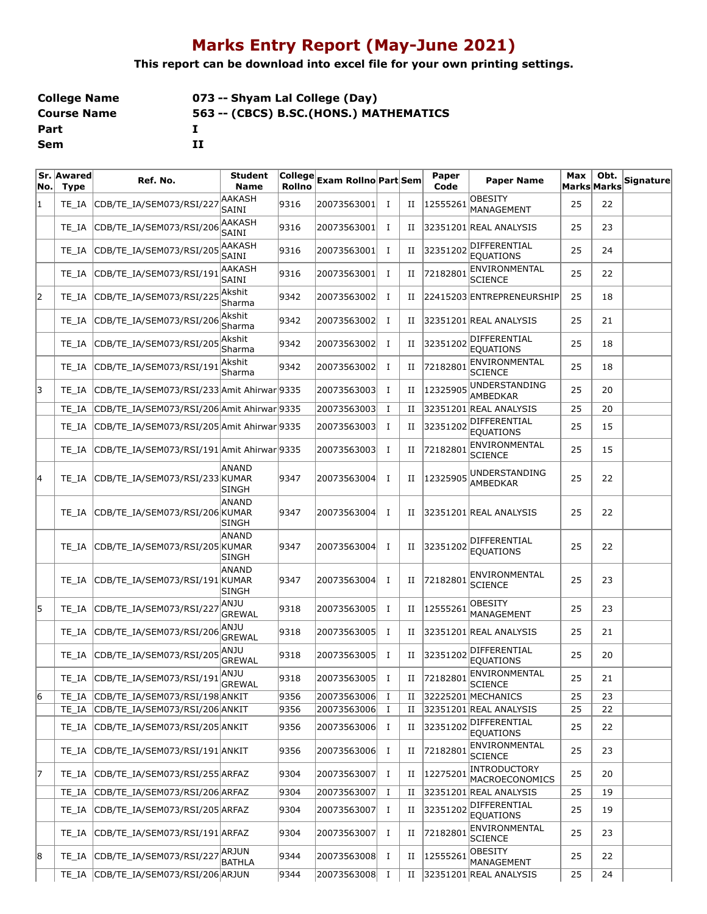## **Marks Entry Report (May-June 2021)**

**This report can be download into excel file for your own printing settings.**

| <b>College Name</b> | 073 -- Shyam Lal College (Day)          |
|---------------------|-----------------------------------------|
| <b>Course Name</b>  | 563 -- (CBCS) B.SC. (HONS.) MATHEMATICS |
| Part                |                                         |
| Sem                 | п                                       |

| ۱No. | Sr. Awared<br><b>Type</b> | Ref. No.                                   | <b>Student</b><br><b>Name</b> | $ $ College $ $<br>Rollno | Exam Rollno Part Sem |             |             | Paper<br>Code | <b>Paper Name</b>                     | Max | Obt.<br>Marks Marks | Signature |
|------|---------------------------|--------------------------------------------|-------------------------------|---------------------------|----------------------|-------------|-------------|---------------|---------------------------------------|-----|---------------------|-----------|
| 11   | TE IA                     | CDB/TE_IA/SEM073/RSI/227                   | AAKASH<br>SAINI               | 9316                      | 20073563001          | $\bf{I}$    | П           | 12555261      | <b>OBESITY</b><br>MANAGEMENT          | 25  | 22                  |           |
|      | TE IA                     | CDB/TE_IA/SEM073/RSI/206                   | AAKASH<br>SAINI               | 9316                      | 20073563001          | Ι           | и           |               | 32351201 REAL ANALYSIS                | 25  | 23                  |           |
|      | TE IA                     | CDB/TE IA/SEM073/RSI/205                   | <b>AAKASH</b><br>SAINI        | 9316                      | 20073563001          | Ι.          | П           | 32351202      | DIFFERENTIAL<br><b>EOUATIONS</b>      | 25  | 24                  |           |
|      | TE IA                     | CDB/TE_IA/SEM073/RSI/191                   | AAKASH<br>SAINI               | 9316                      | 20073563001          | Ι.          | П           | 72182801      | ENVIRONMENTAL<br><b>SCIENCE</b>       | 25  | 22                  |           |
| 2    | TE IA                     | CDB/TE_IA/SEM073/RSI/225                   | Akshit<br>Sharma              | 9342                      | 20073563002          | $\bf{I}$    | и           |               | 22415203 ENTREPRENEURSHIP             | 25  | 18                  |           |
|      | TE IA                     | CDB/TE_IA/SEM073/RSI/206                   | Akshit<br>Sharma              | 9342                      | 20073563002          | Ι.          | П           |               | 32351201 REAL ANALYSIS                | 25  | 21                  |           |
|      | TE IA                     | CDB/TE_IA/SEM073/RSI/205                   | Akshit<br>Sharma              | 9342                      | 20073563002          | $\bf{I}$    | П           | 32351202      | DIFFERENTIAL<br><b>EQUATIONS</b>      | 25  | 18                  |           |
|      | TE IA                     | CDB/TE IA/SEM073/RSI/191                   | Akshit<br>Sharma              | 9342                      | 20073563002          | Ι.          | и           | 72182801      | ENVIRONMENTAL<br><b>SCIENCE</b>       | 25  | 18                  |           |
| 13   | TE IA                     | CDB/TE_IA/SEM073/RSI/233 Amit Ahirwar 9335 |                               |                           | 20073563003          | Ι.          | и           | 1232590       | UNDERSTANDING<br><b>AMBEDKAR</b>      | 25  | 20                  |           |
|      | TE IA                     | CDB/TE_IA/SEM073/RSI/206 Amit Ahirwar 9335 |                               |                           | 20073563003          | Ι.          | и           |               | 32351201 REAL ANALYSIS                | 25  | 20                  |           |
|      | TE IA                     | CDB/TE_IA/SEM073/RSI/205 Amit Ahirwar 9335 |                               |                           | 20073563003          | $\bf{I}$    | П           | 32351202      | DIFFERENTIAL<br><b>EOUATIONS</b>      | 25  | 15                  |           |
|      | TE IA                     | CDB/TE_IA/SEM073/RSI/191 Amit Ahirwar 9335 |                               |                           | 20073563003          | Ι.          | и           | 72182801      | ENVIRONMENTAL<br><b>SCIENCE</b>       | 25  | 15                  |           |
| 14   | TE IA                     | CDB/TE_IA/SEM073/RSI/233 KUMAR             | <b>ANAND</b><br><b>SINGH</b>  | 9347                      | 20073563004          | Ι.          | и           | 12325905      | UNDERSTANDING<br>AMBEDKAR             | 25  | 22                  |           |
|      | TE IA                     | CDB/TE_IA/SEM073/RSI/206 KUMAR             | ANAND<br>SINGH                | 9347                      | 20073563004          | Ι.          | и           |               | 32351201 REAL ANALYSIS                | 25  | 22                  |           |
|      | TE IA                     | CDB/TE_IA/SEM073/RSI/205 KUMAR             | ANAND<br><b>SINGH</b>         | 9347                      | 20073563004          | 1           | Н           | 32351202      | DIFFERENTIAL<br><b>EQUATIONS</b>      | 25  | 22                  |           |
|      | TE IA                     | CDB/TE_IA/SEM073/RSI/191 KUMAR             | <b>ANAND</b><br><b>SINGH</b>  | 9347                      | 20073563004          | Ι.          | и           | 72182801      | ENVIRONMENTAL<br><b>SCIENCE</b>       | 25  | 23                  |           |
| 15   | TE IA                     | CDB/TE_IA/SEM073/RSI/227                   | ANJU<br><b>GREWAL</b>         | 9318                      | 20073563005          | Ι.          | П           | 12555261      | <b>OBESITY</b><br>MANAGEMENT          | 25  | 23                  |           |
|      | TE IA                     | CDB/TE_IA/SEM073/RSI/206                   | ANJU<br><b>GREWAL</b>         | 9318                      | 20073563005          | Ι.          | П           |               | 32351201 REAL ANALYSIS                | 25  | 21                  |           |
|      | TE IA                     | CDB/TE_IA/SEM073/RSI/205                   | ANJU<br><b>GREWAL</b>         | 9318                      | 20073563005          | $\mathbf I$ | П           | 32351202      | DIFFERENTIAL<br><b>EQUATIONS</b>      | 25  | 20                  |           |
|      | TE_IA                     | CDB/TE_IA/SEM073/RSI/191                   | ANJU<br><b>GREWAL</b>         | 9318                      | 20073563005          | Ι.          | Н           | 72182801      | ENVIRONMENTAL<br><b>SCIENCE</b>       | 25  | 21                  |           |
| 6    | TE_IA                     | CDB/TE_IA/SEM073/RSI/198 ANKIT             |                               | 9356                      | 20073563006          | Ι.          | П           |               | 32225201 MECHANICS                    | 25  | 23                  |           |
|      | TE IA                     | CDB/TE_IA/SEM073/RSI/206 ANKIT             |                               | 9356                      | 20073563006          | Ι.          | П           |               | 32351201 REAL ANALYSIS                | 25  | 22                  |           |
|      | TE_IA                     | CDB/TE_IA/SEM073/RSI/205 ANKIT             |                               | 9356                      | 20073563006          | $\bf{I}$    | П           | 32351202      | DIFFERENTIAL<br><b>EQUATIONS</b>      | 25  | 22                  |           |
|      | TE_IA                     | CDB/TE IA/SEM073/RSI/191 ANKIT             |                               | 9356                      | 20073563006          | $\bf{I}$    | П           | 72182801      | ENVIRONMENTAL<br><b>SCIENCE</b>       | 25  | 23                  |           |
| 17   | TE IA                     | CDB/TE_IA/SEM073/RSI/255 ARFAZ             |                               | 9304                      | 20073563007          | $\bf{I}$    | П           | 12275201      | INTRODUCTORY<br><b>MACROECONOMICS</b> | 25  | 20                  |           |
|      | TE IA                     | CDB/TE_IA/SEM073/RSI/206 ARFAZ             |                               | 9304                      | 20073563007          | $\bf{I}$    | П           |               | 32351201 REAL ANALYSIS                | 25  | 19                  |           |
|      | TE_IA                     | CDB/TE_IA/SEM073/RSI/205 ARFAZ             |                               | 9304                      | 20073563007          | $\bf{I}$    | П           | 32351202      | DIFFERENTIAL<br><b>EQUATIONS</b>      | 25  | 19                  |           |
|      | TE_IA                     | CDB/TE_IA/SEM073/RSI/191 ARFAZ             |                               | 9304                      | 20073563007          | $\bf{I}$    | П           | 72182801      | ENVIRONMENTAL<br><b>SCIENCE</b>       | 25  | 23                  |           |
| 8    | TE IA                     | CDB/TE_IA/SEM073/RSI/227                   | ARJUN<br><b>BATHLA</b>        | 9344                      | 20073563008          | $\mathbf I$ | $_{\rm II}$ | 12555261      | <b>OBESITY</b><br>MANAGEMENT          | 25  | 22                  |           |
|      | TE_IA                     | CDB/TE_IA/SEM073/RSI/206 ARJUN             |                               | 9344                      | 20073563008          | $\bf{I}$    | $_{\rm II}$ |               | 32351201 REAL ANALYSIS                | 25  | 24                  |           |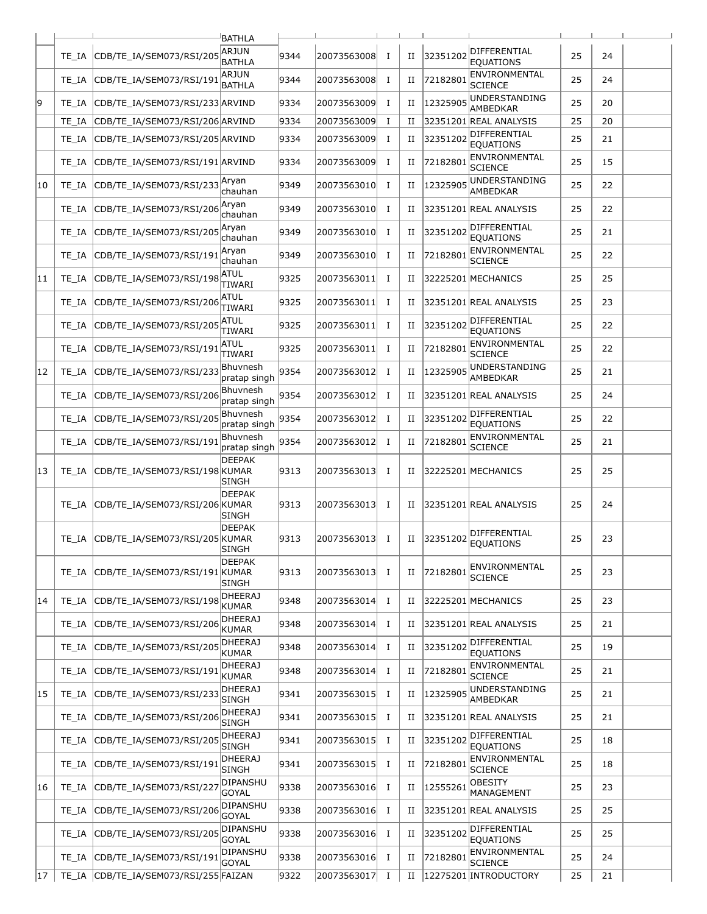|    |       |                                 | <b>BATHLA</b>                  |      |             |          |             |          |                                  |    |    |  |
|----|-------|---------------------------------|--------------------------------|------|-------------|----------|-------------|----------|----------------------------------|----|----|--|
|    | TE IA | CDB/TE IA/SEM073/RSI/205        | <b>ARJUN</b><br><b>BATHLA</b>  | 9344 | 20073563008 | $\bf{I}$ | $_{\rm II}$ | 32351202 | DIFFERENTIAL<br><b>EQUATIONS</b> | 25 | 24 |  |
|    | TE IA | CDB/TE IA/SEM073/RSI/191        | ARJUN<br><b>BATHLA</b>         | 9344 | 20073563008 | 1        | H           | 72182801 | ENVIRONMENTAL<br><b>SCIENCE</b>  | 25 | 24 |  |
| 19 | TE IA | CDB/TE IA/SEM073/RSI/233 ARVIND |                                | 9334 | 20073563009 | <b>I</b> | П           | 1232590  | UNDERSTANDING<br>AMBEDKAR        | 25 | 20 |  |
|    | TE IA | CDB/TE IA/SEM073/RSI/206 ARVIND |                                | 9334 | 20073563009 | $\bf{I}$ | П           |          | 32351201 REAL ANALYSIS           | 25 | 20 |  |
|    | TE IA | CDB/TE_IA/SEM073/RSI/205 ARVIND |                                | 9334 | 20073563009 | $\bf{I}$ | H           | 32351202 | DIFFERENTIAL<br><b>EQUATIONS</b> | 25 | 21 |  |
|    | TE IA | CDB/TE_IA/SEM073/RSI/191 ARVIND |                                | 9334 | 20073563009 | I        | П           | 7218280  | ENVIRONMENTAL<br>SCIENCE         | 25 | 15 |  |
| 10 | TE IA | CDB/TE IA/SEM073/RSI/233        | Aryan<br>chauhan               | 9349 | 20073563010 | $\bf{I}$ | П           | 1232590  | UNDERSTANDING<br>AMBEDKAR        | 25 | 22 |  |
|    | TE IA | CDB/TE_IA/SEM073/RSI/206        | Aryan<br>chauhan               | 9349 | 20073563010 | $\bf{I}$ | П           |          | 32351201 REAL ANALYSIS           | 25 | 22 |  |
|    | TE IA | CDB/TE_IA/SEM073/RSI/205        | Aryan<br>chauhan               | 9349 | 20073563010 | 1        | H           | 32351202 | DIFFERENTIAL<br><b>EQUATIONS</b> | 25 | 21 |  |
|    | TE IA | CDB/TE_IA/SEM073/RSI/19         | Aryan<br>chauhan               | 9349 | 20073563010 | Ι.       | П           | 7218280  | ENVIRONMENTAL<br><b>SCIENCE</b>  | 25 | 22 |  |
| 11 | TE IA | CDB/TE_IA/SEM073/RSI/198        | ATUL<br>TIWARI                 | 9325 | 20073563011 | $\bf{I}$ | П           |          | 32225201 MECHANICS               | 25 | 25 |  |
|    | TE IA | CDB/TE_IA/SEM073/RSI/206        | ATUL<br>TIWARI                 | 9325 | 20073563011 | 1        | H           |          | 32351201 REAL ANALYSIS           | 25 | 23 |  |
|    | TE IA | CDB/TE_IA/SEM073/RSI/205        | ATUL<br>TIWARI                 | 9325 | 20073563011 | $\bf{I}$ | H           | 32351202 | DIFFERENTIAL<br><b>EQUATIONS</b> | 25 | 22 |  |
|    | TE IA | CDB/TE_IA/SEM073/RSI/191        | <b>ATUL</b><br>TIWARI          | 9325 | 20073563011 | 1        | П           | 72182801 | ENVIRONMENTAL<br><b>SCIENCE</b>  | 25 | 22 |  |
| 12 | TE IA | CDB/TE IA/SEM073/RSI/233        | Bhuvnesh<br>pratap singh       | 9354 | 20073563012 | 1        | П           | 12325905 | UNDERSTANDING<br>AMBEDKAR        | 25 | 21 |  |
|    | TE IA | CDB/TE_IA/SEM073/RSI/206        | Bhuvnesh<br>pratap singh       | 9354 | 20073563012 | 1        | П           |          | 32351201 REAL ANALYSIS           | 25 | 24 |  |
|    | TE IA | CDB/TE_IA/SEM073/RSI/205        | Bhuvnesh<br>pratap singh       | 9354 | 20073563012 | 1        | П           | 32351202 | DIFFERENTIAL<br><b>EQUATIONS</b> | 25 | 22 |  |
|    | TE IA | CDB/TE_IA/SEM073/RSI/19         | Bhuvnesh<br>pratap singh       | 9354 | 20073563012 | 1        | П           | 7218280  | ENVIRONMENTAL<br><b>SCIENCE</b>  | 25 | 21 |  |
| 13 | TE IA | CDB/TE_IA/SEM073/RSI/198 KUMAR  | <b>DEEPAK</b><br><b>SINGH</b>  | 9313 | 20073563013 | <b>I</b> | П           |          | 32225201 MECHANICS               | 25 | 25 |  |
|    | TE IA | CDB/TE_IA/SEM073/RSI/206 KUMAR  | <b>DEEPAK</b><br><b>SINGH</b>  | 9313 | 20073563013 | Ι.       | П           |          | 32351201 REAL ANALYSIS           | 25 | 24 |  |
|    | TE IA | CDB/TE_IA/SEM073/RSI/205 KUMAR  | <b>DEEPAK</b><br>∣SINGH        | 9313 | 20073563013 | 1        | П           | 32351202 | DIFFERENTIAL<br><b>EOUATIONS</b> | 25 | 23 |  |
|    | TE IA | CDB/TE_IA/SEM073/RSI/191 KUMAR  | <b>DEEPAK</b><br>SINGH         | 9313 | 20073563013 | Ι.       | П           | 72182801 | ENVIRONMENTAL<br>SCIENCE         | 25 | 23 |  |
| 14 | TE IA | CDB/TE IA/SEM073/RSI/198        | <b>DHEERAJ</b><br>KUMAR        | 9348 | 20073563014 | <b>I</b> | П           |          | 32225201 MECHANICS               | 25 | 23 |  |
|    | TE_IA | CDB/TE IA/SEM073/RSI/206        | <b>DHEERAJ</b><br><b>KUMAR</b> | 9348 | 20073563014 | Ι.       | П           |          | 32351201 REAL ANALYSIS           | 25 | 21 |  |
|    | TE IA | CDB/TE_IA/SEM073/RSI/205        | DHEERAJ<br>KUMAR               | 9348 | 20073563014 | <b>I</b> | П           | 32351202 | DIFFERENTIAL<br><b>EQUATIONS</b> | 25 | 19 |  |
|    | TE IA | CDB/TE IA/SEM073/RSI/19         | <b>DHEERAJ</b><br>KUMAR        | 9348 | 20073563014 | $\bf{I}$ | П           | 7218280  | ENVIRONMENTAL<br>SCIENCE         | 25 | 21 |  |
| 15 | TE_IA | CDB/TE_IA/SEM073/RSI/233        | <b>DHEERAJ</b><br>SINGH        | 9341 | 20073563015 | <b>I</b> | П           | 12325905 | UNDERSTANDING<br>AMBEDKAR        | 25 | 21 |  |
|    | TE IA | CDB/TE_IA/SEM073/RSI/206        | <b>DHEERAJ</b><br><b>SINGH</b> | 9341 | 20073563015 | <b>I</b> | H           |          | 32351201 REAL ANALYSIS           | 25 | 21 |  |
|    | TE IA | CDB/TE_IA/SEM073/RSI/205        | <b>DHEERAJ</b><br>SINGH        | 9341 | 20073563015 | $\bf{I}$ | П           | 32351202 | DIFFERENTIAL<br><b>EQUATIONS</b> | 25 | 18 |  |
|    | TE_IA | CDB/TE_IA/SEM073/RSI/19         | <b>DHEERAJ</b><br><b>SINGH</b> | 9341 | 20073563015 | Ι.       | П           | 72182801 | ENVIRONMENTAL<br><b>SCIENCE</b>  | 25 | 18 |  |
| 16 | TE IA | CDB/TE_IA/SEM073/RSI/221        | DIPANSHU<br><b>GOYAL</b>       | 9338 | 20073563016 | Ι.       | П           | 12555261 | OBESITY<br>MANAGEMENT            | 25 | 23 |  |
|    | TE_IA | CDB/TE_IA/SEM073/RSI/206        | DIPANSHU<br>GOYAL              | 9338 | 20073563016 | $\bf{I}$ | П           |          | 32351201 REAL ANALYSIS           | 25 | 25 |  |
|    | TE IA | CDB/TE_IA/SEM073/RSI/205        | DIPANSHU<br>GOYAL              | 9338 | 20073563016 | <b>I</b> | П           | 32351202 | DIFFERENTIAL<br><b>EQUATIONS</b> | 25 | 25 |  |
|    | TE_IA | CDB/TE_IA/SEM073/RSI/19         | DIPANSHU<br><b>GOYAL</b>       | 9338 | 20073563016 | $\bf{I}$ | П           | 72182801 | ENVIRONMENTAL<br>SCIENCE         | 25 | 24 |  |
| 17 | TE IA | CDB/TE_IA/SEM073/RSI/255 FAIZAN |                                | 9322 | 20073563017 | Ι.       | П           |          | 12275201 INTRODUCTORY            | 25 | 21 |  |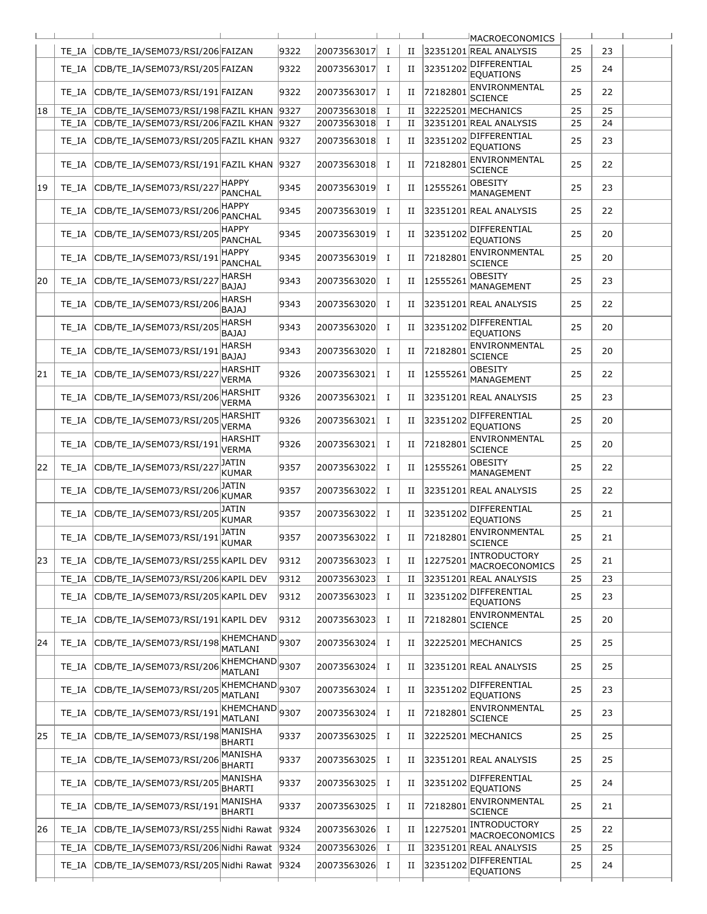|    |       |                                           |                                |      |             |          |             |          | <b>MACROECONOMICS</b>             |    |    |  |
|----|-------|-------------------------------------------|--------------------------------|------|-------------|----------|-------------|----------|-----------------------------------|----|----|--|
|    | TE IA | CDB/TE IA/SEM073/RSI/206 FAIZAN           |                                | 9322 | 20073563017 | 1        | П           |          | 32351201 REAL ANALYSIS            | 25 | 23 |  |
|    | TE IA | CDB/TE IA/SEM073/RSI/205 FAIZAN           |                                | 9322 | 20073563017 | <b>I</b> | H           | 32351202 | DIFFERENTIAL<br><b>EQUATIONS</b>  | 25 | 24 |  |
|    | TE IA | CDB/TE_IA/SEM073/RSI/191 FAIZAN           |                                | 9322 | 20073563017 | Ι.       | П           | 7218280  | ENVIRONMENTAL<br><b>SCIENCE</b>   | 25 | 22 |  |
| 18 | TE IA | CDB/TE IA/SEM073/RSI/198 FAZIL KHAN       |                                | 9327 | 20073563018 | 1        | П           |          | 32225201 MECHANICS                | 25 | 25 |  |
|    | TE IA | CDB/TE_IA/SEM073/RSI/206 FAZIL KHAN       |                                | 9327 | 20073563018 | $\bf{I}$ | П           |          | 32351201 REAL ANALYSIS            | 25 | 24 |  |
|    |       |                                           |                                |      |             |          |             |          | DIFFERENTIAL                      |    |    |  |
|    | TE IA | CDB/TE_IA/SEM073/RSI/205 FAZIL KHAN       |                                | 9327 | 20073563018 | Ι.       | П           | 3235120  | <b>EQUATIONS</b><br>ENVIRONMENTAL | 25 | 23 |  |
|    | TE IA | CDB/TE_IA/SEM073/RSI/191 FAZIL KHAN       | <b>HAPPY</b>                   | 9327 | 20073563018 | <b>I</b> | П           | 72182801 | SCIENCE<br>OBESITY                | 25 | 22 |  |
| 19 | TE IA | CDB/TE IA/SEM073/RSI/227                  | <b>PANCHAL</b><br><b>HAPPY</b> | 9345 | 20073563019 | $\bf{I}$ | П           | 1255526  | MANAGEMENT                        | 25 | 23 |  |
|    | TE IA | CDB/TE_IA/SEM073/RSI/206                  | <b>PANCHAL</b><br><b>HAPPY</b> | 9345 | 20073563019 | Ι.       | H           |          | 32351201 REAL ANALYSIS            | 25 | 22 |  |
|    | TE IA | CDB/TE_IA/SEM073/RSI/205                  | PANCHAL                        | 9345 | 20073563019 | I        | H           | 32351202 | DIFFERENTIAL<br><b>EQUATIONS</b>  | 25 | 20 |  |
|    | TE IA | CDB/TE_IA/SEM073/RSI/19                   | <b>HAPPY</b><br><b>PANCHAL</b> | 9345 | 20073563019 | <b>I</b> | П           | 7218280  | ENVIRONMENTAL<br><b>SCIENCE</b>   | 25 | 20 |  |
| 20 | TE IA | CDB/TE_IA/SEM073/RSI/221                  | <b>HARSH</b><br><b>BAJAJ</b>   | 9343 | 20073563020 | $\bf{I}$ | П           | 12555261 | OBESITY<br>MANAGEMENT             | 25 | 23 |  |
|    | TE IA | CDB/TE_IA/SEM073/RSI/206                  | HARSH<br><b>BAJAJ</b>          | 9343 | 20073563020 | 1        | П           |          | 32351201 REAL ANALYSIS            | 25 | 22 |  |
|    | TE IA | CDB/TE_IA/SEM073/RSI/20                   | <b>HARSH</b><br>BAJAJ          | 9343 | 20073563020 | 1        | П           | 32351202 | DIFFERENTIAL<br><b>EQUATIONS</b>  | 25 | 20 |  |
|    | TE IA | CDB/TE IA/SEM073/RSI/191                  | HARSH<br>BAJAJ                 | 9343 | 20073563020 | $\bf{I}$ | П           | 72182801 | ENVIRONMENTAL<br><b>SCIENCE</b>   | 25 | 20 |  |
| 21 | TE IA | CDB/TE_IA/SEM073/RSI/221                  | <b>HARSHIT</b><br><b>VERMA</b> | 9326 | 20073563021 | 1        | H           | 12555261 | OBESITY<br>MANAGEMENT             | 25 | 22 |  |
|    | TE IA | CDB/TE_IA/SEM073/RSI/20                   | <b>HARSHIT</b><br>VERMA        | 9326 | 20073563021 | Ι.       | H           |          | 32351201 REAL ANALYSIS            | 25 | 23 |  |
|    | TE IA | CDB/TE IA/SEM073/RSI/205                  | <b>HARSHIT</b><br>VERMA        | 9326 | 20073563021 | $\bf{I}$ | П           | 32351202 | DIFFERENTIAL<br><b>EQUATIONS</b>  | 25 | 20 |  |
|    | TE IA | CDB/TE IA/SEM073/RSI/191                  | <b>HARSHIT</b><br>VERMA        | 9326 | 20073563021 | Ι.       | П           | 72182801 | ENVIRONMENTAL<br><b>SCIENCE</b>   | 25 | 20 |  |
| 22 | TE IA | CDB/TE_IA/SEM073/RSI/221                  | JATIN<br>KUMAR                 | 9357 | 20073563022 | Ι.       | H           | 1255526  | OBESITY<br>MANAGEMENT             | 25 | 22 |  |
|    | TE IA | CDB/TE_IA/SEM073/RSI/206                  | JATIN<br>KUMAR                 | 9357 | 20073563022 | I        | П           |          | 32351201 REAL ANALYSIS            | 25 | 22 |  |
|    | TE IA | CDB/TE_IA/SEM073/RSI/205                  | JATIN<br>KUMAR                 | 9357 | 20073563022 | Ι.       | H           | 32351202 | DIFFERENTIAL<br><b>EQUATIONS</b>  | 25 | 21 |  |
|    | TE IA | CDB/TE_IA/SEM073/RSI/191                  | JATIN<br><b>KUMAR</b>          | 9357 | 20073563022 | $\bf{I}$ | П           | 72182801 | ENVIRONMENTAL<br>SCIENCE          | 25 | 21 |  |
| 23 | TE IA | CDB/TE_IA/SEM073/RSI/255 KAPIL DEV        |                                | 9312 | 20073563023 | <b>I</b> | H           | 12275201 | INTRODUCTORY<br>MACROECONOMICS    | 25 | 21 |  |
|    | TE IA | CDB/TE_IA/SEM073/RSI/206 KAPIL DEV        |                                | 9312 | 20073563023 | Ι.       | H           |          | 32351201 REAL ANALYSIS            | 25 | 23 |  |
|    | TE IA | CDB/TE_IA/SEM073/RSI/205 KAPIL DEV        |                                | 9312 | 20073563023 | $\bf{I}$ | П           | 32351202 | DIFFERENTIAL<br><b>EQUATIONS</b>  | 25 | 23 |  |
|    | TE_IA | CDB/TE_IA/SEM073/RSI/191 KAPIL DEV        |                                | 9312 | 20073563023 | Ι.       | $_{\rm II}$ | 72182801 | ENVIRONMENTAL<br><b>SCIENCE</b>   | 25 | 20 |  |
| 24 | TE IA | CDB/TE_IA/SEM073/RSI/198                  | KHEMCHAND 9307<br>MATLANI      |      | 20073563024 | <b>I</b> | П           |          | 32225201 MECHANICS                | 25 | 25 |  |
|    | TE IA | CDB/TE IA/SEM073/RSI/206                  | KHEMCHAND 9307<br>MATLANI      |      | 20073563024 | $\bf{I}$ | П           |          | 32351201 REAL ANALYSIS            | 25 | 25 |  |
|    | TE IA | CDB/TE IA/SEM073/RSI/205                  | KHEMCHAND 9307<br>MATLANI      |      | 20073563024 | <b>I</b> | $_{\rm II}$ | 32351202 | DIFFERENTIAL<br><b>EQUATIONS</b>  | 25 | 23 |  |
|    | TE IA | CDB/TE_IA/SEM073/RSI/191                  | KHEMCHAND<br>MATLANI           | 9307 | 20073563024 | $\bf{I}$ | П           | 72182801 | ENVIRONMENTAL<br><b>SCIENCE</b>   | 25 | 23 |  |
| 25 | TE IA | CDB/TE_IA/SEM073/RSI/19                   | MANISHA<br>BHARTI              | 9337 | 20073563025 | $\bf{I}$ | П           |          | 32225201 MECHANICS                | 25 | 25 |  |
|    | TE_IA | CDB/TE_IA/SEM073/RSI/206                  | MANISHA<br><b>BHARTI</b>       | 9337 | 20073563025 | Ι.       | H           |          | 32351201 REAL ANALYSIS            | 25 | 25 |  |
|    | TE IA | CDB/TE_IA/SEM073/RSI/205                  | MANISHA<br><b>BHARTI</b>       | 9337 | 20073563025 | Ι.       | $_{\rm II}$ | 32351202 | DIFFERENTIAL<br><b>EQUATIONS</b>  | 25 | 24 |  |
|    | TE_IA | CDB/TE_IA/SEM073/RSI/19                   | MANISHA<br>BHARTI              | 9337 | 20073563025 | $\bf{I}$ | П           | 7218280  | ENVIRONMENTAL<br><b>SCIENCE</b>   | 25 | 21 |  |
| 26 | TE IA | CDB/TE_IA/SEM073/RSI/255 Nidhi Rawat      |                                | 9324 | 20073563026 | <b>I</b> | П           | 12275201 | INTRODUCTORY<br>MACROECONOMICS    | 25 | 22 |  |
|    | TE_IA | CDB/TE_IA/SEM073/RSI/206 Nidhi Rawat      |                                | 9324 | 20073563026 | $\bf{I}$ | П           |          | 32351201 REAL ANALYSIS            | 25 | 25 |  |
|    | TE_IA | CDB/TE_IA/SEM073/RSI/205 Nidhi Rawat 9324 |                                |      | 20073563026 | Ι.       | П           | 32351202 | DIFFERENTIAL<br><b>EQUATIONS</b>  | 25 | 24 |  |
|    |       |                                           |                                |      |             |          |             |          |                                   |    |    |  |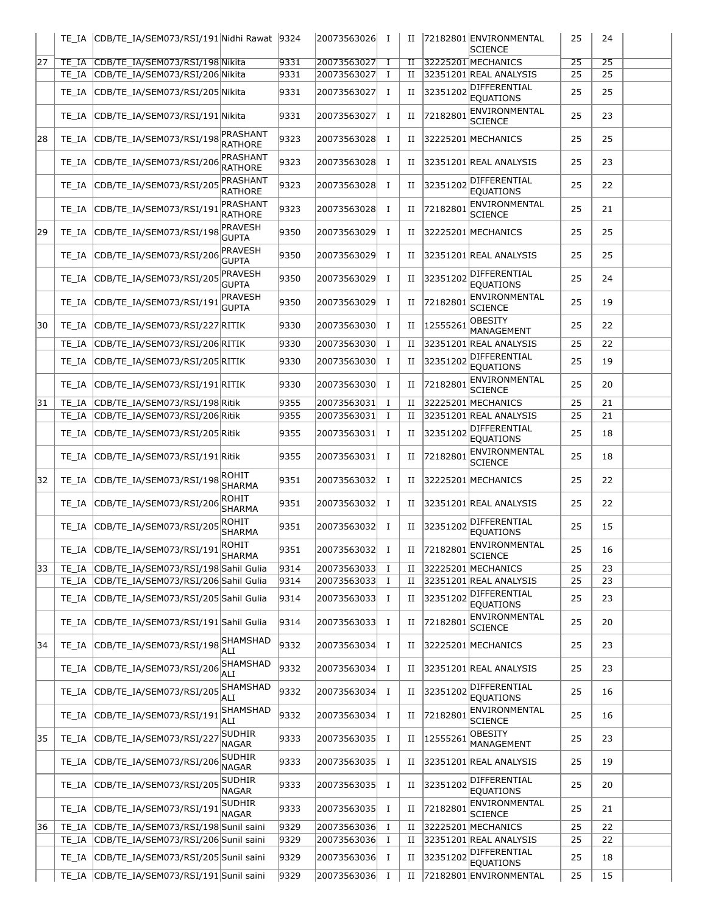|    | TE IA          | CDB/TE_IA/SEM073/RSI/191 Nidhi Rawat 9324                                    |                                |              | 20073563026                | Ι.                   | П                          |             | 72182801 ENVIRONMENTAL<br><b>SCIENCE</b>                   | 25              | 24              |  |
|----|----------------|------------------------------------------------------------------------------|--------------------------------|--------------|----------------------------|----------------------|----------------------------|-------------|------------------------------------------------------------|-----------------|-----------------|--|
| 27 | TE IA          | CDB/TE IA/SEM073/RSI/198 Nikita                                              |                                | 9331         | 20073563027                | Ι.                   | $_{\rm II}$                |             | 32225201 MECHANICS                                         | $\overline{25}$ | $\overline{25}$ |  |
|    | TE IA          | CDB/TE IA/SEM073/RSI/206 Nikita                                              |                                | 9331         | 20073563027                | Ι.                   | $_{\rm II}$                |             | 32351201 REAL ANALYSIS                                     | 25              | 25              |  |
|    | TE IA          | CDB/TE_IA/SEM073/RSI/205 Nikita                                              |                                | 9331         | 20073563027                | $\bf{I}$             | H                          | 32351202    | DIFFERENTIAL<br><b>EOUATIONS</b>                           | 25              | 25              |  |
|    | TE IA          | CDB/TE IA/SEM073/RSI/191 Nikita                                              |                                | 9331         | 20073563027                | 1                    | П                          | 72182801    | ENVIRONMENTAL<br>SCIENCE                                   | 25              | 23              |  |
| 28 | TE IA          | CDB/TE_IA/SEM073/RSI/198                                                     | PRASHANT<br><b>RATHORE</b>     | 9323         | 20073563028                | $\bf{I}$             | П                          |             | 32225201 MECHANICS                                         | 25              | 25              |  |
|    | TE IA          | CDB/TE_IA/SEM073/RSI/206                                                     | PRASHANT<br><b>RATHORE</b>     | 9323         | 20073563028                | $\mathbf I$          | H                          |             | 32351201 REAL ANALYSIS                                     | 25              | 23              |  |
|    | TE IA          | CDB/TE_IA/SEM073/RSI/205                                                     | PRASHANT<br><b>RATHORE</b>     | 9323         | 20073563028                | 1                    | H                          | 32351202    | DIFFERENTIAL<br><b>EQUATIONS</b>                           | 25              | 22              |  |
|    | TE IA          | CDB/TE_IA/SEM073/RSI/19                                                      | PRASHANT<br><b>RATHORE</b>     | 9323         | 20073563028                | $\bf{I}$             | П                          | 7218280     | ENVIRONMENTAL<br><b>SCIENCE</b>                            | 25              | 21              |  |
| 29 | TE IA          | CDB/TE_IA/SEM073/RSI/198                                                     | <b>PRAVESH</b><br><b>GUPTA</b> | 9350         | 20073563029                | <b>I</b>             | H                          |             | 32225201 MECHANICS                                         | 25              | 25              |  |
|    | TE IA          | CDB/TE_IA/SEM073/RSI/206                                                     | <b>PRAVESH</b><br><b>GUPTA</b> | 9350         | 20073563029                | $\bf{I}$             | П                          |             | 32351201 REAL ANALYSIS                                     | 25              | 25              |  |
|    | TE IA          | CDB/TE_IA/SEM073/RSI/205                                                     | PRAVESH<br><b>GUPTA</b>        | 9350         | 20073563029                | Ι.                   | $_{\rm II}$                | 32351202    | DIFFERENTIAL<br><b>EOUATIONS</b>                           | 25              | 24              |  |
|    | TE IA          | CDB/TE_IA/SEM073/RSI/191                                                     | PRAVESH<br><b>GUPTA</b>        | 9350         | 20073563029                | I                    | H                          | 7218280     | ENVIRONMENTAL<br>SCIENCE                                   | 25              | 19              |  |
| 30 | TE IA          | CDB/TE IA/SEM073/RSI/227 RITIK                                               |                                | 9330         | 20073563030                | <b>I</b>             | П                          | 1255526     | OBESITY<br>MANAGEMENT                                      | 25              | 22              |  |
|    | TE IA<br>TE IA | CDB/TE IA/SEM073/RSI/206 RITIK<br>CDB/TE_IA/SEM073/RSI/205 RITIK             |                                | 9330<br>9330 | 20073563030<br>20073563030 | $\bf{I}$<br>$\bf{I}$ | П<br>H                     | 3235120     | 32351201 REAL ANALYSIS<br>DIFFERENTIAL<br><b>EOUATIONS</b> | 25<br>25        | 22<br>19        |  |
|    | TE IA          | CDB/TE_IA/SEM073/RSI/191 RITIK                                               |                                | 9330         | 20073563030                | Ι.                   | H                          | 72182801    | ENVIRONMENTAL                                              | 25              | 20              |  |
| 31 | TE IA          | CDB/TE IA/SEM073/RSI/198 Ritik                                               |                                | 9355         | 20073563031                | $\bf{I}$             | $_{\rm II}$                |             | SCIENCE<br>32225201 MECHANICS                              | 25              | 21              |  |
|    | TE IA          | CDB/TE_IA/SEM073/RSI/206 Ritik                                               |                                | 9355         | 20073563031                | $\bf{I}$             | $_{\rm II}$                |             | 32351201 REAL ANALYSIS                                     | 25              | 21              |  |
|    | TE IA          | CDB/TE_IA/SEM073/RSI/205 Ritik                                               |                                | 9355         | 20073563031                | <b>I</b>             | П                          | 32351202    | DIFFERENTIAL<br><b>EQUATIONS</b>                           | 25              | 18              |  |
|    | TE IA          | CDB/TE_IA/SEM073/RSI/191 Ritik                                               |                                | 9355         | 20073563031                | Ι.                   | H                          | 72182801    | ENVIRONMENTAL<br><b>SCIENCE</b>                            | 25              | 18              |  |
| 32 | TE IA          | CDB/TE_IA/SEM073/RSI/198                                                     | ROHIT<br>SHARMA                | 9351         | 20073563032                | <b>I</b>             | H                          |             | 32225201 MECHANICS                                         | 25              | 22              |  |
|    | TE IA          | CDB/TE_IA/SEM073/RSI/206                                                     | <b>ROHIT</b><br>SHARMA         | 9351         | 20073563032                | 1                    | H                          |             | 32351201 REAL ANALYSIS                                     | 25              | 22              |  |
|    | TE IA          | CDB/TE_IA/SEM073/RSI/205                                                     | <b>ROHIT</b><br><b>SHARMA</b>  | 9351         | 20073563032                | Ι.                   | H                          | 32351202    | DIFFERENTIAL<br><b>EOUATIONS</b>                           | 25              | 15              |  |
|    |                | TE_IA CDB/TE_IA/SEM073/RSI/191                                               | ROHIT<br>SHARMA                | 9351         | 20073563032                |                      |                            | II 72182801 | ENVIRONMENTAL<br><b>SCIENCE</b>                            | 25              | 16              |  |
| 33 | TE IA<br>TE IA | CDB/TE IA/SEM073/RSI/198 Sahil Gulia<br>CDB/TE_IA/SEM073/RSI/206 Sahil Gulia |                                | 9314<br>9314 | 20073563033<br>20073563033 | $\bf{I}$<br>Ι.       | H<br>П                     |             | 32225201 MECHANICS<br>32351201 REAL ANALYSIS               | 25<br>25        | 23<br>23        |  |
|    | TE IA          | CDB/TE_IA/SEM073/RSI/205 Sahil Gulia                                         |                                | 9314         | 20073563033                | Ι.                   | П                          | 32351202    | DIFFERENTIAL<br><b>EQUATIONS</b>                           | 25              | 23              |  |
|    | TE IA          | CDB/TE_IA/SEM073/RSI/191 Sahil Gulia                                         |                                | 9314         | 20073563033                | <b>I</b>             | H                          | 72182801    | ENVIRONMENTAL<br>SCIENCE                                   | 25              | 20              |  |
| 34 | TE IA          | CDB/TE_IA/SEM073/RSI/198                                                     | SHAMSHAD<br>ALI                | 9332         | 20073563034                | $\bf{I}$             | П                          |             | 32225201 MECHANICS                                         | 25              | 23              |  |
|    | TE_IA          | CDB/TE_IA/SEM073/RSI/206                                                     | SHAMSHAD<br>ALI                | 9332         | 20073563034                | Ι.                   | П                          |             | 32351201 REAL ANALYSIS                                     | 25              | 23              |  |
|    | TE IA          | CDB/TE IA/SEM073/RSI/205                                                     | SHAMSHAD<br>ALI                | 9332         | 20073563034                | Ι.                   | H                          | 32351202    | DIFFERENTIAL<br><b>EQUATIONS</b>                           | 25              | 16              |  |
|    | TE IA          | CDB/TE_IA/SEM073/RSI/191                                                     | SHAMSHAD<br>ALI                | 9332         | 20073563034                | Ι.                   | П                          | 7218280     | ENVIRONMENTAL<br><b>SCIENCE</b>                            | 25              | 16              |  |
| 35 | TE IA          | CDB/TE_IA/SEM073/RSI/227                                                     | <b>SUDHIR</b><br>NAGAR         | 9333         | 20073563035                | Ι.                   | П                          | 12555261    | OBESITY<br>MANAGEMENT                                      | 25              | 23              |  |
|    | TE IA          | CDB/TE_IA/SEM073/RSI/206                                                     | <b>SUDHIR</b><br>NAGAR         | 9333         | 20073563035                | Ι.                   | П                          |             | 32351201 REAL ANALYSIS                                     | 25              | 19              |  |
|    | TE IA          | CDB/TE_IA/SEM073/RSI/205                                                     | <b>SUDHIR</b><br>NAGAR         | 9333         | 20073563035                | Ι.                   | H                          | 32351202    | DIFFERENTIAL<br><b>EQUATIONS</b>                           | 25              | 20              |  |
|    | TE_IA          | CDB/TE_IA/SEM073/RSI/191                                                     | <b>SUDHIR</b><br>NAGAR         | 9333         | 20073563035                | <b>I</b>             | П                          | 72182801    | ENVIRONMENTAL<br><b>SCIENCE</b>                            | 25              | 21              |  |
| 36 | TE IA          | CDB/TE_IA/SEM073/RSI/198 Sunil saini                                         |                                | 9329         | 20073563036                | Ι.                   | H                          |             | 32225201 MECHANICS                                         | 25              | 22              |  |
|    | TE_IA          | CDB/TE_IA/SEM073/RSI/206 Sunil saini                                         |                                | 9329         | 20073563036                | $\bf{I}$             | П                          |             | 32351201 REAL ANALYSIS<br>DIFFERENTIAL                     | 25              | 22              |  |
|    | TE_IA<br>TE IA | CDB/TE_IA/SEM073/RSI/205 Sunil saini<br>CDB/TE_IA/SEM073/RSI/191 Sunil saini |                                | 9329<br>9329 | 20073563036<br>20073563036 | Ι.<br>$\bf{I}$       | $_{\rm II}$<br>$_{\rm II}$ | 32351202    | <b>EQUATIONS</b><br>72182801 ENVIRONMENTAL                 | 25<br>25        | 18<br>15        |  |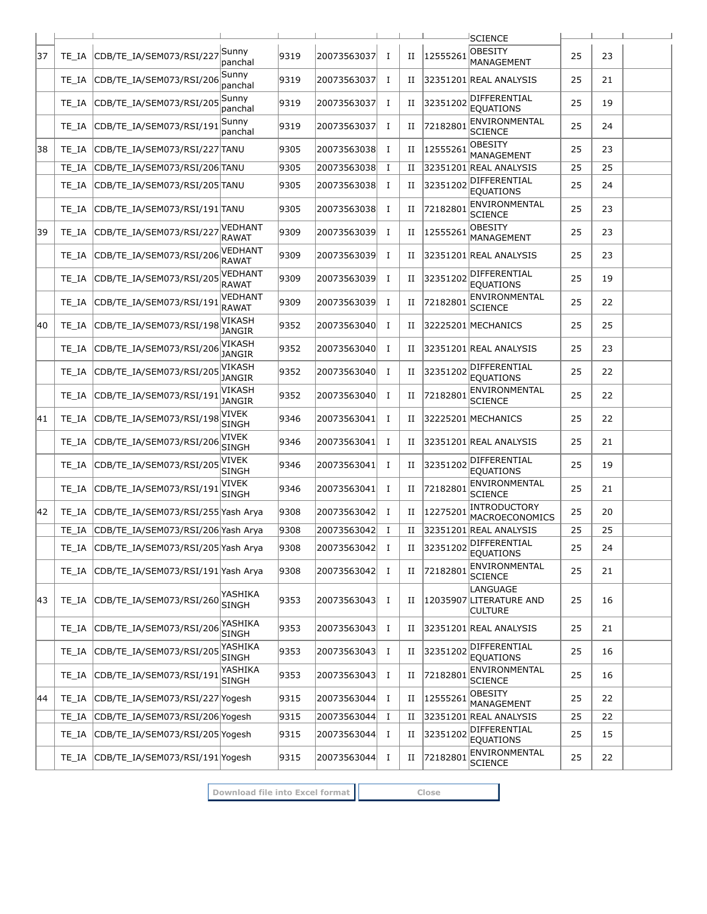|    |       |                                          |                                |      |             |             |             |          | SCIENCE                                               |    |    |  |
|----|-------|------------------------------------------|--------------------------------|------|-------------|-------------|-------------|----------|-------------------------------------------------------|----|----|--|
| 37 | TE IA | CDB/TE_IA/SEM073/RSI/22                  | Sunny<br>panchal               | 9319 | 20073563037 | $\bf{I}$    | П           | 1255526  | <b>OBESITY</b><br>MANAGEMENT                          | 25 | 23 |  |
|    | TE IA | CDB/TE IA/SEM073/RSI/206                 | Sunny<br>panchal               | 9319 | 20073563037 | Ι.          | П           |          | 32351201 REAL ANALYSIS                                | 25 | 21 |  |
|    | TE IA | CDB/TE IA/SEM073/RSI/205                 | Sunnv<br>panchal               | 9319 | 20073563037 | $\bf{I}$    | П           | 32351202 | DIFFERENTIAL<br><b>EOUATIONS</b>                      | 25 | 19 |  |
|    | TE IA | CDB/TE_IA/SEM073/RSI/19:                 | Sunny<br>panchal               | 9319 | 20073563037 | Ι.          | П           | 7218280  | ENVIRONMENTAL<br><b>SCIENCE</b>                       | 25 | 24 |  |
| 38 | TE IA | CDB/TE IA/SEM073/RSI/227 TANU            |                                | 9305 | 20073563038 | $\bf{I}$    | П           | 12555261 | <b>OBESITY</b><br>MANAGEMENT                          | 25 | 23 |  |
|    | TE IA | CDB/TE_IA/SEM073/RSI/206 TANU            |                                | 9305 | 20073563038 | $\bf{I}$    | П           |          | 32351201 REAL ANALYSIS                                | 25 | 25 |  |
|    | TE IA | CDB/TE IA/SEM073/RSI/205 TANU            |                                | 9305 | 20073563038 | Ι.          | П           | 32351202 | DIFFERENTIAL<br><b>EOUATIONS</b>                      | 25 | 24 |  |
|    | TE IA | CDB/TE_IA/SEM073/RSI/191 TANU            |                                | 9305 | 20073563038 | Ι.          | П           | 7218280  | ENVIRONMENTAL<br><b>SCIENCE</b>                       | 25 | 23 |  |
| 39 | TE IA | CDB/TE_IA/SEM073/RSI/227                 | VEDHANT<br><b>RAWAT</b>        | 9309 | 20073563039 | $\bf{I}$    | П           | 12555261 | <b>OBESITY</b><br>MANAGEMENT                          | 25 | 23 |  |
|    | TE IA | CDB/TE IA/SEM073/RSI/206                 | <b>VEDHANT</b><br>RAWAT        | 9309 | 20073563039 | 1           | П           |          | 32351201 REAL ANALYSIS                                | 25 | 23 |  |
|    | TE IA | CDB/TE_IA/SEM073/RSI/205                 | <b>VEDHANT</b><br><b>RAWAT</b> | 9309 | 20073563039 | Ι.          | П           | 32351202 | DIFFERENTIAL<br><b>EOUATIONS</b>                      | 25 | 19 |  |
|    | TE IA | CDB/TE_IA/SEM073/RSI/19:                 | VEDHANT<br><b>RAWAT</b>        | 9309 | 20073563039 | I           | П           | 72182801 | ENVIRONMENTAL<br><b>SCIENCE</b>                       | 25 | 22 |  |
| 40 | TE IA | CDB/TE IA/SEM073/RSI/198                 | <b>VIKASH</b><br><b>JANGIR</b> | 9352 | 20073563040 | Ι.          | П           |          | 32225201 MECHANICS                                    | 25 | 25 |  |
|    | TE IA | CDB/TE_IA/SEM073/RSI/206                 | VIKASH<br><b>JANGIR</b>        | 9352 | 20073563040 | $\mathbf I$ | П           |          | 32351201 REAL ANALYSIS                                | 25 | 23 |  |
|    | TE IA | CDB/TE_IA/SEM073/RSI/205                 | VIKASH<br><b>JANGIR</b>        | 9352 | 20073563040 | Ι.          | П           | 32351202 | DIFFERENTIAL<br><b>EQUATIONS</b>                      | 25 | 22 |  |
|    | TE IA | CDB/TE IA/SEM073/RSI/19                  | VIKASH<br><b>JANGIR</b>        | 9352 | 20073563040 | $\bf{I}$    | П           | 7218280  | ENVIRONMENTAL<br><b>SCIENCE</b>                       | 25 | 22 |  |
| 41 | TE IA | CDB/TE_IA/SEM073/RSI/198                 | VIVEK<br><b>SINGH</b>          | 9346 | 20073563041 | $\bf{I}$    | П           |          | 32225201 MECHANICS                                    | 25 | 22 |  |
|    | TE IA | CDB/TE_IA/SEM073/RSI/206                 | VIVEK<br><b>SINGH</b>          | 9346 | 20073563041 | $\bf{I}$    | П           |          | 32351201 REAL ANALYSIS                                | 25 | 21 |  |
|    | TE IA | CDB/TE_IA/SEM073/RSI/20                  | VIVEK<br><b>SINGH</b>          | 9346 | 20073563041 | Ι.          | П           | 3235120  | DIFFERENTIAL<br><b>EQUATIONS</b>                      | 25 | 19 |  |
|    | TE IA | CDB/TE IA/SEM073/RSI/191                 | <b>VIVEK</b><br><b>SINGH</b>   | 9346 | 20073563041 | $\bf{I}$    | П           | 72182801 | ENVIRONMENTAL<br><b>SCIENCE</b>                       | 25 | 21 |  |
| 42 | TE IA | CDB/TE_IA/SEM073/RSI/255 Yash Arya       |                                | 9308 | 20073563042 | $\bf{I}$    | П           | 12275201 | INTRODUCTORY<br>MACROECONOMICS                        | 25 | 20 |  |
|    | TE IA | CDB/TE IA/SEM073/RSI/206 Yash Arya       |                                | 9308 | 20073563042 | $\bf{I}$    | $_{\rm II}$ |          | 32351201 REAL ANALYSIS                                | 25 | 25 |  |
|    |       | TE_IA CDB/TE_IA/SEM073/RSI/205 Yash Arya |                                | 9308 | 20073563042 | $\bf{I}$    | П           |          | 32351202 DIFFERENTIAL<br><b>EQUATIONS</b>             | 25 | 24 |  |
|    | TE IA | CDB/TE IA/SEM073/RSI/191 Yash Arya       |                                | 9308 | 20073563042 | $\bf{I}$    | П           | 72182801 | ENVIRONMENTAL<br><b>SCIENCE</b>                       | 25 | 21 |  |
| 43 | TE IA | CDB/TE_IA/SEM073/RSI/260                 | YASHIKA<br><b>SINGH</b>        | 9353 | 20073563043 | Ι.          | П           |          | LANGUAGE<br>12035907 LITERATURE AND<br><b>CULTURE</b> | 25 | 16 |  |
|    | TE IA | CDB/TE IA/SEM073/RSI/206                 | YASHIKA<br><b>SINGH</b>        | 9353 | 20073563043 | Ι.          | П           |          | 32351201 REAL ANALYSIS                                | 25 | 21 |  |
|    | TE IA | CDB/TE_IA/SEM073/RSI/205                 | YASHIKA<br><b>SINGH</b>        | 9353 | 20073563043 | Ι.          | П           | 32351202 | DIFFERENTIAL<br><b>EQUATIONS</b>                      | 25 | 16 |  |
|    | TE_IA | CDB/TE_IA/SEM073/RSI/191                 | YASHIKA<br>SINGH               | 9353 | 20073563043 | Ι.          | П           | 72182801 | ENVIRONMENTAL<br><b>SCIENCE</b>                       | 25 | 16 |  |
| 44 | TE IA | CDB/TE_IA/SEM073/RSI/227 Yogesh          |                                | 9315 | 20073563044 | Ι.          | П           | 12555261 | <b>OBESITY</b><br>MANAGEMENT                          | 25 | 22 |  |
|    | TE_IA | CDB/TE_IA/SEM073/RSI/206 Yogesh          |                                | 9315 | 20073563044 | Ι.          | П           |          | 32351201 REAL ANALYSIS                                | 25 | 22 |  |
|    | TE IA | CDB/TE_IA/SEM073/RSI/205 Yogesh          |                                | 9315 | 20073563044 | $\bf{I}$    | П           | 32351202 | DIFFERENTIAL<br><b>EQUATIONS</b>                      | 25 | 15 |  |
|    | TE_IA | CDB/TE_IA/SEM073/RSI/191 Yogesh          |                                | 9315 | 20073563044 | $\mathbf I$ | $_{\rm II}$ | 72182801 | ENVIRONMENTAL<br><b>SCIENCE</b>                       | 25 | 22 |  |

**Download file into Excel format Close**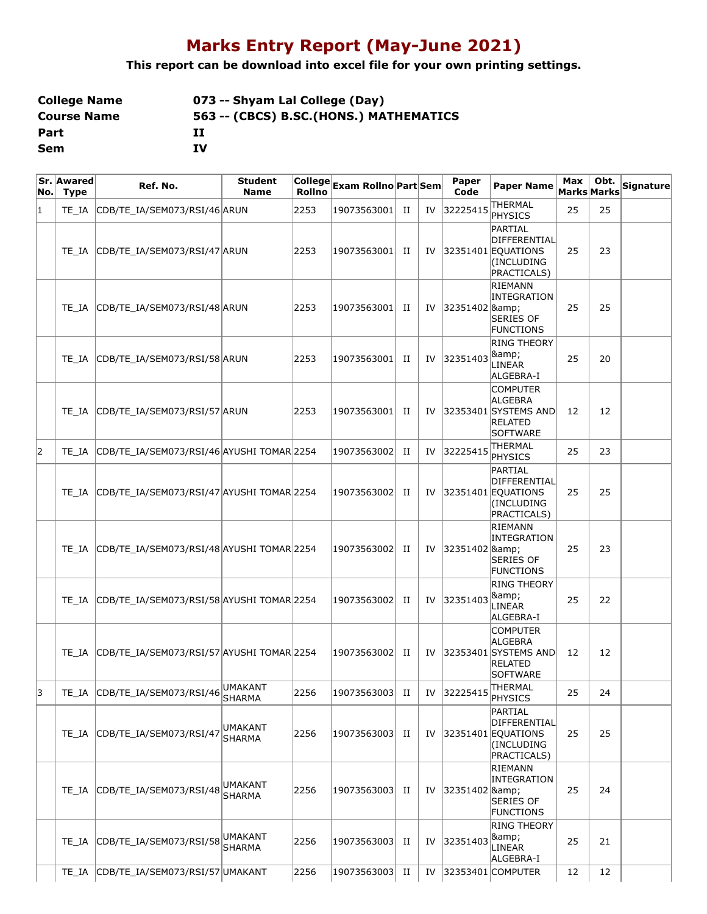# **Marks Entry Report (May-June 2021)**

### **This report can be download into excel file for your own printing settings.**

| <b>College Name</b> | 073 -- Shyam Lal College (Day)          |
|---------------------|-----------------------------------------|
| <b>Course Name</b>  | 563 -- (CBCS) B.SC. (HONS.) MATHEMATICS |
| Part                | п                                       |
| Sem                 | τv                                      |

| No.            | Sr. Awared<br><b>Type</b> | Ref. No.                                  | <b>Student</b><br><b>Name</b> |      | <br> College <br>  Exam Rollno Part Sem |    |    | Paper<br>Code           | <b>Paper Name</b>                                                                       | Max | Obt.<br>Marks Marks | <b>Signature</b> |
|----------------|---------------------------|-------------------------------------------|-------------------------------|------|-----------------------------------------|----|----|-------------------------|-----------------------------------------------------------------------------------------|-----|---------------------|------------------|
| $\overline{1}$ | TE IA                     | CDB/TE_IA/SEM073/RSI/46 ARUN              |                               | 2253 | 19073563001                             | П  | IV | 32225415                | THERMAL<br>PHYSICS                                                                      | 25  | 25                  |                  |
|                | TE IA                     | CDB/TE_IA/SEM073/RSI/47 ARUN              |                               | 2253 | 19073563001                             | П  | IV |                         | PARTIAL<br>DIFFERENTIAL<br>32351401 EQUATIONS<br>(INCLUDING<br>PRACTICALS)              | 25  | 23                  |                  |
|                | TE IA                     | CDB/TE_IA/SEM073/RSI/48 ARUN              |                               | 2253 | 19073563001                             | П  | IV | 32351402 & 8amp;        | RIEMANN<br>INTEGRATION<br><b>SERIES OF</b><br><b>FUNCTIONS</b>                          | 25  | 25                  |                  |
|                | TE IA                     | CDB/TE_IA/SEM073/RSI/58 ARUN              |                               | 2253 | 19073563001                             | П  | IV | 32351403                | <b>RING THEORY</b><br>&<br>LINEAR<br>ALGEBRA-I                                          | 25  | 20                  |                  |
|                | TE IA                     | CDB/TE_IA/SEM073/RSI/57 ARUN              |                               | 2253 | 19073563001                             | П  | IV |                         | <b>COMPUTER</b><br>ALGEBRA<br>32353401 SYSTEMS AND<br>RELATED<br>SOFTWARE               | 12  | 12                  |                  |
| $ 2\rangle$    | TE IA                     | CDB/TE_IA/SEM073/RSI/46 AYUSHI TOMAR 2254 |                               |      | 19073563002                             | П  | IV | 32225415                | THERMAL<br><b>PHYSICS</b>                                                               | 25  | 23                  |                  |
|                | TE IA                     | CDB/TE_IA/SEM073/RSI/47 AYUSHI TOMAR 2254 |                               |      | 19073563002                             | П  | IV |                         | PARTIAL<br>DIFFERENTIAL<br>32351401 EQUATIONS<br>(INCLUDING<br>PRACTICALS)              | 25  | 25                  |                  |
|                | TE IA                     | CDB/TE_IA/SEM073/RSI/48 AYUSHI TOMAR 2254 |                               |      | 19073563002                             | П  | IV | 32351402 & Ramp;        | RIEMANN<br>INTEGRATION<br>SERIES OF<br><b>FUNCTIONS</b>                                 | 25  | 23                  |                  |
|                | TE IA                     | CDB/TE_IA/SEM073/RSI/58 AYUSHI TOMAR 2254 |                               |      | 19073563002                             | П  | IV | 32351403                | <b>RING THEORY</b><br>&<br>LINEAR<br>ALGEBRA-I                                          | 25  | 22                  |                  |
|                | TE IA                     | CDB/TE_IA/SEM073/RSI/57 AYUSHI TOMAR 2254 |                               |      | 19073563002                             | П  | IV |                         | <b>COMPUTER</b><br>ALGEBRA<br>32353401 SYSTEMS AND<br><b>RELATED</b><br><b>SOFTWARE</b> | 12  | 12                  |                  |
| 3              |                           | TE_IA CDB/TE_IA/SEM073/RSI/46 MMAKANT     | <b>SHARMA</b>                 | 2256 | 19073563003                             | II |    | IV $ 32225415 $ THERMAL | PHYSICS                                                                                 | 25  | 24                  |                  |
|                |                           | TE_IA CDB/TE_IA/SEM073/RSI/47             | UMAKANT<br><b>SHARMA</b>      | 2256 | 19073563003                             | H  | IV |                         | PARTIAL<br>DIFFERENTIAL<br>32351401 EQUATIONS<br>(INCLUDING<br>PRACTICALS)              | 25  | 25                  |                  |
|                |                           | TE_IA CDB/TE_IA/SEM073/RSI/48             | UMAKANT<br><b>SHARMA</b>      | 2256 | 19073563003                             | П  | IV | 32351402 &              | RIEMANN<br>INTEGRATION<br><b>SERIES OF</b><br><b>FUNCTIONS</b>                          | 25  | 24                  |                  |
|                | TE IA                     | CDB/TE_IA/SEM073/RSI/58                   | UMAKANT<br><b>SHARMA</b>      | 2256 | 19073563003                             | H  | IV | 32351403                | <b>RING THEORY</b><br>&<br>LINEAR<br>ALGEBRA-I                                          | 25  | 21                  |                  |
|                | TE IA                     | CDB/TE_IA/SEM073/RSI/57 UMAKANT           |                               | 2256 | 19073563003                             | П  | IV |                         | 32353401 COMPUTER                                                                       | 12  | 12                  |                  |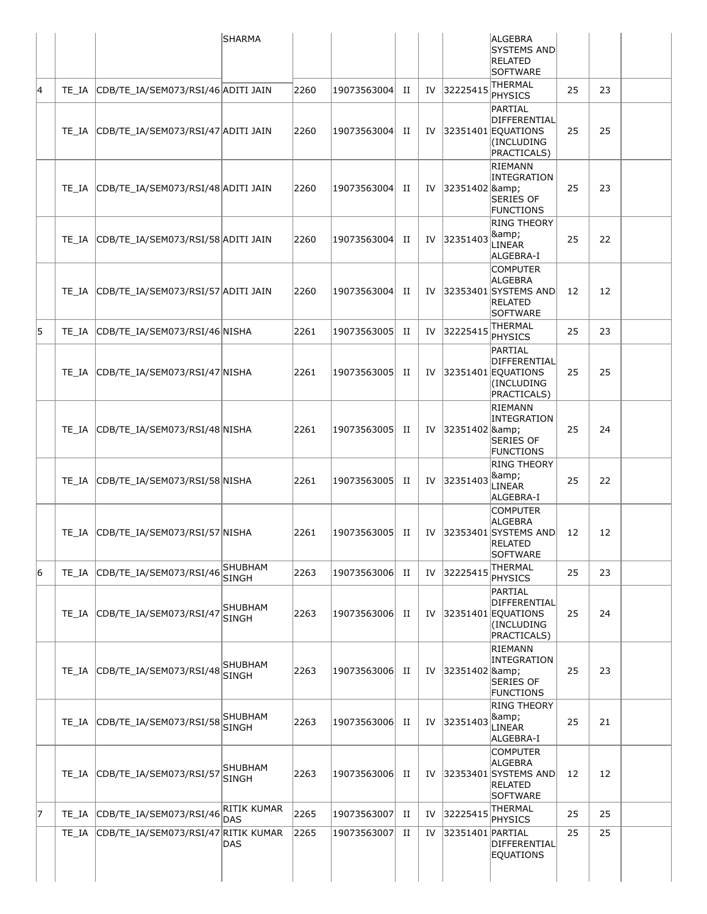|   |       |                                           | <b>SHARMA</b>                    |      |                 |   |    |                  | ALGEBRA<br><b>SYSTEMS AND</b>                                                                     |    |    |
|---|-------|-------------------------------------------|----------------------------------|------|-----------------|---|----|------------------|---------------------------------------------------------------------------------------------------|----|----|
|   |       |                                           |                                  |      |                 |   |    |                  | <b>RELATED</b><br><b>SOFTWARE</b>                                                                 |    |    |
| 4 |       | TE_IA CDB/TE_IA/SEM073/RSI/46 ADITI JAIN  |                                  | 2260 | 19073563004     | H | IV | 32225415         | THERMAL<br><b>PHYSICS</b>                                                                         | 25 | 23 |
|   |       | TE_IA CDB/TE_IA/SEM073/RSI/47 ADITI JAIN  |                                  | 2260 | 19073563004 II  |   | IV |                  | PARTIAL<br>DIFFERENTIAL<br>32351401 EQUATIONS<br>(INCLUDING<br>PRACTICALS)                        | 25 | 25 |
|   |       | TE_IA CDB/TE_IA/SEM073/RSI/48 ADITI JAIN  |                                  | 2260 | 19073563004 II  |   | IV | 32351402 &       | RIEMANN<br>INTEGRATION<br><b>SERIES OF</b><br><b>FUNCTIONS</b>                                    | 25 | 23 |
|   |       | TE_IA CDB/TE_IA/SEM073/RSI/58 ADITI JAIN  |                                  | 2260 | 19073563004     | H | IV | 32351403         | <b>RING THEORY</b><br>&<br>LINEAR<br>ALGEBRA-I                                                    | 25 | 22 |
|   |       | TE_IA CDB/TE_IA/SEM073/RSI/57 ADITI JAIN  |                                  | 2260 | 19073563004 II  |   |    |                  | <b>COMPUTER</b><br><b>ALGEBRA</b><br>IV 32353401 SYSTEMS AND<br><b>RELATED</b><br><b>SOFTWARE</b> | 12 | 12 |
| 5 |       | TE IA CDB/TE IA/SEM073/RSI/46 NISHA       |                                  | 2261 | 19073563005     | H | IV | 32225415         | <b>THERMAL</b><br><b>PHYSICS</b>                                                                  | 25 | 23 |
|   |       | TE_IA CDB/TE_IA/SEM073/RSI/47 NISHA       |                                  | 2261 | 19073563005 II  |   |    |                  | PARTIAL<br><b>DIFFERENTIAL</b><br>IV $ 32351401 $ EQUATIONS<br>(INCLUDING<br>PRACTICALS)          | 25 | 25 |
|   |       | TE_IA CDB/TE_IA/SEM073/RSI/48 NISHA       |                                  | 2261 | 19073563005  II |   |    | IV 32351402 &    | RIEMANN<br>INTEGRATION<br><b>SERIES OF</b><br><b>FUNCTIONS</b>                                    | 25 | 24 |
|   |       | TE IA CDB/TE IA/SEM073/RSI/58 NISHA       |                                  | 2261 | 19073563005 II  |   | IV | 32351403         | <b>RING THEORY</b><br>&<br>LINEAR<br>ALGEBRA-I                                                    | 25 | 22 |
|   |       | TE_IA CDB/TE_IA/SEM073/RSI/57 NISHA       |                                  | 2261 | 19073563005 II  |   | IV |                  | <b>COMPUTER</b><br><b>ALGEBRA</b><br>32353401 SYSTEMS AND<br><b>RELATED</b><br><b>SOFTWARE</b>    | 12 | 12 |
| 6 |       | TE_IA CDB/TE_IA/SEM073/RSI/46             | <b>SHUBHAM</b><br><b>SINGH</b>   | 2263 | 19073563006     | П | IV | 32225415         | <b>THERMAL</b><br><b>PHYSICS</b>                                                                  | 25 | 23 |
|   |       | TE IA CDB/TE IA/SEM073/RSI/47             | SHUBHAM<br><b>SINGH</b>          | 2263 | 19073563006     | H | IV |                  | PARTIAL<br>DIFFERENTIAL<br>32351401 EQUATIONS<br>(INCLUDING<br>PRACTICALS)                        | 25 | 24 |
|   |       | TE_IA CDB/TE_IA/SEM073/RSI/48             | SHUBHAM<br><b>SINGH</b>          | 2263 | 19073563006 II  |   | IV | 32351402 &       | RIEMANN<br><b>INTEGRATION</b><br>SERIES OF<br><b>FUNCTIONS</b>                                    | 25 | 23 |
|   |       | TE_IA CDB/TE_IA/SEM073/RSI/58             | <b>SHUBHAM</b><br><b>SINGH</b>   | 2263 | 19073563006     | П | IV | 32351403         | <b>RING THEORY</b><br>&<br>LINEAR<br>ALGEBRA-I                                                    | 25 | 21 |
|   |       | TE_IA CDB/TE_IA/SEM073/RSI/57             | SHUBHAM<br><b>SINGH</b>          | 2263 | 19073563006     | П | IV |                  | <b>COMPUTER</b><br><b>ALGEBRA</b><br>32353401 SYSTEMS AND<br>RELATED<br><b>SOFTWARE</b>           | 12 | 12 |
| 7 | TE IA | CDB/TE_IA/SEM073/RSI/46                   | <b>RITIK KUMAR</b><br><b>DAS</b> | 2265 | 19073563007     | П | IV | 32225415         | <b>THERMAL</b><br>PHYSICS                                                                         | 25 | 25 |
|   |       | TE_IA CDB/TE_IA/SEM073/RSI/47 RITIK KUMAR | DAS                              | 2265 | 19073563007     | п | IV | 32351401 PARTIAL | DIFFERENTIAL<br>EQUATIONS                                                                         | 25 | 25 |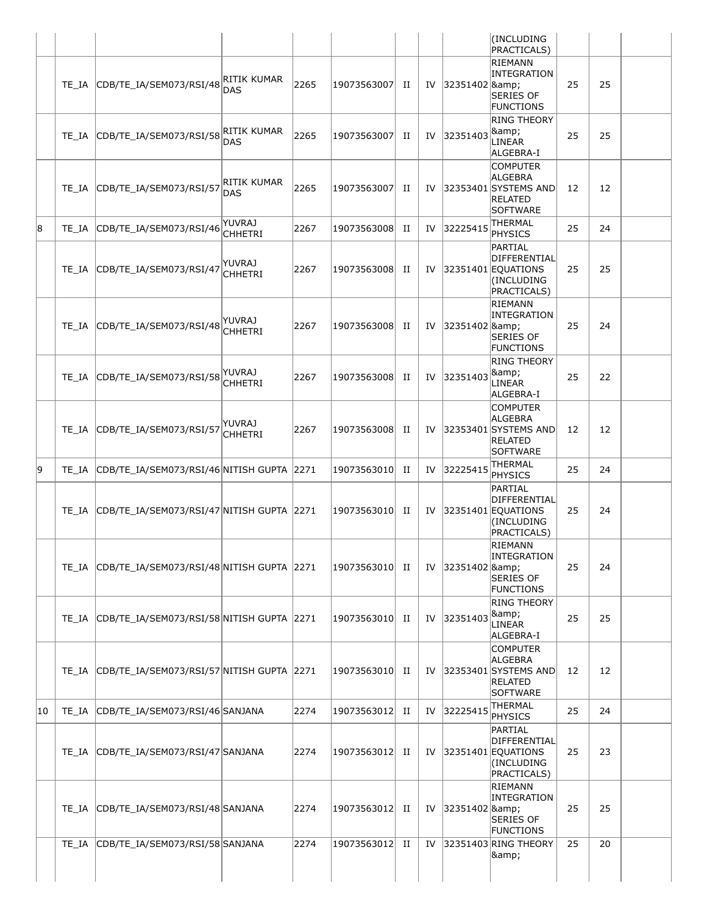|    |       |                                                 |                           |      |                 |   |    |                  | (INCLUDING<br><b>PRACTICALS)</b>                                                        |    |    |
|----|-------|-------------------------------------------------|---------------------------|------|-----------------|---|----|------------------|-----------------------------------------------------------------------------------------|----|----|
|    | TE IA | CDB/TE_IA/SEM073/RSI/48                         | RITIK KUMAR<br>DAS        | 2265 | 19073563007     | П | IV | 32351402 &       | <b>RIEMANN</b><br><b>INTEGRATION</b><br><b>SERIES OF</b><br><b>FUNCTIONS</b>            | 25 | 25 |
|    | TE IA | CDB/TE_IA/SEM073/RSI/58                         | RITIK KUMAR<br><b>DAS</b> | 2265 | 19073563007     | п | IV | 32351403         | <b>RING THEORY</b><br>&<br>LINEAR<br>ALGEBRA-I                                          | 25 | 25 |
|    | TE IA | CDB/TE_IA/SEM073/RSI/57                         | RITIK KUMAR<br>DAS        | 2265 | 19073563007     | П | IV |                  | <b>COMPUTER</b><br>ALGEBRA<br>32353401 SYSTEMS AND<br><b>RELATED</b><br>SOFTWARE        | 12 | 12 |
| 8  | TE IA | CDB/TE_IA/SEM073/RSI/46                         | <b>YUVRAJ</b><br>CHHETRI  | 2267 | 19073563008     | П | IV | 32225415         | <b>THERMAL</b><br>PHYSICS                                                               | 25 | 24 |
|    | TE IA | CDB/TE_IA/SEM073/RSI/47                         | YUVRAJ<br>CHHETRI         | 2267 | 19073563008     | п | IV |                  | PARTIAL<br>DIFFERENTIAL<br>32351401 EQUATIONS<br>(INCLUDING<br>PRACTICALS)              | 25 | 25 |
|    |       | TE IA CDB/TE IA/SEM073/RSI/48                   | YUVRAJ<br>CHHETRI         | 2267 | 19073563008     | п | IV | 32351402 &       | RIEMANN<br><b>INTEGRATION</b><br><b>SERIES OF</b><br><b>FUNCTIONS</b>                   | 25 | 24 |
|    | TE IA | CDB/TE_IA/SEM073/RSI/58                         | YUVRAJ<br>CHHETRI         | 2267 | 19073563008     | П | IV | 32351403         | <b>RING THEORY</b><br>&<br>LINEAR<br>ALGEBRA-I                                          | 25 | 22 |
|    | TE IA | CDB/TE_IA/SEM073/RSI/57                         | YUVRAJ<br>CHHETRI         | 2267 | 19073563008     | П | IV |                  | <b>COMPUTER</b><br>ALGEBRA<br>32353401 SYSTEMS AND<br><b>RELATED</b><br><b>SOFTWARE</b> | 12 | 12 |
| 9  | TE IA | CDB/TE_IA/SEM073/RSI/46 NITISH GUPTA            |                           | 2271 | 19073563010     | П | IV | 32225415         | THERMAL<br><b>PHYSICS</b>                                                               | 25 | 24 |
|    | TE IA | CDB/TE IA/SEM073/RSI/47 NITISH GUPTA 2271       |                           |      | 19073563010     | п | IV |                  | PARTIAL<br>DIFFERENTIAL<br>32351401 EQUATIONS<br>(INCLUDING<br>PRACTICALS)              | 25 | 24 |
|    |       | TE_IA CDB/TE_IA/SEM073/RSI/48 NITISH GUPTA 2271 |                           |      | 19073563010  II |   | IV | 32351402 &       | <b>RIEMANN</b><br><b>INTEGRATION</b><br><b>SERIES OF</b><br><b>FUNCTIONS</b>            | 25 | 24 |
|    | TE IA | CDB/TE IA/SEM073/RSI/58 NITISH GUPTA 2271       |                           |      | 19073563010     | п | IV | 32351403         | <b>RING THEORY</b><br>&<br>LINEAR<br>ALGEBRA-I                                          | 25 | 25 |
|    | TE IA | CDB/TE_IA/SEM073/RSI/57 NITISH GUPTA 2271       |                           |      | 19073563010 II  |   | IV |                  | <b>COMPUTER</b><br>ALGEBRA<br>32353401 SYSTEMS AND<br><b>RELATED</b><br>SOFTWARE        | 12 | 12 |
| 10 | TE IA | CDB/TE_IA/SEM073/RSI/46 SANJANA                 |                           | 2274 | 19073563012     | H | IV | 32225415         | <b>THERMAL</b><br>PHYSICS                                                               | 25 | 24 |
|    | TE IA | CDB/TE_IA/SEM073/RSI/47 SANJANA                 |                           | 2274 | 19073563012 II  |   | IV |                  | PARTIAL<br>DIFFERENTIAL<br>32351401 EQUATIONS<br>(INCLUDING<br><b>PRACTICALS)</b>       | 25 | 23 |
|    | TE IA | CDB/TE_IA/SEM073/RSI/48 SANJANA                 |                           | 2274 | 19073563012 II  |   | IV | 32351402 & Ramp; | RIEMANN<br>INTEGRATION<br><b>SERIES OF</b><br><b>FUNCTIONS</b>                          | 25 | 25 |
|    | TE IA | CDB/TE_IA/SEM073/RSI/58 SANJANA                 |                           | 2274 | 19073563012     | П | IV |                  | 32351403 RING THEORY<br>&                                                               | 25 | 20 |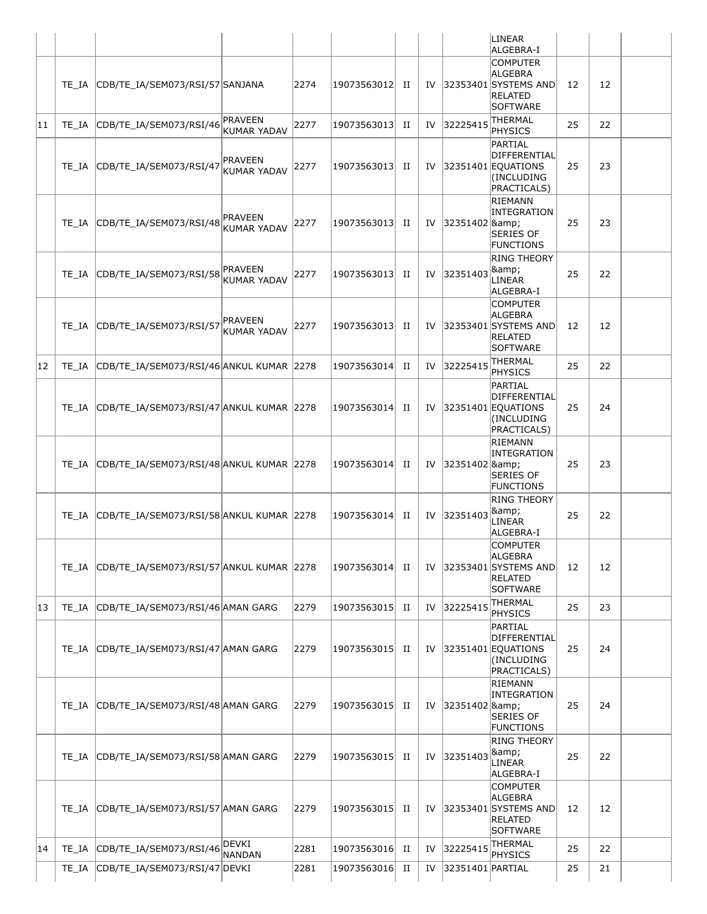|    |                                                |                                      |      |                |   |    |                  | LINEAR<br>ALGEBRA-I                                                                     |    |    |
|----|------------------------------------------------|--------------------------------------|------|----------------|---|----|------------------|-----------------------------------------------------------------------------------------|----|----|
|    | TE IA CDB/TE IA/SEM073/RSI/57 SANJANA          |                                      | 2274 | 19073563012    | H | IV |                  | <b>COMPUTER</b><br>ALGEBRA<br>32353401 SYSTEMS AND<br><b>RELATED</b><br>SOFTWARE        | 12 | 12 |
| 11 | TE_IA CDB/TE_IA/SEM073/RSI/46                  | PRAVEEN<br>KUMAR YADAV               | 2277 | 19073563013    | H | IV | 32225415         | <b>THERMAL</b><br><b>PHYSICS</b>                                                        | 25 | 22 |
|    | TE_IA CDB/TE_IA/SEM073/RSI/47                  | <b>PRAVEEN</b><br><b>KUMAR YADAV</b> | 2277 | 19073563013    | H | IV |                  | PARTIAL<br><b>DIFFERENTIAL</b><br>$ 32351401 $ EQUATIONS<br>(INCLUDING<br>PRACTICALS)   | 25 | 23 |
|    | TE_IA CDB/TE_IA/SEM073/RSI/48                  | <b>PRAVEEN</b><br>KUMAR YADAV        | 2277 | 19073563013 II |   | IV | 32351402 &       | RIEMANN<br><b>INTEGRATION</b><br><b>SERIES OF</b><br><b>FUNCTIONS</b>                   | 25 | 23 |
|    | TE IA CDB/TE IA/SEM073/RSI/58                  | <b>PRAVEEN</b><br>KUMAR YADAV        | 2277 | 19073563013    | H | IV | 32351403         | <b>RING THEORY</b><br> &<br>LINEAR<br>ALGEBRA-I                                         | 25 | 22 |
|    | TE IA CDB/TE IA/SEM073/RSI/57                  | PRAVEEN<br><b>KUMAR YADAV</b>        | 2277 | 19073563013    | H | IV |                  | <b>COMPUTER</b><br>ALGEBRA<br>32353401 SYSTEMS AND<br><b>RELATED</b><br><b>SOFTWARE</b> | 12 | 12 |
| 12 | TE_IA CDB/TE_IA/SEM073/RSI/46 ANKUL KUMAR 2278 |                                      |      | 19073563014    | п | IV | 32225415         | THERMAL<br><b>PHYSICS</b>                                                               | 25 | 22 |
|    | TE_IA CDB/TE_IA/SEM073/RSI/47 ANKUL KUMAR 2278 |                                      |      | 19073563014    | H | IV |                  | PARTIAL<br>DIFFERENTIAL<br>32351401 EQUATIONS<br>(INCLUDING<br>PRACTICALS)              | 25 | 24 |
|    | TE IA CDB/TE IA/SEM073/RSI/48 ANKUL KUMAR 2278 |                                      |      | 19073563014    | H | IV | 32351402 &       | RIEMANN<br>INTEGRATION<br>SERIES OF<br><b>FUNCTIONS</b>                                 | 25 | 23 |
|    | TE IA CDB/TE IA/SEM073/RSI/58 ANKUL KUMAR 2278 |                                      |      | 19073563014    | п | IV | 32351403         | <b>RING THEORY</b><br>&<br>LINEAR<br>ALGEBRA-I                                          | 25 | 22 |
|    | TE IA CDB/TE IA/SEM073/RSI/57 ANKUL KUMAR 2278 |                                      |      | 19073563014 II |   | IV |                  | <b>COMPUTER</b><br>ALGEBRA<br>32353401 SYSTEMS AND<br><b>RELATED</b><br>SOFTWARE        | 12 | 12 |
| 13 | TE_IA CDB/TE_IA/SEM073/RSI/46 AMAN GARG        |                                      | 2279 | 19073563015    | H | IV | 32225415         | <b>THERMAL</b><br>PHYSICS                                                               | 25 | 23 |
|    | TE_IA CDB/TE_IA/SEM073/RSI/47 AMAN GARG        |                                      | 2279 | 19073563015    | H | IV |                  | <b>PARTIAL</b><br>DIFFERENTIAL<br>$ 32351401 $ EQUATIONS<br>(INCLUDING<br>PRACTICALS)   | 25 | 24 |
|    | TE IA CDB/TE IA/SEM073/RSI/48 AMAN GARG        |                                      | 2279 | 19073563015 II |   | IV | 32351402 &       | RIEMANN<br>INTEGRATION<br><b>SERIES OF</b><br><b>FUNCTIONS</b>                          | 25 | 24 |
|    | TE IA CDB/TE IA/SEM073/RSI/58 AMAN GARG        |                                      | 2279 | 19073563015    | п | IV | 32351403         | <b>RING THEORY</b><br>&<br>LINEAR<br>ALGEBRA-I                                          | 25 | 22 |
|    | TE IA CDB/TE IA/SEM073/RSI/57 AMAN GARG        |                                      | 2279 | 19073563015 II |   | IV |                  | <b>COMPUTER</b><br>ALGEBRA<br>32353401 SYSTEMS AND<br><b>RELATED</b><br>SOFTWARE        | 12 | 12 |
| 14 | TE_IA CDB/TE_IA/SEM073/RSI/46                  | DEVKI<br><b>NANDAN</b>               | 2281 | 19073563016    | H | IV | 32225415         | <b>THERMAL</b><br><b>PHYSICS</b>                                                        | 25 | 22 |
|    | TE IA CDB/TE IA/SEM073/RSI/47 DEVKI            |                                      | 2281 | 19073563016    | П | IV | 32351401 PARTIAL |                                                                                         | 25 | 21 |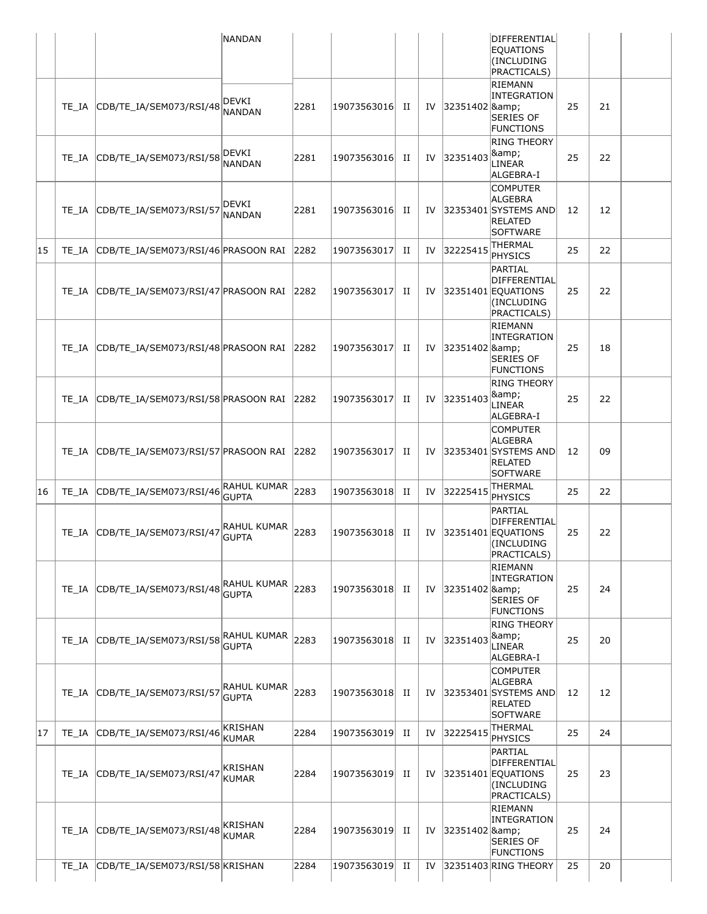|    |       |                                     | NANDAN                             |      |             |   |    |                  | DIFFERENTIAL<br><b>EQUATIONS</b><br>(INCLUDING<br>PRACTICALS)                           |    |    |  |
|----|-------|-------------------------------------|------------------------------------|------|-------------|---|----|------------------|-----------------------------------------------------------------------------------------|----|----|--|
|    | TE IA | CDB/TE_IA/SEM073/RSI/48             | DEVKI<br><b>NANDAN</b>             | 2281 | 19073563016 | H | IV | 32351402 & Ramp; | RIEMANN<br>INTEGRATION<br><b>SERIES OF</b><br>FUNCTIONS                                 | 25 | 21 |  |
|    | TE IA | CDB/TE IA/SEM073/RSI/58             | DEVKI<br><b>NANDAN</b>             | 2281 | 19073563016 | H | IV | 32351403         | <b>RING THEORY</b><br>&<br>LINEAR<br>ALGEBRA-I                                          | 25 | 22 |  |
|    | TE IA | CDB/TE_IA/SEM073/RSI/57             | DEVKI<br><b>NANDAN</b>             | 2281 | 19073563016 | п | IV |                  | <b>COMPUTER</b><br>ALGEBRA<br>32353401 SYSTEMS AND<br><b>RELATED</b><br>SOFTWARE        | 12 | 12 |  |
| 15 | TE IA | CDB/TE_IA/SEM073/RSI/46 PRASOON RAI |                                    | 2282 | 19073563017 | п | IV | 32225415         | <b>THERMAL</b><br>PHYSICS                                                               | 25 | 22 |  |
|    | TE IA | CDB/TE IA/SEM073/RSI/47 PRASOON RAI |                                    | 2282 | 19073563017 | п | IV |                  | PARTIAL<br>DIFFERENTIAL<br>32351401 EQUATIONS<br>(INCLUDING<br>PRACTICALS)              | 25 | 22 |  |
|    | TE IA | CDB/TE_IA/SEM073/RSI/48 PRASOON RAI |                                    | 2282 | 19073563017 | П | IV | 32351402 &       | RIEMANN<br>INTEGRATION<br><b>SERIES OF</b><br>FUNCTIONS                                 | 25 | 18 |  |
|    | TE IA | CDB/TE_IA/SEM073/RSI/58 PRASOON RAI |                                    | 2282 | 19073563017 | П | IV | 32351403         | <b>RING THEORY</b><br>&<br>LINEAR<br>ALGEBRA-I                                          | 25 | 22 |  |
|    | TE IA | CDB/TE_IA/SEM073/RSI/57 PRASOON RAI |                                    | 2282 | 19073563017 | п | IV |                  | <b>COMPUTER</b><br><b>ALGEBRA</b><br>32353401 SYSTEMS AND<br>RELATED<br><b>SOFTWARE</b> | 12 | 09 |  |
| 16 | TE IA | CDB/TE_IA/SEM073/RSI/46             | RAHUL KUMAR<br><b>GUPTA</b>        | 2283 | 19073563018 | H | IV | 32225415         | THERMAL<br>PHYSICS                                                                      | 25 | 22 |  |
|    | TE IA | CDB/TE IA/SEM073/RSI/47             | RAHUL KUMAR<br><b>GUPTA</b>        | 2283 | 19073563018 | H | IV |                  | PARTIAL<br>DIFFERENTIAL<br>32351401 EQUATIONS<br>(INCLUDING<br>PRACTICALS)              | 25 | 22 |  |
|    | TE IA | CDB/TE_IA/SEM073/RSI/48             | RAHUL KUMAR<br><b>GUPTA</b>        | 2283 | 19073563018 | H | IV | 32351402 &       | RIEMANN<br>INTEGRATION<br><b>SERIES OF</b><br>FUNCTIONS                                 | 25 | 24 |  |
|    | TE IA | CDB/TE_IA/SEM073/RSI/58             | <b>RAHUL KUMAR</b><br><b>GUPTA</b> | 2283 | 19073563018 | H | IV | 32351403         | <b>RING THEORY</b><br>&<br>LINEAR<br>ALGEBRA-I                                          | 25 | 20 |  |
|    | TE IA | CDB/TE_IA/SEM073/RSI/57             | RAHUL KUMAR<br><b>GUPTA</b>        | 2283 | 19073563018 | H | IV |                  | <b>COMPUTER</b><br>ALGEBRA<br>32353401 SYSTEMS AND<br><b>RELATED</b><br><b>SOFTWARE</b> | 12 | 12 |  |
| 17 | TE IA | CDB/TE_IA/SEM073/RSI/46             | <b>KRISHAN</b><br><b>KUMAR</b>     | 2284 | 19073563019 | H | IV | 32225415         | THERMAL<br>PHYSICS                                                                      | 25 | 24 |  |
|    | TE IA | CDB/TE_IA/SEM073/RSI/47             | KRISHAN<br><b>KUMAR</b>            | 2284 | 19073563019 | п | IV |                  | PARTIAL<br>DIFFERENTIAL<br>32351401 EQUATIONS<br>(INCLUDING<br>PRACTICALS)              | 25 | 23 |  |
|    | TE IA | CDB/TE_IA/SEM073/RSI/48             | KRISHAN<br><b>KUMAR</b>            | 2284 | 19073563019 | п | IV | 32351402 &       | RIEMANN<br>INTEGRATION<br><b>SERIES OF</b><br><b>FUNCTIONS</b>                          | 25 | 24 |  |
|    | TE IA | CDB/TE_IA/SEM073/RSI/58 KRISHAN     |                                    | 2284 | 19073563019 | П | IV |                  | 32351403 RING THEORY                                                                    | 25 | 20 |  |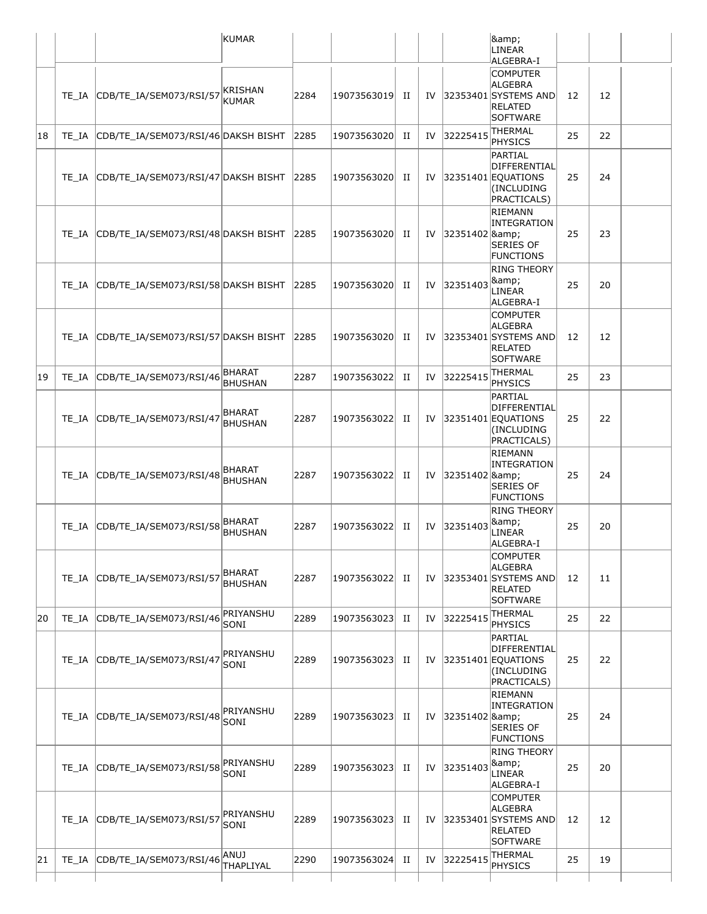|    |       |                                                | KUMAR                           |      |             |   |    |                  | &                                                                                              |    |    |  |
|----|-------|------------------------------------------------|---------------------------------|------|-------------|---|----|------------------|------------------------------------------------------------------------------------------------|----|----|--|
|    |       |                                                |                                 |      |             |   |    |                  | LINEAR<br>ALGEBRA-I                                                                            |    |    |  |
|    |       | TE IA CDB/TE IA/SEM073/RSI/57                  | KRISHAN<br><b>KUMAR</b>         | 2284 | 19073563019 | H | IV |                  | <b>COMPUTER</b><br><b>ALGEBRA</b><br>32353401 SYSTEMS AND<br><b>RELATED</b><br><b>SOFTWARE</b> | 12 | 12 |  |
| 18 | TE IA | CDB/TE_IA/SEM073/RSI/46 DAKSH BISHT            |                                 | 2285 | 19073563020 | H | IV | 32225415         | THERMAL<br><b>PHYSICS</b>                                                                      | 25 | 22 |  |
|    | TE IA | CDB/TE_IA/SEM073/RSI/47 DAKSH BISHT            |                                 | 2285 | 19073563020 | H | IV |                  | PARTIAL<br>DIFFERENTIAL<br>32351401 EOUATIONS<br>(INCLUDING<br>PRACTICALS)<br><b>RIEMANN</b>   | 25 | 24 |  |
|    |       | TE_IA CDB/TE_IA/SEM073/RSI/48 DAKSH BISHT 2285 |                                 |      | 19073563020 | H | IV | 32351402 &       | INTEGRATION<br><b>SERIES OF</b><br>FUNCTIONS                                                   | 25 | 23 |  |
|    | TE IA | CDB/TE_IA/SEM073/RSI/58 DAKSH BISHT            |                                 | 2285 | 19073563020 | П | IV | 32351403         | <b>RING THEORY</b><br>&<br>LINEAR<br>ALGEBRA-I                                                 | 25 | 20 |  |
|    | TE IA | CDB/TE_IA/SEM073/RSI/57 DAKSH BISHT            |                                 | 2285 | 19073563020 | H | IV |                  | <b>COMPUTER</b><br><b>ALGEBRA</b><br>32353401 SYSTEMS AND<br><b>RELATED</b><br><b>SOFTWARE</b> | 12 | 12 |  |
| 19 | TE IA | CDB/TE_IA/SEM073/RSI/46                        | BHARAT<br><b>BHUSHAN</b>        | 2287 | 19073563022 | П | IV | 32225415         | THERMAL<br><b>PHYSICS</b>                                                                      | 25 | 23 |  |
|    | TE IA | CDB/TE_IA/SEM073/RSI/47                        | BHARAT<br><b>BHUSHAN</b>        | 2287 | 19073563022 | п | IV |                  | PARTIAL<br>DIFFERENTIAL<br>32351401 EQUATIONS<br>(INCLUDING<br>PRACTICALS)                     | 25 | 22 |  |
|    | TE IA | CDB/TE_IA/SEM073/RSI/48                        | BHARAT<br><b>BHUSHAN</b>        | 2287 | 19073563022 | H | IV | 32351402 &       | RIEMANN<br>INTEGRATION<br><b>SERIES OF</b><br><b>FUNCTIONS</b>                                 | 25 | 24 |  |
|    | TE IA | CDB/TE_IA/SEM073/RSI/58                        | <b>BHARAT</b><br><b>BHUSHAN</b> | 2287 | 19073563022 | H | IV | 32351403         | <b>RING THEORY</b><br>&<br>LINEAR<br>ALGEBRA-I                                                 | 25 | 20 |  |
|    | TE IA | CDB/TE_IA/SEM073/RSI/57                        | BHARAT<br><b>BHUSHAN</b>        | 2287 | 19073563022 | п | IV |                  | <b>COMPUTER</b><br>ALGEBRA<br>32353401 SYSTEMS AND<br><b>RELATED</b><br><b>SOFTWARE</b>        | 12 | 11 |  |
| 20 | TE IA | CDB/TE_IA/SEM073/RSI/46                        | PRIYANSHU<br>SONI               | 2289 | 19073563023 | П | IV | 32225415         | THERMAL<br><b>PHYSICS</b>                                                                      | 25 | 22 |  |
|    | TE IA | CDB/TE_IA/SEM073/RSI/47                        | PRIYANSHU<br>SONI               | 2289 | 19073563023 | п | IV |                  | PARTIAL<br>DIFFERENTIAL<br>32351401 EQUATIONS<br>(INCLUDING<br>PRACTICALS)                     | 25 | 22 |  |
|    | TE IA | CDB/TE IA/SEM073/RSI/48                        | PRIYANSHU<br>SONI               | 2289 | 19073563023 | п | IV | 32351402 & 8amp; | RIEMANN<br>INTEGRATION<br>SERIES OF<br><b>FUNCTIONS</b>                                        | 25 | 24 |  |
|    | TE IA | CDB/TE_IA/SEM073/RSI/58                        | PRIYANSHU<br>SONI               | 2289 | 19073563023 | П | IV | 32351403         | <b>RING THEORY</b><br>&<br>LINEAR<br>ALGEBRA-I                                                 | 25 | 20 |  |
|    | TE IA | CDB/TE_IA/SEM073/RSI/57                        | PRIYANSHU<br>SONI               | 2289 | 19073563023 | п | IV |                  | <b>COMPUTER</b><br>ALGEBRA<br>32353401 SYSTEMS AND<br><b>RELATED</b><br><b>SOFTWARE</b>        | 12 | 12 |  |
| 21 | TE IA | CDB/TE_IA/SEM073/RSI/46                        | ANUJ<br>THAPLIYAL               | 2290 | 19073563024 | п | IV | 32225415         | THERMAL<br><b>PHYSICS</b>                                                                      | 25 | 19 |  |
|    |       |                                                |                                 |      |             |   |    |                  |                                                                                                |    |    |  |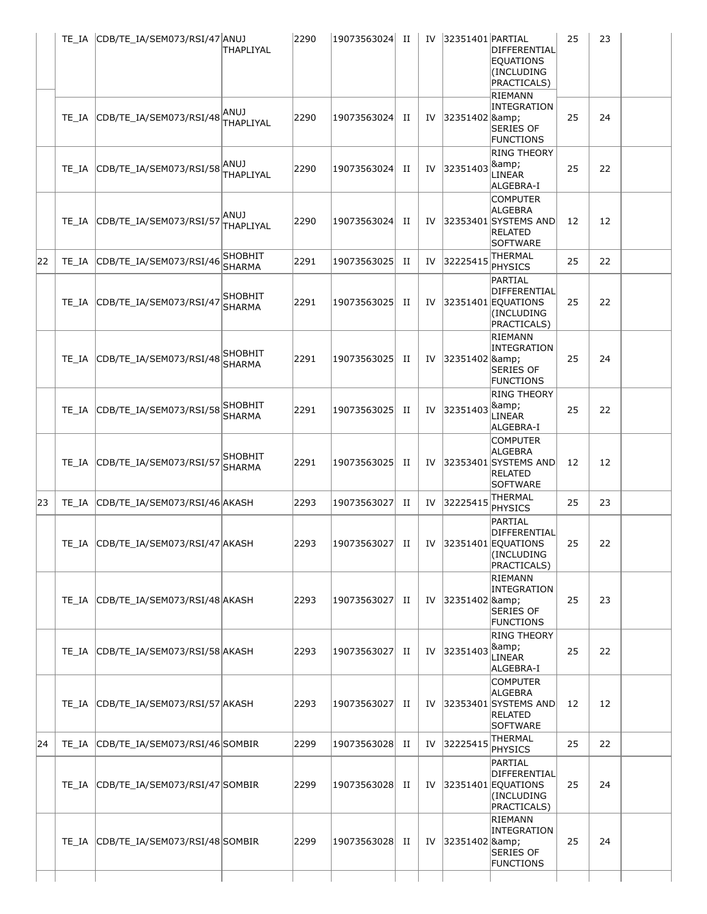|    |       | TE_IA CDB/TE_IA/SEM073/RSI/47 ANUJ      | THAPLIYAL                       | 2290 | 19073563024 | П | IV        | 32351401 PARTIAL    | DIFFERENTIAL<br>EQUATIONS<br>(INCLUDING<br>PRACTICALS)<br>RIEMANN                    | 25 | 23 |
|----|-------|-----------------------------------------|---------------------------------|------|-------------|---|-----------|---------------------|--------------------------------------------------------------------------------------|----|----|
|    |       | TE_IA CDB/TE_IA/SEM073/RSI/48           | ANUJ<br>THAPLIYAL               | 2290 | 19073563024 | П | IV        | 32351402 &          | INTEGRATION<br>SERIES OF<br><b>FUNCTIONS</b>                                         | 25 | 24 |
|    | TE IA | CDB/TE_IA/SEM073/RSI/58 <sup>ANUJ</sup> | THAPLIYAL                       | 2290 | 19073563024 | П | <b>IV</b> | 32351403            | <b>RING THEORY</b><br>&<br>LINEAR<br>ALGEBRA-I                                       | 25 | 22 |
|    |       | TE_IA CDB/TE_IA/SEM073/RSI/57 ANUJ      | THAPLIYAL                       | 2290 | 19073563024 | П | IV        |                     | <b>COMPUTER</b><br>ALGEBRA<br>32353401 SYSTEMS AND<br>RELATED<br><b>SOFTWARE</b>     | 12 | 12 |
| 22 | TE IA | CDB/TE_IA/SEM073/RSI/46                 | <b>SHOBHIT</b><br><b>SHARMA</b> | 2291 | 19073563025 | П | IV        | 32225415            | THERMAL<br>PHYSICS                                                                   | 25 | 22 |
|    |       | TE_IA CDB/TE_IA/SEM073/RSI/47           | SHOBHIT<br><b>SHARMA</b>        | 2291 | 19073563025 | П | IV        |                     | PARTIAL<br>DIFFERENTIAL<br>32351401 EQUATIONS<br>(INCLUDING<br>PRACTICALS)           | 25 | 22 |
|    |       | TE_IA CDB/TE_IA/SEM073/RSI/48           | SHOBHIT<br><b>SHARMA</b>        | 2291 | 19073563025 | П | IV        | 32351402 &          | RIEMANN<br>INTEGRATION<br>SERIES OF<br><b>FUNCTIONS</b>                              | 25 | 24 |
|    |       | TE_IA CDB/TE_IA/SEM073/RSI/58           | SHOBHIT<br><b>SHARMA</b>        | 2291 | 19073563025 | П | IV        | 32351403            | <b>RING THEORY</b><br>&<br>LINEAR<br>ALGEBRA-I                                       | 25 | 22 |
|    |       | TE_IA CDB/TE_IA/SEM073/RSI/57           | <b>SHOBHIT</b><br><b>SHARMA</b> | 2291 | 19073563025 | П | IV        |                     | <b>COMPUTER</b><br>ALGEBRA<br>32353401 SYSTEMS AND<br>RELATED<br>SOFTWARE            | 12 | 12 |
| 23 | TE IA | CDB/TE_IA/SEM073/RSI/46 AKASH           |                                 | 2293 | 19073563027 | П | IV        | 32225415            | <b>THERMAL</b><br>PHYSICS                                                            | 25 | 23 |
|    |       | TE_IA CDB/TE_IA/SEM073/RSI/47 AKASH     |                                 | 2293 | 19073563027 | П |           |                     | PARTIAL<br><b>DIFFERENTIAL</b><br>IV 32351401 EQUATIONS<br>(INCLUDING<br>PRACTICALS) | 25 | 22 |
|    |       | TE_IA CDB/TE_IA/SEM073/RSI/48 AKASH     |                                 | 2293 | 19073563027 | П |           | IV 32351402 & Ramp; | RIEMANN<br>INTEGRATION<br><b>SERIES OF</b><br><b>FUNCTIONS</b>                       | 25 | 23 |
|    | TE IA | CDB/TE_IA/SEM073/RSI/58 AKASH           |                                 | 2293 | 19073563027 | П | IV        | 32351403            | <b>RING THEORY</b><br>&<br>LINEAR<br>ALGEBRA-I                                       | 25 | 22 |
|    |       | TE_IA CDB/TE_IA/SEM073/RSI/57 AKASH     |                                 | 2293 | 19073563027 | п |           |                     | <b>COMPUTER</b><br>ALGEBRA<br>IV 32353401 SYSTEMS AND<br>RELATED<br>SOFTWARE         | 12 | 12 |
| 24 |       | TE_IA CDB/TE_IA/SEM073/RSI/46 SOMBIR    |                                 | 2299 | 19073563028 | П | IV        | 32225415            | <b>THERMAL</b><br>PHYSICS                                                            | 25 | 22 |
|    |       | TE_IA CDB/TE_IA/SEM073/RSI/47 SOMBIR    |                                 | 2299 | 19073563028 | П |           |                     | PARTIAL<br>DIFFERENTIAL<br>IV $ 32351401 $ EQUATIONS<br>(INCLUDING<br>PRACTICALS)    | 25 | 24 |
|    |       | TE_IA CDB/TE_IA/SEM073/RSI/48 SOMBIR    |                                 | 2299 | 19073563028 | п |           | IV 32351402 &       | RIEMANN<br>INTEGRATION<br><b>SERIES OF</b><br>FUNCTIONS                              | 25 | 24 |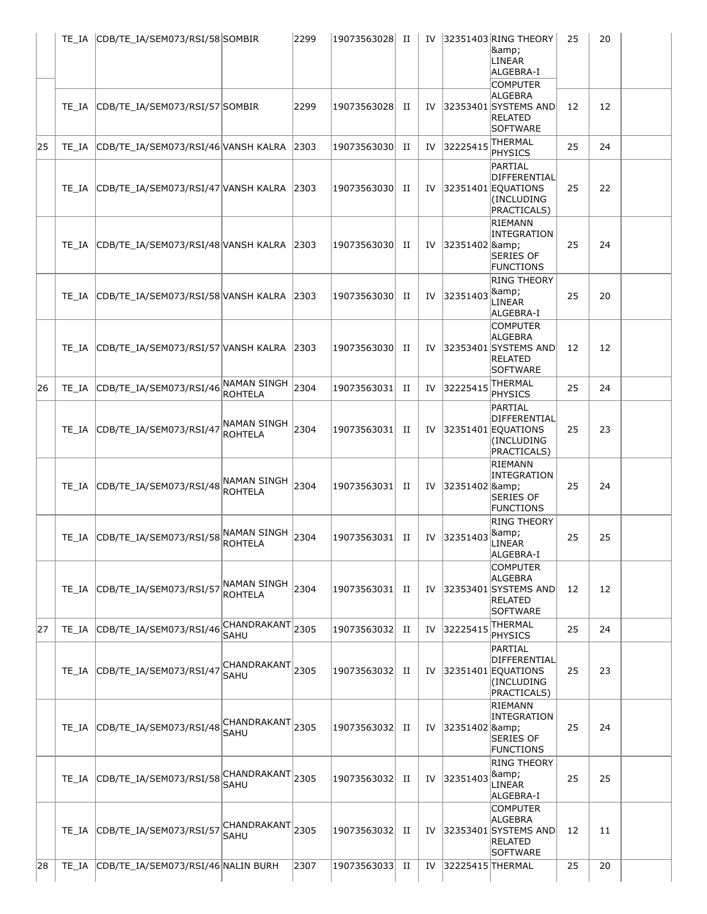|    |       | TE IA CDB/TE IA/SEM073/RSI/58 SOMBIR           |                                     | 2299 | 19073563028 II |   | IV |                  | 32351403 RING THEORY<br>&<br><b>LINEAR</b><br>ALGEBRA-I<br><b>COMPUTER</b>       | 25 | 20 |
|----|-------|------------------------------------------------|-------------------------------------|------|----------------|---|----|------------------|----------------------------------------------------------------------------------|----|----|
|    | TE IA | CDB/TE IA/SEM073/RSI/57 SOMBIR                 |                                     | 2299 | 19073563028    | П | IV |                  | ALGEBRA<br>32353401 SYSTEMS AND<br><b>RELATED</b><br>SOFTWARE                    | 12 | 12 |
| 25 | TE IA | CDB/TE_IA/SEM073/RSI/46 VANSH KALRA            |                                     | 2303 | 19073563030    | п | IV | 32225415         | THERMAL<br>PHYSICS                                                               | 25 | 24 |
|    | TE IA | CDB/TE_IA/SEM073/RSI/47 VANSH KALRA 2303       |                                     |      | 19073563030    | П | IV |                  | PARTIAL<br>DIFFERENTIAL<br>32351401 EQUATIONS<br>(INCLUDING<br>PRACTICALS)       | 25 | 22 |
|    | TE IA | CDB/TE_IA/SEM073/RSI/48 VANSH KALRA 2303       |                                     |      | 19073563030    | П | IV | 32351402 & Ramp; | RIEMANN<br>INTEGRATION<br><b>SERIES OF</b><br><b>FUNCTIONS</b>                   | 25 | 24 |
|    | TE IA | CDB/TE_IA/SEM073/RSI/58 VANSH KALRA 2303       |                                     |      | 19073563030    | П | IV | 32351403         | <b>RING THEORY</b><br>&<br>LINEAR<br>ALGEBRA-I                                   | 25 | 20 |
|    |       | TE IA CDB/TE IA/SEM073/RSI/57 VANSH KALRA 2303 |                                     |      | 19073563030    | П | IV |                  | <b>COMPUTER</b><br>ALGEBRA<br>32353401 SYSTEMS AND<br>RELATED<br>SOFTWARE        | 12 | 12 |
| 26 | TE IA | CDB/TE_IA/SEM073/RSI/46                        | NAMAN SINGH<br><b>ROHTELA</b>       | 2304 | 19073563031    | П | IV | 32225415         | THERMAL<br>PHYSICS                                                               | 25 | 24 |
|    |       | TE_IA CDB/TE_IA/SEM073/RSI/47                  | NAMAN SINGH<br><b>ROHTELA</b>       | 2304 | 19073563031    | H | IV |                  | PARTIAL<br>DIFFERENTIAL<br>32351401 EQUATIONS<br>(INCLUDING<br>PRACTICALS)       | 25 | 23 |
|    |       | TE IA CDB/TE IA/SEM073/RSI/48                  | NAMAN SINGH<br>ROHTELA              | 2304 | 19073563031    | П | IV | 32351402 &       | <b>RIEMANN</b><br>INTEGRATION<br><b>SERIES OF</b><br><b>FUNCTIONS</b>            | 25 | 24 |
|    |       | TE_IA CDB/TE_IA/SEM073/RSI/58                  | NAMAN SINGH<br><b>ROHTELA</b>       | 2304 | 19073563031    | П | IV | 32351403         | <b>RING THEORY</b><br>&<br>LINEAR<br>ALGEBRA-I                                   | 25 | 25 |
|    | TE IA | CDB/TE_IA/SEM073/RSI/57                        | NAMAN SINGH<br>ROHTELA              | 2304 | 19073563031    | П | IV |                  | <b>COMPUTER</b><br>ALGEBRA<br>32353401 SYSTEMS AND<br><b>RELATED</b><br>SOFTWARE | 12 | 12 |
| 27 | TE IA | CDB/TE_IA/SEM073/RSI/46                        | CHANDRAKANT<br>SAHU                 | 2305 | 19073563032    | H | IV | 32225415         | THERMAL<br>PHYSICS                                                               | 25 | 24 |
|    | TE IA | CDB/TE_IA/SEM073/RSI/47                        | CHANDRAKANT<br><b>SAHU</b>          | 2305 | 19073563032    | H | IV |                  | PARTIAL<br>DIFFERENTIAL<br>32351401 EQUATIONS<br>(INCLUDING<br>PRACTICALS)       | 25 | 23 |
|    | TE IA | CDB/TE_IA/SEM073/RSI/48                        | $ CHANDRAKANT $ 2305<br><b>SAHU</b> |      | 19073563032    | п | IV | 32351402 &       | RIEMANN<br><b>INTEGRATION</b><br><b>SERIES OF</b><br><b>FUNCTIONS</b>            | 25 | 24 |
|    | TE IA | CDB/TE_IA/SEM073/RSI/58                        | CHANDRAKANT 2305<br><b>SAHU</b>     |      | 19073563032    | П | IV | 32351403         | RING THEORY<br>&<br>LINEAR<br>ALGEBRA-I                                          | 25 | 25 |
|    | TE IA | CDB/TE_IA/SEM073/RSI/57                        | CHANDRAKANT<br><b>SAHU</b>          | 2305 | 19073563032    | п | IV |                  | <b>COMPUTER</b><br>ALGEBRA<br>32353401 SYSTEMS AND<br><b>RELATED</b><br>SOFTWARE | 12 | 11 |
| 28 | TE IA | CDB/TE_IA/SEM073/RSI/46 NALIN BURH             |                                     | 2307 | 19073563033    | П | IV | 32225415 THERMAL |                                                                                  | 25 | 20 |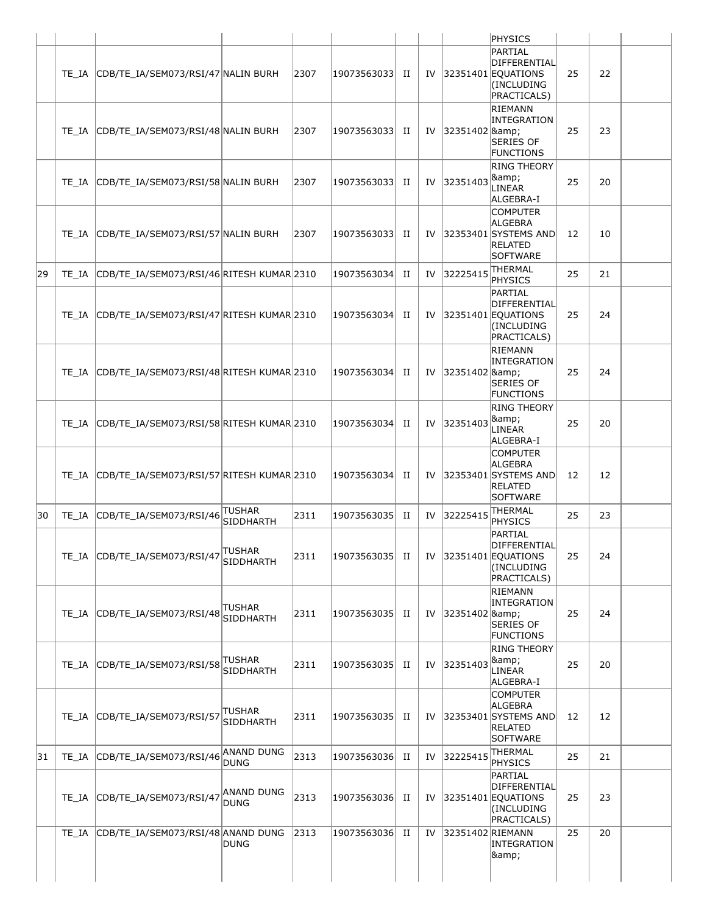|    |                                                 |                                   |      |                |   |    |                     | PHYSICS                                                                             |    |    |  |
|----|-------------------------------------------------|-----------------------------------|------|----------------|---|----|---------------------|-------------------------------------------------------------------------------------|----|----|--|
|    | TE_IA CDB/TE_IA/SEM073/RSI/47 NALIN BURH        |                                   | 2307 | 19073563033 II |   |    |                     | PARTIAL<br>DIFFERENTIAL<br>IV $ 32351401 $ EQUATIONS<br>(INCLUDING<br>PRACTICALS)   | 25 | 22 |  |
|    | TE_IA CDB/TE_IA/SEM073/RSI/48 NALIN BURH        |                                   | 2307 | 19073563033 II |   |    | IV 32351402 & Ramp; | RIEMANN<br>INTEGRATION<br><b>SERIES OF</b><br><b>FUNCTIONS</b>                      | 25 | 23 |  |
|    | TE IA CDB/TE IA/SEM073/RSI/58 NALIN BURH        |                                   | 2307 | 19073563033 II |   | IV | 32351403            | <b>RING THEORY</b><br>&<br>LINEAR<br>ALGEBRA-I                                      | 25 | 20 |  |
|    | TE IA CDB/TE IA/SEM073/RSI/57 NALIN BURH        |                                   | 2307 | 19073563033 II |   |    |                     | <b>COMPUTER</b><br>ALGEBRA<br>IV 32353401 SYSTEMS AND<br><b>RELATED</b><br>SOFTWARE | 12 | 10 |  |
| 29 | TE_IA CDB/TE_IA/SEM073/RSI/46 RITESH KUMAR 2310 |                                   |      | 19073563034 II |   | IV | 32225415            | <b>THERMAL</b><br>PHYSICS                                                           | 25 | 21 |  |
|    | TE_IA CDB/TE_IA/SEM073/RSI/47 RITESH KUMAR 2310 |                                   |      | 19073563034 II |   | IV |                     | PARTIAL<br>DIFFERENTIAL<br>32351401 EQUATIONS<br>(INCLUDING<br>PRACTICALS)          | 25 | 24 |  |
|    | TE_IA CDB/TE_IA/SEM073/RSI/48 RITESH KUMAR 2310 |                                   |      | 19073563034    | п |    | IV 32351402 & Ramp; | RIEMANN<br>INTEGRATION<br><b>SERIES OF</b><br><b>FUNCTIONS</b>                      | 25 | 24 |  |
|    | TE_IA CDB/TE_IA/SEM073/RSI/58 RITESH KUMAR 2310 |                                   |      | 19073563034 II |   | IV | 32351403            | <b>RING THEORY</b><br>&<br>LINEAR<br>ALGEBRA-I                                      | 25 | 20 |  |
|    | TE_IA CDB/TE_IA/SEM073/RSI/57 RITESH KUMAR 2310 |                                   |      | 19073563034    | H | IV |                     | <b>COMPUTER</b><br>ALGEBRA<br>32353401 SYSTEMS AND<br><b>RELATED</b><br>SOFTWARE    | 12 | 12 |  |
| 30 | TE_IA CDB/TE_IA/SEM073/RSI/46                   | <b>TUSHAR</b><br>SIDDHARTH        | 2311 | 19073563035    | H | IV | 32225415            | <b>THERMAL</b><br>PHYSICS                                                           | 25 | 23 |  |
|    | TE_IA CDB/TE_IA/SEM073/RSI/47                   | <b>TUSHAR</b><br><b>SIDDHARTH</b> | 2311 | 19073563035 II |   | IV |                     | PARTIAL<br>DIFFERENTIAL<br>$ 32351401 $ EQUATIONS<br>(INCLUDING<br>PRACTICALS)      | 25 | 24 |  |
|    | TE_IA CDB/TE_IA/SEM073/RSI/48                   | TUSHAR<br><b>SIDDHARTH</b>        | 2311 | 19073563035 II |   | IV | 32351402 & Ramp;    | RIEMANN<br>INTEGRATION<br><b>SERIES OF</b><br><b>FUNCTIONS</b>                      | 25 | 24 |  |
|    | TE_IA CDB/TE_IA/SEM073/RSI/58                   | TUSHAR<br>SIDDHARTH               | 2311 | 19073563035    | H | IV | 32351403            | <b>RING THEORY</b><br>&<br>LINEAR<br>ALGEBRA-I                                      | 25 | 20 |  |
|    | TE_IA CDB/TE_IA/SEM073/RSI/57                   | TUSHAR<br><b>SIDDHARTH</b>        | 2311 | 19073563035    | п | IV |                     | <b>COMPUTER</b><br>ALGEBRA<br>32353401 SYSTEMS AND<br>RELATED<br>SOFTWARE           | 12 | 12 |  |
| 31 | TE_IA CDB/TE_IA/SEM073/RSI/46                   | <b>ANAND DUNG</b><br><b>DUNG</b>  | 2313 | 19073563036    | П | IV | 32225415            | <b>THERMAL</b><br><b>PHYSICS</b>                                                    | 25 | 21 |  |
|    | TE_IA CDB/TE_IA/SEM073/RSI/47                   | <b>ANAND DUNG</b><br><b>DUNG</b>  | 2313 | 19073563036 II |   | IV |                     | PARTIAL<br>DIFFERENTIAL<br>32351401 EQUATIONS<br>(INCLUDING<br>PRACTICALS)          | 25 | 23 |  |
|    | TE_IA CDB/TE_IA/SEM073/RSI/48 ANAND DUNG        | <b>DUNG</b>                       | 2313 | 19073563036    | П | IV | 32351402 RIEMANN    | INTEGRATION<br>&                                                                    | 25 | 20 |  |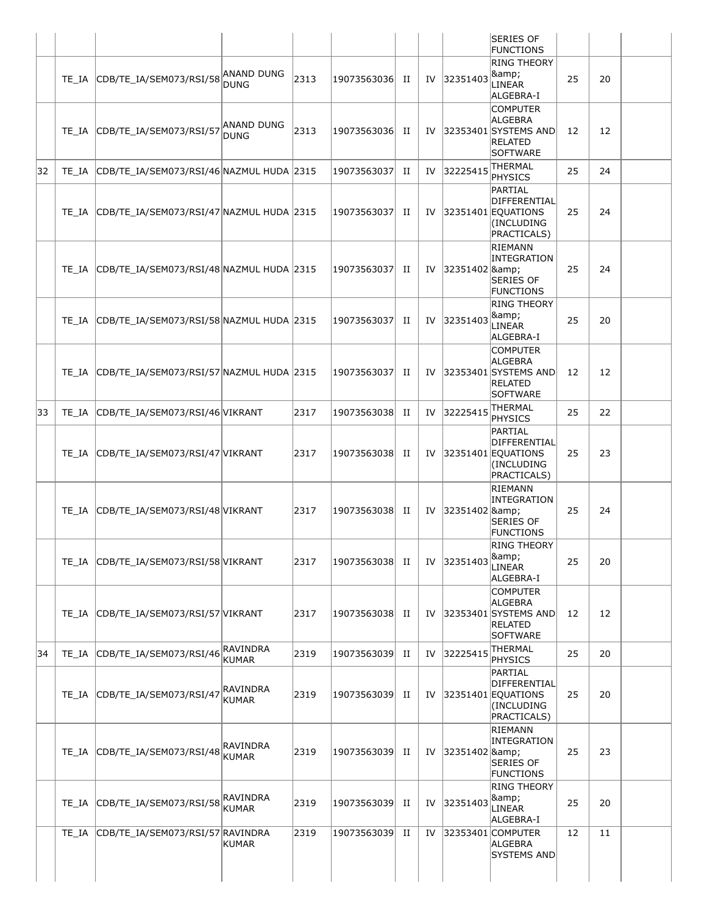|    |                                                |                                  |      |                 |   |    |               | <b>SERIES OF</b><br><b>FUNCTIONS</b>                                                  |    |    |
|----|------------------------------------------------|----------------------------------|------|-----------------|---|----|---------------|---------------------------------------------------------------------------------------|----|----|
|    | TE_IA CDB/TE_IA/SEM073/RSI/58                  | <b>ANAND DUNG</b><br><b>DUNG</b> | 2313 | 19073563036     | H | IV | 32351403      | <b>RING THEORY</b><br><b>&amp;</b> ;<br>LINEAR<br>ALGEBRA-I                           | 25 | 20 |
|    | TE_IA CDB/TE_IA/SEM073/RSI/57                  | <b>ANAND DUNG</b><br><b>DUNG</b> | 2313 | 19073563036  II |   | IV |               | <b>COMPUTER</b><br>ALGEBRA<br>32353401 SYSTEMS AND<br><b>RELATED</b><br>SOFTWARE      | 12 | 12 |
| 32 | TE_IA CDB/TE_IA/SEM073/RSI/46 NAZMUL HUDA 2315 |                                  |      | 19073563037     | H | IV | 32225415      | <b>THERMAL</b><br><b>PHYSICS</b>                                                      | 25 | 24 |
|    | TE_IA CDB/TE_IA/SEM073/RSI/47 NAZMUL HUDA 2315 |                                  |      | 19073563037     | H | IV |               | PARTIAL<br>DIFFERENTIAL<br>$ 32351401 $ EQUATIONS<br>(INCLUDING<br>PRACTICALS)        | 25 | 24 |
|    | TE_IA CDB/TE_IA/SEM073/RSI/48 NAZMUL HUDA 2315 |                                  |      | 19073563037     | H | IV | 32351402 &    | RIEMANN<br>INTEGRATION<br><b>SERIES OF</b><br><b>FUNCTIONS</b>                        | 25 | 24 |
|    | TE_IA CDB/TE_IA/SEM073/RSI/58 NAZMUL HUDA 2315 |                                  |      | 19073563037     | п | IV | 32351403      | <b>RING THEORY</b><br>&<br>LINEAR<br>ALGEBRA-I                                        | 25 | 20 |
|    | TE_IA CDB/TE_IA/SEM073/RSI/57 NAZMUL HUDA 2315 |                                  |      | 19073563037     | п | IV |               | <b>COMPUTER</b><br>ALGEBRA<br>32353401 SYSTEMS AND<br><b>RELATED</b><br>SOFTWARE      | 12 | 12 |
| 33 | TE IA CDB/TE IA/SEM073/RSI/46 VIKRANT          |                                  | 2317 | 19073563038     | H | IV | 32225415      | <b>THERMAL</b><br><b>PHYSICS</b>                                                      | 25 | 22 |
|    | TE IA CDB/TE IA/SEM073/RSI/47 VIKRANT          |                                  | 2317 | 19073563038     | п | IV |               | PARTIAL<br><b>DIFFERENTIAL</b><br>$ 32351401 $ EQUATIONS<br>(INCLUDING<br>PRACTICALS) | 25 | 23 |
|    | TE IA CDB/TE IA/SEM073/RSI/48 VIKRANT          |                                  | 2317 | 19073563038 II  |   |    | IV 32351402 & | RIEMANN<br>INTEGRATION<br><b>SERIES OF</b><br><b>FUNCTIONS</b>                        | 25 | 24 |
|    | TE IA CDB/TE IA/SEM073/RSI/58 VIKRANT          |                                  | 2317 | 19073563038  II |   | IV | 32351403      | <b>RING THEORY</b><br>&<br>LINEAR<br>ALGEBRA-I                                        | 25 | 20 |
|    | TE_IA CDB/TE_IA/SEM073/RSI/57 VIKRANT          |                                  | 2317 | 19073563038 II  |   | IV |               | <b>COMPUTER</b><br>ALGEBRA<br>32353401 SYSTEMS AND<br><b>RELATED</b><br>SOFTWARE      | 12 | 12 |
| 34 | TE_IA CDB/TE_IA/SEM073/RSI/46                  | RAVINDRA<br><b>KUMAR</b>         | 2319 | 19073563039     | H | IV | 32225415      | THERMAL<br>PHYSICS                                                                    | 25 | 20 |
|    | TE_IA CDB/TE_IA/SEM073/RSI/47                  | RAVINDRA<br><b>KUMAR</b>         | 2319 | 19073563039     | П | IV |               | PARTIAL<br>DIFFERENTIAL<br>32351401 EQUATIONS<br>(INCLUDING<br>PRACTICALS)            | 25 | 20 |
|    | TE_IA CDB/TE_IA/SEM073/RSI/48                  | RAVINDRA<br><b>KUMAR</b>         | 2319 | 19073563039     | п | IV | 32351402 &    | RIEMANN<br>INTEGRATION<br><b>SERIES OF</b><br><b>FUNCTIONS</b>                        | 25 | 23 |
|    | TE_IA CDB/TE_IA/SEM073/RSI/58                  | RAVINDRA<br><b>KUMAR</b>         | 2319 | 19073563039     | п | IV | 32351403      | <b>RING THEORY</b><br>&<br>LINEAR<br>ALGEBRA-I                                        | 25 | 20 |
|    | TE_IA CDB/TE_IA/SEM073/RSI/57 RAVINDRA         | <b>KUMAR</b>                     | 2319 | 19073563039     | H | IV |               | 32353401 COMPUTER<br>ALGEBRA<br><b>SYSTEMS AND</b>                                    | 12 | 11 |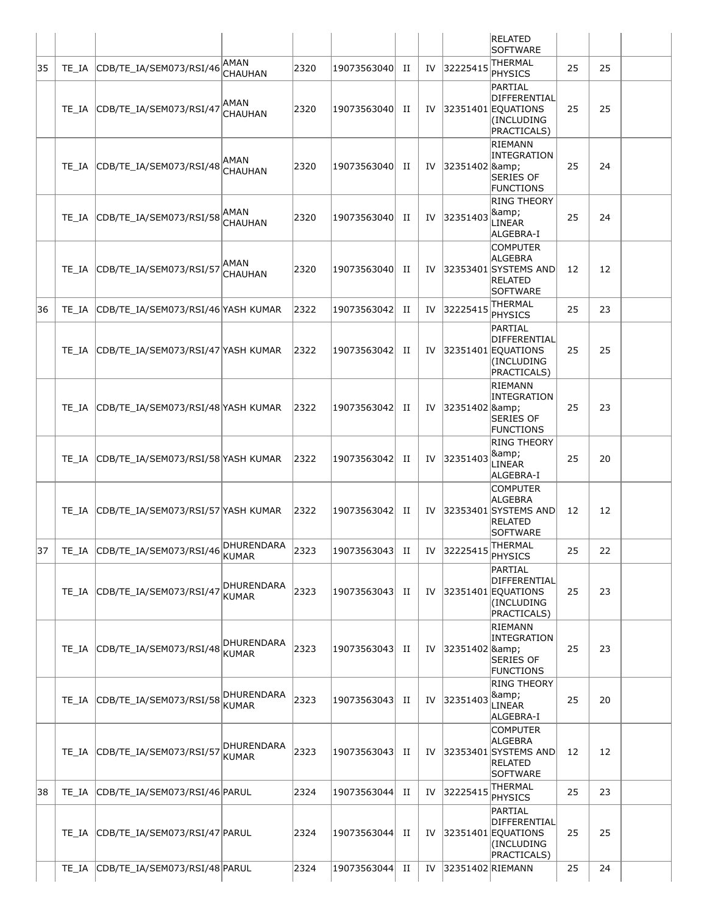|    |       |                                           |                            |      |             |   |    |                     | <b>RELATED</b><br><b>SOFTWARE</b>                                                          |    |    |  |
|----|-------|-------------------------------------------|----------------------------|------|-------------|---|----|---------------------|--------------------------------------------------------------------------------------------|----|----|--|
| 35 | TE IA | CDB/TE_IA/SEM073/RSI/46                   | AMAN<br><b>CHAUHAN</b>     | 2320 | 19073563040 | П | IV | 32225415            | <b>THERMAL</b><br>PHYSICS                                                                  | 25 | 25 |  |
|    | TE IA | CDB/TE IA/SEM073/RSI/47                   | <b>AMAN</b><br>CHAUHAN     | 2320 | 19073563040 | П |    |                     | PARTIAL<br>DIFFERENTIAL<br>IV 32351401 EQUATIONS<br>(INCLUDING<br>PRACTICALS)              | 25 | 25 |  |
|    | TE IA | CDB/TE_IA/SEM073/RSI/48                   | AMAN<br>CHAUHAN            | 2320 | 19073563040 | п |    | IV 32351402 & Ramp; | <b>RIEMANN</b><br>INTEGRATION<br><b>SERIES OF</b><br><b>FUNCTIONS</b>                      | 25 | 24 |  |
|    | TE IA | CDB/TE_IA/SEM073/RSI/58 <sup> </sup> AMAN | CHAUHAN                    | 2320 | 19073563040 | П | IV | 32351403            | <b>RING THEORY</b><br>&<br><b>LINEAR</b><br>ALGEBRA-I                                      | 25 | 24 |  |
|    | TE IA | CDB/TE_IA/SEM073/RSI/57                   | AMAN<br><b>CHAUHAN</b>     | 2320 | 19073563040 | П |    |                     | <b>COMPUTER</b><br><b>ALGEBRA</b><br>IV 32353401 SYSTEMS AND<br>RELATED<br><b>SOFTWARE</b> | 12 | 12 |  |
| 36 | TE IA | CDB/TE_IA/SEM073/RSI/46 YASH KUMAR        |                            | 2322 | 19073563042 | П | IV | 32225415            | THERMAL<br><b>PHYSICS</b>                                                                  | 25 | 23 |  |
|    | TE IA | CDB/TE_IA/SEM073/RSI/47 YASH KUMAR        |                            | 2322 | 19073563042 | п |    |                     | PARTIAL<br>DIFFERENTIAL<br>IV 32351401 EQUATIONS<br>(INCLUDING<br>PRACTICALS)              | 25 | 25 |  |
|    | TE IA | CDB/TE_IA/SEM073/RSI/48 YASH KUMAR        |                            | 2322 | 19073563042 | П |    | IV 32351402 &       | RIEMANN<br>INTEGRATION<br><b>SERIES OF</b><br><b>FUNCTIONS</b>                             | 25 | 23 |  |
|    | TE IA | CDB/TE_IA/SEM073/RSI/58 YASH KUMAR        |                            | 2322 | 19073563042 | П | IV | 32351403            | <b>RING THEORY</b><br>&<br>LINEAR<br>ALGEBRA-I                                             | 25 | 20 |  |
|    | TE IA | CDB/TE_IA/SEM073/RSI/57 YASH KUMAR        |                            | 2322 | 19073563042 | П | IV |                     | <b>COMPUTER</b><br><b>ALGEBRA</b><br>32353401 SYSTEMS AND<br><b>RELATED</b><br>SOFTWARE    | 12 | 12 |  |
| 37 |       | TE_IA CDB/TE_IA/SEM073/RSI/46             | DHURENDARA<br>KUMAR        | 2323 | 19073563043 | П |    | IV 32225415         | THERMAL<br>PHYSICS                                                                         | 25 | 22 |  |
|    | TE IA | CDB/TE IA/SEM073/RSI/47                   | DHURENDARA<br>KUMAR        | 2323 | 19073563043 | п |    |                     | PARTIAL<br>DIFFERENTIAL<br>IV $ 32351401 $ EQUATIONS<br>(INCLUDING<br>PRACTICALS)          | 25 | 23 |  |
|    | TE IA | CDB/TE_IA/SEM073/RSI/48                   | DHURENDARA<br><b>KUMAR</b> | 2323 | 19073563043 | П | IV | 32351402 &          | RIEMANN<br>INTEGRATION<br><b>SERIES OF</b><br><b>FUNCTIONS</b>                             | 25 | 23 |  |
|    | TE IA | CDB/TE_IA/SEM073/RSI/58                   | DHURENDARA<br><b>KUMAR</b> | 2323 | 19073563043 | п |    | IV 32351403         | <b>RING THEORY</b><br>&<br><b>LINEAR</b><br>ALGEBRA-I                                      | 25 | 20 |  |
|    | TE IA | CDB/TE_IA/SEM073/RSI/57                   | DHURENDARA<br>KUMAR        | 2323 | 19073563043 | П |    |                     | <b>COMPUTER</b><br><b>ALGEBRA</b><br>IV 32353401 SYSTEMS AND<br><b>RELATED</b><br>SOFTWARE | 12 | 12 |  |
| 38 | TE IA | CDB/TE_IA/SEM073/RSI/46 PARUL             |                            | 2324 | 19073563044 | П | IV | 32225415            | <b>THERMAL</b><br>PHYSICS                                                                  | 25 | 23 |  |
|    | TE IA | CDB/TE_IA/SEM073/RSI/47 PARUL             |                            | 2324 | 19073563044 | П |    |                     | PARTIAL<br>DIFFERENTIAL<br>IV 32351401 EQUATIONS<br>(INCLUDING<br>PRACTICALS)              | 25 | 25 |  |
|    | TE IA | CDB/TE_IA/SEM073/RSI/48 PARUL             |                            | 2324 | 19073563044 | П | IV | 32351402 RIEMANN    |                                                                                            | 25 | 24 |  |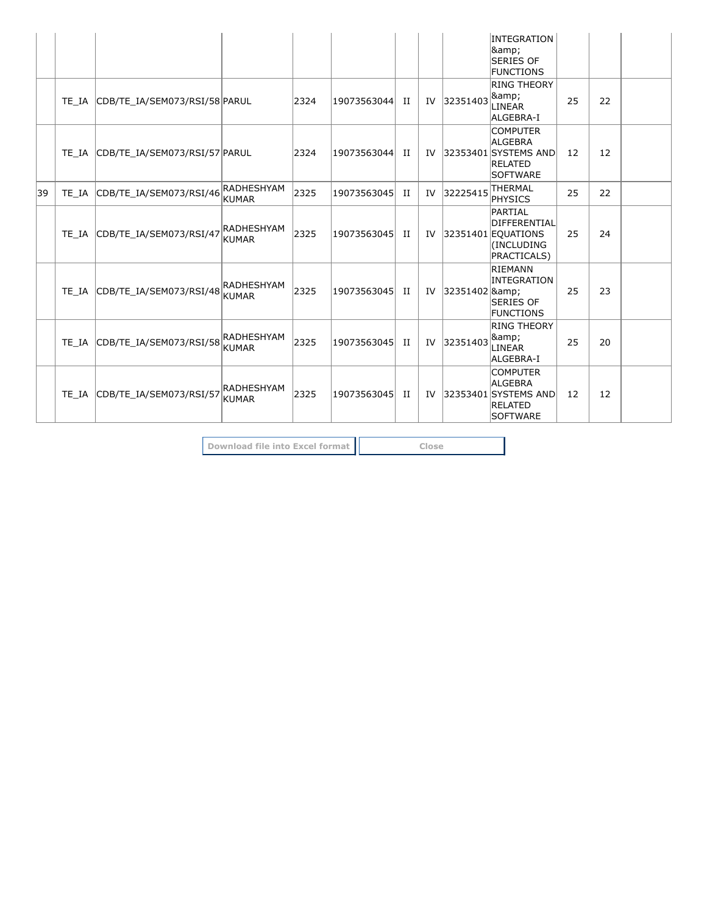|    |                                     |                                   |      |             |   |    |            | INTEGRATION<br>&<br><b>SERIES OF</b><br><b>FUNCTIONS</b>                                |    |    |  |
|----|-------------------------------------|-----------------------------------|------|-------------|---|----|------------|-----------------------------------------------------------------------------------------|----|----|--|
|    | TE IA CDB/TE IA/SEM073/RSI/58 PARUL |                                   | 2324 | 19073563044 | H | IV | 32351403   | <b>RING THEORY</b><br> &<br>LINEAR<br>ALGEBRA-I                                         | 25 | 22 |  |
|    | TE IA CDB/TE IA/SEM073/RSI/57 PARUL |                                   | 2324 | 19073563044 | H | IV |            | <b>COMPUTER</b><br>ALGEBRA<br>32353401 SYSTEMS AND<br><b>RELATED</b><br><b>SOFTWARE</b> | 12 | 12 |  |
| 39 | TE IA CDB/TE IA/SEM073/RSI/46       | RADHESHYAM<br><b>KUMAR</b>        | 2325 | 19073563045 | П | IV | 32225415   | <b>THERMAL</b><br>PHYSICS                                                               | 25 | 22 |  |
|    | TE IA CDB/TE IA/SEM073/RSI/47       | RADHESHYAM<br><b>KUMAR</b>        | 2325 | 19073563045 | H | IV |            | PARTIAL<br>DIFFERENTIAL<br>32351401 EQUATIONS<br>(INCLUDING<br>PRACTICALS)              | 25 | 24 |  |
|    | TE_IA CDB/TE_IA/SEM073/RSI/48       | <b>RADHESHYAM</b><br><b>KUMAR</b> | 2325 | 19073563045 | H | IV | 32351402 & | RIEMANN<br>INTEGRATION<br><b>SERIES OF</b><br><b>FUNCTIONS</b>                          | 25 | 23 |  |
|    | TE IA CDB/TE IA/SEM073/RSI/58       | <b>RADHESHYAM</b><br><b>KUMAR</b> | 2325 | 19073563045 | H | IV | 32351403   | <b>RING THEORY</b><br>&<br>LINEAR<br>ALGEBRA-I                                          | 25 | 20 |  |
|    | TE IA CDB/TE IA/SEM073/RSI/57       | <b>RADHESHYAM</b><br>KUMAR        | 2325 | 19073563045 | H | IV |            | <b>COMPUTER</b><br>ALGEBRA<br>32353401 SYSTEMS AND<br><b>RELATED</b><br>SOFTWARE        | 12 | 12 |  |

**Download file into Excel format Close**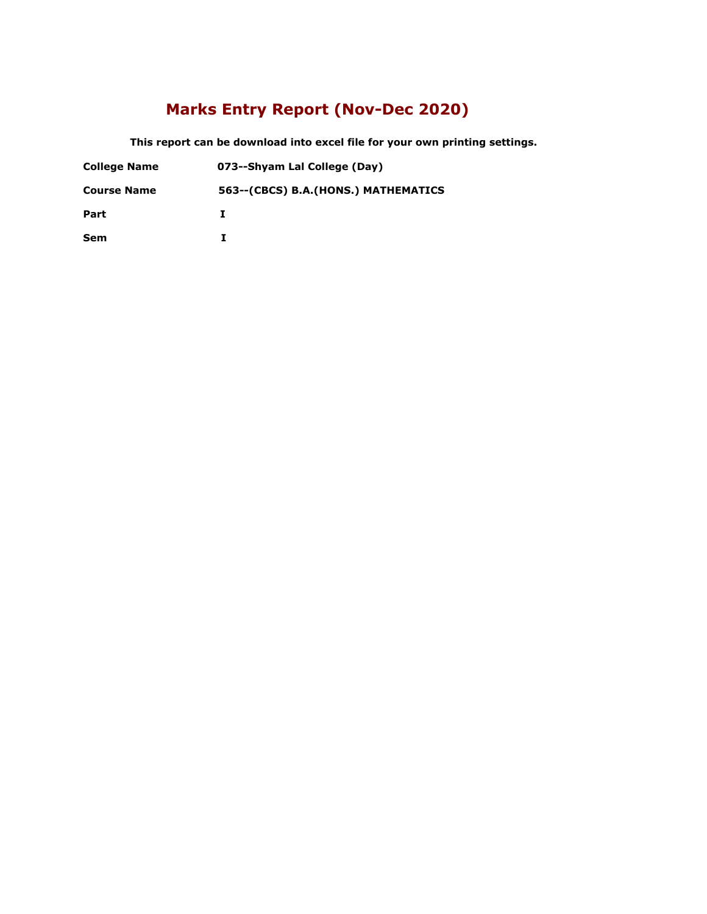### **Marks Entry Report (Nov-Dec 2020)**

 **This report can be download into excel file for your own printing settings.** 

| <b>College Name</b> | 073--Shyam Lal College (Day) |
|---------------------|------------------------------|
|---------------------|------------------------------|

**Course Name 563--(CBCS) B.A.(HONS.) MATHEMATICS**

**Part I**

**Sem I**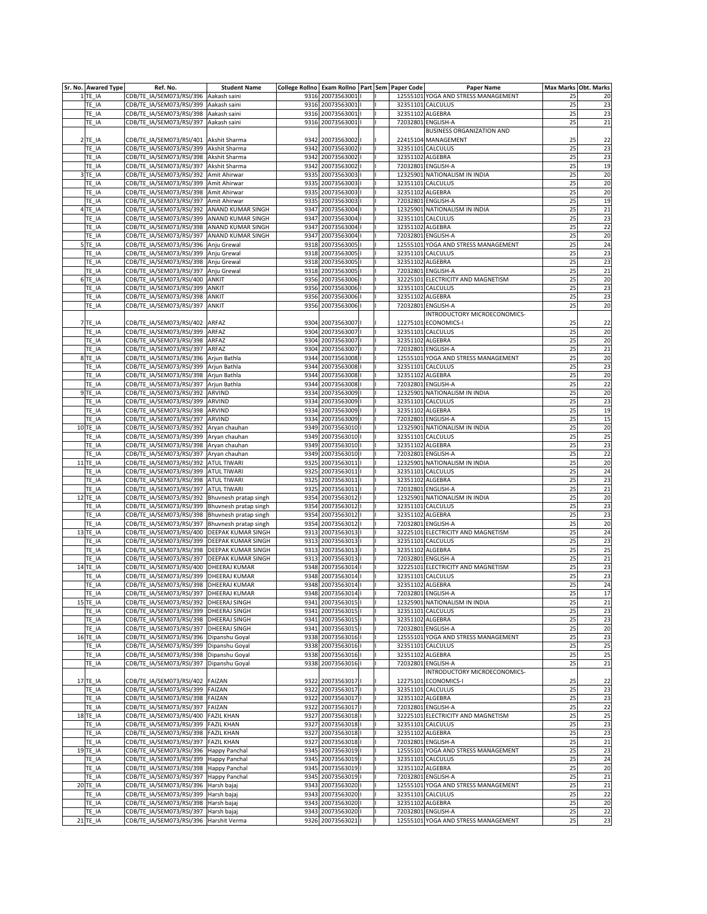| Sr. No.   Awared Type | Ref. No.                                         | <b>Student Name</b> | College Rollno   Exam Rollno   Part   Sem   Paper Code |                      |  |                  | <b>Paper Name</b>                   |          | Max Marks Obt. Marks |
|-----------------------|--------------------------------------------------|---------------------|--------------------------------------------------------|----------------------|--|------------------|-------------------------------------|----------|----------------------|
| $1$ TE_IA             | CDB/TE_IA/SEM073/RSI/396 Aakash saini            |                     |                                                        | 9316 20073563001     |  |                  | 12555101 YOGA AND STRESS MANAGEMENT | 25       | 20                   |
| TE IA                 | CDB/TE_IA/SEM073/RSI/399 Aakash saini            |                     |                                                        | 9316 20073563001     |  |                  | 32351101 CALCULUS                   | 25       | 23                   |
| TE_IA                 | CDB/TE_IA/SEM073/RSI/398 Aakash saini            |                     |                                                        | 9316 20073563001     |  | 32351102 ALGEBRA |                                     | 25       | 23                   |
| $TE_l$ IA             | CDB/TE IA/SEM073/RSI/397                         | Aakash saini        |                                                        | 9316 20073563001     |  |                  | 72032801 ENGLISH-A                  | 25       | 21                   |
|                       |                                                  |                     |                                                        |                      |  |                  | <b>BUSINESS ORGANIZATION AND</b>    |          |                      |
| $2TE$ IA              | CDB/TE_IA/SEM073/RSI/401   Akshit Sharma         |                     |                                                        | 9342 20073563002     |  |                  | 22415104 MANAGEMENT                 | 25       | 22                   |
| TE_IA                 | CDB/TE_IA/SEM073/RSI/399 Akshit Sharma           |                     |                                                        | 9342 20073563002     |  |                  | 32351101 CALCULUS                   | 25       | 23                   |
| TE_IA                 | CDB/TE_IA/SEM073/RSI/398 Akshit Sharma           |                     |                                                        | 9342 20073563002   I |  | 32351102 ALGEBRA |                                     | 25       | 23                   |
| TE_IA                 | CDB/TE_IA/SEM073/RSI/397 Akshit Sharma           |                     |                                                        | 9342 20073563002     |  |                  | 72032801 ENGLISH-A                  | 25       | 19                   |
|                       |                                                  |                     |                                                        |                      |  |                  | 12325901 NATIONALISM IN INDIA       |          |                      |
| 3TE_IA                | CDB/TE_IA/SEM073/RSI/392 Amit Ahirwar            |                     |                                                        | 9335 20073563003   I |  |                  |                                     | 25       | 20                   |
| TE_IA                 | CDB/TE_IA/SEM073/RSI/399 Amit Ahirwar            |                     |                                                        | 9335 20073563003     |  |                  | 32351101 CALCULUS                   | 25       | 20                   |
| TE IA                 | CDB/TE_IA/SEM073/RSI/398 Amit Ahirwar            |                     |                                                        | 9335 20073563003     |  | 32351102 ALGEBRA |                                     | 25       | 20                   |
| TE_IA                 | CDB/TE_IA/SEM073/RSI/397 Amit Ahirwar            |                     |                                                        | 9335 20073563003     |  |                  | 72032801 ENGLISH-A                  | 25       | 19                   |
| 4TE_IA                | CDB/TE_IA/SEM073/RSI/392 ANAND KUMAR SINGH       |                     |                                                        | 9347 20073563004     |  |                  | 12325901 NATIONALISM IN INDIA       | 25       | 21                   |
| TE_IA                 | CDB/TE_IA/SEM073/RSI/399 ANAND KUMAR SINGH       |                     |                                                        | 9347 20073563004     |  |                  | 32351101 CALCULUS                   | 25       | 23                   |
| TE_IA                 | CDB/TE_IA/SEM073/RSI/398 ANAND KUMAR SINGH       |                     |                                                        | 9347 20073563004     |  | 32351102 ALGEBRA |                                     | 25       | $\overline{22}$      |
| $TE_l$ IA             | CDB/TE_IA/SEM073/RSI/397 ANAND KUMAR SINGH       |                     |                                                        | 9347 20073563004     |  |                  | 72032801 ENGLISH-A                  | 25       | 20                   |
| $5$ TE_IA             | CDB/TE_IA/SEM073/RSI/396 Anju Grewal             |                     |                                                        | 9318 20073563005     |  |                  | 12555101 YOGA AND STRESS MANAGEMENT | 25       | 24                   |
| TE IA                 | CDB/TE_IA/SEM073/RSI/399 Anju Grewal             |                     |                                                        | 9318 20073563005     |  |                  | 32351101 CALCULUS                   | 25       | 23                   |
| TE_IA                 | CDB/TE_IA/SEM073/RSI/398 Anju Grewal             |                     |                                                        | 9318 20073563005     |  | 32351102 ALGEBRA |                                     | 25       | 23                   |
| $TE_lA$               | CDB/TE_IA/SEM073/RSI/397                         | Anju Grewal         |                                                        | 9318 20073563005     |  |                  | 72032801 ENGLISH-A                  | 25       | 21                   |
| $6$ TE_IA             | CDB/TE_IA/SEM073/RSI/400 ANKIT                   |                     |                                                        | 9356 20073563006 1   |  |                  | 32225101 ELECTRICITY AND MAGNETISM  | 25       | 20                   |
| TE_IA                 | CDB/TE_IA/SEM073/RSI/399 ANKIT                   |                     |                                                        | 9356 20073563006 1   |  |                  | 32351101 CALCULUS                   | 25       | 23                   |
| TE_IA                 | CDB/TE_IA/SEM073/RSI/398 ANKIT                   |                     |                                                        | 9356 20073563006     |  | 32351102 ALGEBRA |                                     | 25       | 23                   |
| TE_IA                 | CDB/TE_IA/SEM073/RSI/397                         | ANKIT               |                                                        | 9356 20073563006     |  |                  | 72032801 ENGLISH-A                  | 25       | 20                   |
|                       |                                                  |                     |                                                        |                      |  |                  | <b>INTRODUCTORY MICROECONOMICS-</b> |          |                      |
| 7TE_IA                | CDB/TE_IA/SEM073/RSI/402 ARFAZ                   |                     |                                                        | 9304 20073563007   I |  |                  | 12275101 ECONOMICS-I                | 25       | 22                   |
| TE_IA                 | CDB/TE_IA/SEM073/RSI/399 ARFAZ                   |                     |                                                        | 9304 20073563007     |  |                  | 32351101 CALCULUS                   | 25       | 20                   |
| TE IA                 | CDB/TE IA/SEM073/RSI/398 ARFAZ                   |                     |                                                        | 9304 20073563007   I |  | 32351102 ALGEBRA |                                     | 25       | 20                   |
| TE IA                 | CDB/TE_IA/SEM073/RSI/397 ARFAZ                   |                     |                                                        | 9304 20073563007   I |  |                  | 72032801 ENGLISH-A                  | 25       | 21                   |
| 8TE_IA                | CDB/TE_IA/SEM073/RSI/396 Arjun Bathla            |                     |                                                        | 9344 20073563008   I |  |                  | 12555101 YOGA AND STRESS MANAGEMENT | 25       | 20                   |
| TE IA                 | CDB/TE_IA/SEM073/RSI/399   Arjun Bathla          |                     |                                                        | 9344 20073563008   I |  |                  | 32351101 CALCULUS                   | 25       | 23                   |
|                       | CDB/TE IA/SEM073/RSI/398 Arjun Bathla            |                     |                                                        | 9344 20073563008   I |  | 32351102 ALGEBRA |                                     | 25       |                      |
| TE_IA                 |                                                  |                     |                                                        |                      |  |                  |                                     |          | 20                   |
| TE_IA                 | CDB/TE_IA/SEM073/RSI/397 Arjun Bathla            |                     |                                                        | 9344 20073563008   I |  |                  | 72032801 ENGLISH-A                  | 25       | 22                   |
| $9$ TE_IA             | CDB/TE_IA/SEM073/RSI/392 ARVIND                  |                     |                                                        | 9334 20073563009   I |  |                  | 12325901 NATIONALISM IN INDIA       | 25       | 20                   |
| TE_IA                 | CDB/TE_IA/SEM073/RSI/399 ARVIND                  |                     |                                                        | 9334 20073563009     |  |                  | 32351101 CALCULUS                   | 25       | 23                   |
| TE_IA                 | CDB/TE_IA/SEM073/RSI/398 ARVIND                  |                     |                                                        | 9334 20073563009   I |  | 32351102 ALGEBRA |                                     | 25       | 19                   |
| TE IA                 | CDB/TE_IA/SEM073/RSI/397 ARVIND                  |                     |                                                        | 9334 20073563009     |  |                  | 72032801 ENGLISH-A                  | 25       | 15                   |
| $10$ TE_IA            | CDB/TE_IA/SEM073/RSI/392   Aryan chauhan         |                     |                                                        | 9349 20073563010   I |  |                  | 12325901 NATIONALISM IN INDIA       | 25       | 20                   |
| TE_IA                 | CDB/TE_IA/SEM073/RSI/399   Aryan chauhan         |                     |                                                        | 9349 20073563010     |  |                  | 32351101 CALCULUS                   | 25       | 25                   |
| TE_IA                 | CDB/TE_IA/SEM073/RSI/398   Aryan chauhan         |                     |                                                        | 9349 20073563010     |  | 32351102 ALGEBRA |                                     | 25       | 23                   |
| TE_IA                 | CDB/TE_IA/SEM073/RSI/397   Aryan chauhan         |                     |                                                        | 9349 20073563010     |  |                  | 72032801 ENGLISH-A                  | 25       | 22                   |
| $11$ TE_IA            | CDB/TE_IA/SEM073/RSI/392 ATUL TIWARI             |                     |                                                        | 9325 20073563011     |  |                  | 12325901 NATIONALISM IN INDIA       | 25       | 20                   |
| TE_IA                 | CDB/TE_IA/SEM073/RSI/399 ATUL TIWARI             |                     |                                                        | 9325 20073563011     |  |                  | 32351101 CALCULUS                   | 25       | 24                   |
| TE_IA                 | CDB/TE_IA/SEM073/RSI/398 ATUL TIWARI             |                     |                                                        | 9325 20073563011     |  | 32351102 ALGEBRA |                                     | 25       | 23                   |
| TE_IA                 | CDB/TE_IA/SEM073/RSI/397 ATUL TIWARI             |                     |                                                        | 9325 20073563011     |  |                  | 72032801 ENGLISH-A                  | 25       | 21                   |
| 12 TE_IA              | CDB/TE_IA/SEM073/RSI/392   Bhuvnesh pratap singh |                     |                                                        | 9354 20073563012     |  |                  | 12325901 NATIONALISM IN INDIA       | 25       | 20                   |
| TE IA                 | CDB/TE_IA/SEM073/RSI/399   Bhuvnesh pratap singh |                     |                                                        | 9354 20073563012   I |  |                  | 32351101 CALCULUS                   | 25       | 23                   |
| TE_IA                 | CDB/TE_IA/SEM073/RSI/398   Bhuvnesh pratap singh |                     |                                                        | 9354 20073563012   I |  | 32351102 ALGEBRA |                                     | 25       | 23                   |
| TE_IA                 | CDB/TE_IA/SEM073/RSI/397   Bhuvnesh pratap singh |                     |                                                        | 9354 20073563012     |  |                  | 72032801 ENGLISH-A                  | 25       | 20                   |
| $13$ TE_IA            | CDB/TE_IA/SEM073/RSI/400   DEEPAK KUMAR SINGH    |                     |                                                        | 9313 20073563013   I |  |                  | 32225101 ELECTRICITY AND MAGNETISM  | 25       | 24                   |
| TE_IA                 | CDB/TE_IA/SEM073/RSI/399  DEEPAK KUMAR SINGH     |                     |                                                        | 9313 20073563013     |  |                  | 32351101 CALCULUS                   | 25       | 23                   |
| TE_IA                 | CDB/TE_IA/SEM073/RSI/398  DEEPAK KUMAR SINGH     |                     |                                                        | 9313 20073563013     |  | 32351102 ALGEBRA |                                     | 25       | 25                   |
| TE_IA                 | CDB/TE_IA/SEM073/RSI/397  DEEPAK KUMAR SINGH     |                     |                                                        | 9313 20073563013     |  |                  | 72032801 ENGLISH-A                  | 25       | 21                   |
| $14$ TE IA            | CDB/TE_IA/SEM073/RSI/400 DHEERAJ KUMAR           |                     |                                                        | 9348 20073563014     |  |                  | 32225101 ELECTRICITY AND MAGNETISM  | 25       | 23                   |
| TE IA                 | CDB/TE_IA/SEM073/RSI/399   DHEERAJ KUMAR         |                     |                                                        | 9348 20073563014   I |  |                  | 32351101 CALCULUS                   | 25       | 23                   |
| TE_IA                 | CDB/TE_IA/SEM073/RSI/398 DHEERAJ KUMAR           |                     |                                                        | 9348 20073563014     |  | 32351102 ALGEBRA |                                     | 25       | 24                   |
|                       | CDB/TE_IA/SEM073/RSI/397   DHEERAJ KUMAR         |                     |                                                        | 9348 20073563014   I |  |                  | 72032801 ENGLISH-A                  | 25       | 17                   |
| TE_IA                 |                                                  |                     |                                                        |                      |  |                  | 12325901 NATIONALISM IN INDIA       | 25       |                      |
| $15$ TE_IA            | CDB/TE_IA/SEM073/RSI/392 DHEERAJ SINGH           |                     |                                                        | 9341 20073563015     |  |                  |                                     |          | 21                   |
| TE_IA                 | CDB/TE IA/SEM073/RSI/399 DHEERAJ SINGH           |                     |                                                        | 9341 20073563015   I |  |                  | 32351101 CALCULUS                   | 25<br>25 | 23<br>23             |
| TE_IA                 | CDB/TE_IA/SEM073/RSI/398  DHEERAJ SINGH          |                     |                                                        | 9341 20073563015     |  | 32351102 ALGEBRA |                                     |          |                      |
| TE IA                 | CDB/TE_IA/SEM073/RSI/397  DHEERAJ SINGH          |                     |                                                        | 9341 20073563015   I |  |                  | 72032801 ENGLISH-A                  | 25       | 20                   |
| 16 TE_IA              | CDB/TE_IA/SEM073/RSI/396   Dipanshu Goyal        |                     |                                                        | 9338 20073563016     |  |                  | 12555101 YOGA AND STRESS MANAGEMENT | 25       | 23                   |
| TE_IA                 | CDB/TE_IA/SEM073/RSI/399 Dipanshu Goyal          |                     |                                                        | 9338 20073563016     |  |                  | 32351101 CALCULUS                   | 25       | 25                   |
| TE_IA                 | CDB/TE IA/SEM073/RSI/398 Dipanshu Goyal          |                     |                                                        | 9338 20073563016   I |  | 32351102 ALGEBRA |                                     | 25       | 25                   |
| TE_IA                 | CDB/TE_IA/SEM073/RSI/397 Dipanshu Goyal          |                     |                                                        | 9338 20073563016     |  |                  | 72032801 ENGLISH-A                  | 25       | 21                   |
|                       |                                                  |                     |                                                        |                      |  |                  | <b>INTRODUCTORY MICROECONOMICS-</b> |          |                      |
| 17 TE_IA              | CDB/TE_IA/SEM073/RSI/402 FAIZAN                  |                     |                                                        | 9322 20073563017   I |  |                  | 12275101 ECONOMICS-I                | 25       | 22                   |
| TE_IA                 | CDB/TE IA/SEM073/RSI/399 FAIZAN                  |                     |                                                        | 9322 20073563017     |  |                  | 32351101 CALCULUS                   | 25       | 23                   |
| $TE_l$ IA             | CDB/TE_IA/SEM073/RSI/398  FAIZAN                 |                     |                                                        | 9322 20073563017     |  | 32351102 ALGEBRA |                                     | 25       | 23                   |
| TE_IA                 | CDB/TE_IA/SEM073/RSI/397 FAIZAN                  |                     |                                                        | 9322 20073563017     |  |                  | 72032801 ENGLISH-A                  | 25       | 22                   |
| 18 TE_IA              | CDB/TE_IA/SEM073/RSI/400 FAZIL KHAN              |                     |                                                        | 9327 20073563018     |  |                  | 32225101 ELECTRICITY AND MAGNETISM  | 25       | 25                   |
| TE_IA                 | CDB/TE_IA/SEM073/RSI/399 FAZIL KHAN              |                     |                                                        | 9327 20073563018     |  |                  | 32351101 CALCULUS                   | 25       | 23                   |
| TE_IA                 | CDB/TE_IA/SEM073/RSI/398 FAZIL KHAN              |                     |                                                        | 9327 20073563018     |  | 32351102 ALGEBRA |                                     | 25       | 23                   |
| TE_IA                 | CDB/TE_IA/SEM073/RSI/397 FAZIL KHAN              |                     |                                                        | 9327 20073563018   I |  |                  | 72032801 ENGLISH-A                  | 25       | 21                   |
| 19 TE_IA              | CDB/TE_IA/SEM073/RSI/396 Happy Panchal           |                     |                                                        | 9345 20073563019     |  |                  | 12555101 YOGA AND STRESS MANAGEMENT | 25       | 23                   |
| $TE_l$ IA             | CDB/TE_IA/SEM073/RSI/399 Happy Panchal           |                     |                                                        | 9345 20073563019     |  |                  | 32351101 CALCULUS                   | 25       | 24                   |
| TE_IA                 | CDB/TE IA/SEM073/RSI/398 Happy Panchal           |                     |                                                        | 9345 20073563019     |  | 32351102 ALGEBRA |                                     | 25       | 20                   |
| TE_IA                 | CDB/TE_IA/SEM073/RSI/397 Happy Panchal           |                     |                                                        | 9345 20073563019     |  |                  | 72032801 ENGLISH-A                  | 25       | 21                   |
| 20 TE_IA              | CDB/TE_IA/SEM073/RSI/396   Harsh bajaj           |                     |                                                        | 9343 20073563020     |  |                  | 12555101 YOGA AND STRESS MANAGEMENT | 25       | 21                   |
| TE IA                 | CDB/TE_IA/SEM073/RSI/399 Harsh bajaj             |                     |                                                        | 9343 20073563020     |  |                  | 32351101 CALCULUS                   | 25       | 22                   |
| TE_IA                 | CDB/TE_IA/SEM073/RSI/398 Harsh bajaj             |                     |                                                        | 9343 20073563020   I |  | 32351102 ALGEBRA |                                     | 25       | 20                   |
| $ TE_l$               | CDB/TE_IA/SEM073/RSI/397 Harsh bajaj             |                     |                                                        | 9343 20073563020     |  |                  | 72032801 ENGLISH-A                  | 25       |                      |
|                       |                                                  |                     |                                                        |                      |  |                  |                                     |          | 22                   |
| $21$ TE_IA            | CDB/TE_IA/SEM073/RSI/396   Harshit Verma         |                     |                                                        | 9326 20073563021   I |  |                  | 12555101 YOGA AND STRESS MANAGEMENT | 25       | 23                   |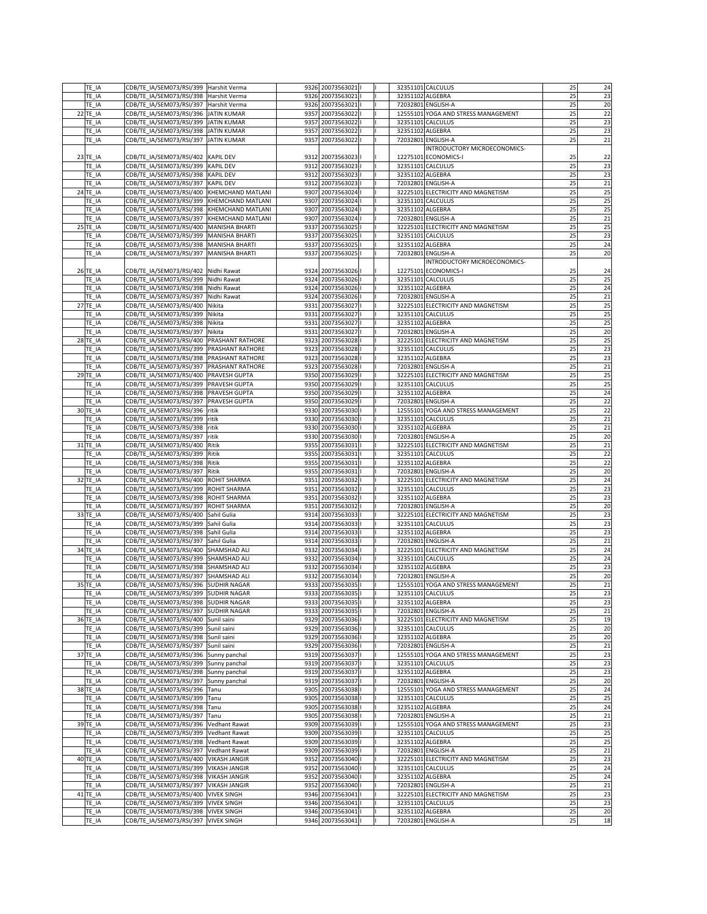| TE_IA      | CDB/TE_IA/SEM073/RSI/399 Harshit Verma      |  | 9326 20073563021     |  |                  | 32351101 CALCULUS                   | 25       | 24       |
|------------|---------------------------------------------|--|----------------------|--|------------------|-------------------------------------|----------|----------|
| TE_IA      | CDB/TE_IA/SEM073/RSI/398 Harshit Verma      |  | 9326 20073563021   I |  | 32351102 ALGEBRA |                                     | 25       | 23       |
| TE_IA      | CDB/TE_IA/SEM073/RSI/397 Harshit Verma      |  | 9326 20073563021   I |  |                  | 72032801 ENGLISH-A                  | 25       | 20       |
| 22 TE_IA   | CDB/TE_IA/SEM073/RSI/396 JJATIN KUMAR       |  | 9357 20073563022   I |  |                  | 12555101 YOGA AND STRESS MANAGEMENT | 25       | 22       |
| TE_IA      | CDB/TE_IA/SEM073/RSI/399 JJATIN KUMAR       |  | 9357 20073563022   I |  |                  | 32351101 CALCULUS                   | 25       | 23       |
| TE_IA      | CDB/TE_IA/SEM073/RSI/398 JJATIN KUMAR       |  | 9357 20073563022   I |  | 32351102 ALGEBRA |                                     | 25       | 23       |
| TE IA      | CDB/TE_IA/SEM073/RSI/397 JJATIN KUMAR       |  | 9357 20073563022   I |  |                  | 72032801 ENGLISH-A                  | 25       | 21       |
|            |                                             |  |                      |  |                  | INTRODUCTORY MICROECONOMICS-        |          |          |
| 23 TE_IA   | CDB/TE_IA/SEM073/RSI/402 KAPIL DEV          |  | 9312 20073563023     |  |                  | 12275101 ECONOMICS-I                | 25       | 22       |
| TE_IA      | CDB/TE IA/SEM073/RSI/399 KAPIL DEV          |  | 9312 20073563023     |  |                  | 32351101 CALCULUS                   | 25       | 23       |
|            | CDB/TE_IA/SEM073/RSI/398  KAPIL DEV         |  | 9312 20073563023     |  | 32351102 ALGEBRA |                                     | 25       |          |
| TE_IA      |                                             |  |                      |  |                  |                                     |          | 23       |
| TE_IA      | CDB/TE_IA/SEM073/RSI/397   KAPIL DEV        |  | 9312 20073563023     |  |                  | 72032801 ENGLISH-A                  | 25       | 21       |
| $24$ TE IA | CDB/TE_IA/SEM073/RSI/400 KHEMCHAND MATLANI  |  | 9307 20073563024   I |  |                  | 32225101 ELECTRICITY AND MAGNETISM  | 25       | 25       |
| TE IA      | CDB/TE_IA/SEM073/RSI/399  KHEMCHAND MATLANI |  | 9307 20073563024   I |  |                  | 32351101 CALCULUS                   | 25       | 25       |
| TE_IA      | CDB/TE_IA/SEM073/RSI/398 KHEMCHAND MATLANI  |  | 9307 20073563024     |  | 32351102 ALGEBRA |                                     | 25       | 25       |
| TE_IA      | CDB/TE_IA/SEM073/RSI/397 KHEMCHAND MATLANI  |  | 9307 20073563024   I |  |                  | 72032801 ENGLISH-A                  | 25       | 21       |
| 25 TE_IA   | CDB/TE_IA/SEM073/RSI/400 MANISHA BHARTI     |  | 9337 20073563025   I |  |                  | 32225101 ELECTRICITY AND MAGNETISM  | 25       | 25       |
| TE_IA      | CDB/TE_IA/SEM073/RSI/399  MANISHA BHARTI    |  | 9337 20073563025   I |  |                  | 32351101 CALCULUS                   | 25       | 23       |
| TE_IA      | CDB/TE_IA/SEM073/RSI/398   MANISHA BHARTI   |  | 9337 20073563025     |  | 32351102 ALGEBRA |                                     | 25       | 24       |
| TE IA      | CDB/TE_IA/SEM073/RSI/397   MANISHA BHARTI   |  | 9337 20073563025   I |  |                  | 72032801 ENGLISH-A                  | 25       | 20       |
|            |                                             |  |                      |  |                  | <b>INTRODUCTORY MICROECONOMICS-</b> |          |          |
| $26$ TE_IA | CDB/TE_IA/SEM073/RSI/402 Nidhi Rawat        |  | 9324 20073563026     |  |                  | 12275101 ECONOMICS-I                | 25       | 24       |
| TE_IA      | CDB/TE_IA/SEM073/RSI/399 Nidhi Rawat        |  | 9324 20073563026 1   |  |                  | 32351101 CALCULUS                   | 25       | 25       |
| TE_IA      | CDB/TE_IA/SEM073/RSI/398 Nidhi Rawat        |  | 9324 20073563026   I |  | 32351102 ALGEBRA |                                     | 25       | 24       |
| TE_IA      | CDB/TE_IA/SEM073/RSI/397 Nidhi Rawat        |  | 9324 20073563026 1   |  |                  | 72032801 ENGLISH-A                  | 25       | 21       |
| 27 TE_IA   | CDB/TE_IA/SEM073/RSI/400 Nikita             |  | 9331 20073563027   I |  |                  | 32225101 ELECTRICITY AND MAGNETISM  | 25       | 25       |
| TE_IA      | CDB/TE_IA/SEM073/RSI/399 Nikita             |  | 9331 20073563027   I |  |                  | 32351101 CALCULUS                   | 25       | 25       |
| TE_IA      | CDB/TE_IA/SEM073/RSI/398 Nikita             |  | 9331 20073563027     |  | 32351102 ALGEBRA |                                     | 25       | 25       |
| TE_IA      | CDB/TE_IA/SEM073/RSI/397 Nikita             |  | 9331 20073563027     |  |                  | 72032801 ENGLISH-A                  | 25       | 20       |
| 28 TE_IA   | CDB/TE_IA/SEM073/RSI/400 PRASHANT RATHORE   |  | 9323 20073563028     |  |                  | 32225101 ELECTRICITY AND MAGNETISM  | 25       | 25       |
| TE IA      | CDB/TE_IA/SEM073/RSI/399  PRASHANT RATHORE  |  | 9323 20073563028     |  |                  | 32351101 CALCULUS                   | 25       | 23       |
| TE_IA      | CDB/TE_IA/SEM073/RSI/398  PRASHANT RATHORE  |  | 9323 20073563028     |  | 32351102 ALGEBRA |                                     | 25       | 23       |
| TE IA      | CDB/TE_IA/SEM073/RSI/397  PRASHANT RATHORE  |  | 9323 20073563028     |  |                  | 72032801 ENGLISH-A                  | 25       | 21       |
|            |                                             |  |                      |  |                  |                                     |          |          |
| 29 TE IA   | CDB/TE_IA/SEM073/RSI/400   PRAVESH GUPTA    |  | 9350 20073563029     |  |                  | 32225101 ELECTRICITY AND MAGNETISM  | 25       | 25       |
| $TE_lA$    | CDB/TE_IA/SEM073/RSI/399 PRAVESH GUPTA      |  | 9350 20073563029     |  |                  | 32351101 CALCULUS                   | 25       | 25       |
| TE IA      | CDB/TE_IA/SEM073/RSI/398  PRAVESH GUPTA     |  | 9350 20073563029     |  | 32351102 ALGEBRA |                                     | 25       | 24       |
| TE_IA      | CDB/TE_IA/SEM073/RSI/397  PRAVESH GUPTA     |  | 9350 20073563029     |  |                  | 72032801 ENGLISH-A                  | 25       | 22       |
| 30 TE_IA   | CDB/TE IA/SEM073/RSI/396 ritik              |  | 9330 20073563030     |  |                  | 12555101 YOGA AND STRESS MANAGEMENT | 25       | 22       |
| TE IA      | CDB/TE_IA/SEM073/RSI/399  ritik             |  | 9330 20073563030   I |  |                  | 32351101 CALCULUS                   | 25       | 21       |
| TE_IA      | CDB/TE_IA/SEM073/RSI/398  ritik             |  | 9330 20073563030     |  | 32351102 ALGEBRA |                                     | 25       | 21       |
| TE_IA      | CDB/TE_IA/SEM073/RSI/397  ritik             |  | 9330 20073563030     |  |                  | 72032801 ENGLISH-A                  | 25       | 20       |
| 31 TE_IA   | CDB/TE_IA/SEM073/RSI/400 Ritik              |  | 9355 20073563031   I |  |                  | 32225101 ELECTRICITY AND MAGNETISM  | 25       | 21       |
| TE IA      | CDB/TE_IA/SEM073/RSI/399 Ritik              |  | 9355 20073563031   I |  |                  | 32351101 CALCULUS                   | 25       | 22       |
| TE_IA      | CDB/TE_IA/SEM073/RSI/398 Ritik              |  | 9355 20073563031   I |  | 32351102 ALGEBRA |                                     | 25       | 22       |
| TE_IA      | CDB/TE_IA/SEM073/RSI/397 Ritik              |  | 9355 20073563031   I |  |                  | 72032801 ENGLISH-A                  | 25       | 20       |
| 32 TE_IA   | CDB/TE_IA/SEM073/RSI/400 ROHIT SHARMA       |  | 9351 20073563032   I |  |                  | 32225101 ELECTRICITY AND MAGNETISM  | 25       | 24       |
| TE IA      | CDB/TE_IA/SEM073/RSI/399 ROHIT SHARMA       |  | 9351 20073563032   I |  |                  | 32351101 CALCULUS                   | 25       | 23       |
| $TE_lA$    | CDB/TE_IA/SEM073/RSI/398 ROHIT SHARMA       |  | 9351 20073563032   I |  | 32351102 ALGEBRA |                                     | 25       | 23       |
| TE IA      | CDB/TE_IA/SEM073/RSI/397 ROHIT SHARMA       |  | 9351 20073563032   I |  |                  | 72032801 ENGLISH-A                  | 25       | 20       |
| 33 TE_IA   | CDB/TE_IA/SEM073/RSI/400 Sahil Gulia        |  | 9314 20073563033   I |  |                  | 32225101 ELECTRICITY AND MAGNETISM  | 25       | 23       |
| TE_IA      | CDB/TE_IA/SEM073/RSI/399 Sahil Gulia        |  | 9314 20073563033     |  |                  | 32351101 CALCULUS                   | 25       | 23       |
| TE_IA      | CDB/TE_IA/SEM073/RSI/398 Sahil Gulia        |  | 9314 20073563033   I |  | 32351102 ALGEBRA |                                     | 25       | 23       |
| TE_IA      | CDB/TE_IA/SEM073/RSI/397 Sahil Gulia        |  | 9314 20073563033   I |  |                  | 72032801 ENGLISH-A                  | 25       | 21       |
| 34 TE_IA   | CDB/TE_IA/SEM073/RSI/400 SHAMSHAD ALI       |  | 9332 20073563034     |  |                  | 32225101 ELECTRICITY AND MAGNETISM  | 25       | 24       |
| $TE_lA$    | CDB/TE_IA/SEM073/RSI/399 SHAMSHAD ALI       |  | 9332 20073563034     |  |                  | 32351101 CALCULUS                   | 25       | 24       |
| TE_IA      | CDB/TE_IA/SEM073/RSI/398 SHAMSHAD ALI       |  | 9332 20073563034   I |  | 32351102 ALGEBRA |                                     | 25       | 23       |
| TE IA      | CDB/TE_IA/SEM073/RSI/397 SHAMSHAD ALI       |  | 9332 20073563034     |  |                  | 72032801 ENGLISH-A                  | 25       | 20       |
|            |                                             |  | 9333 20073563035   I |  |                  | 12555101 YOGA AND STRESS MANAGEMENT | 25       | 21       |
| 35 TE_IA   | CDB/TE_IA/SEM073/RSI/396 SUDHIR NAGAR       |  |                      |  |                  |                                     | 25       | 23       |
| TE IA      | CDB/TE_IA/SEM073/RSI/399 SUDHIR NAGAR       |  | 9333 20073563035     |  |                  | 32351101 CALCULUS                   |          |          |
| TE_IA      | CDB/TE_IA/SEM073/RSI/398 SUDHIR NAGAR       |  | 9333 20073563035   I |  | 32351102 ALGEBRA |                                     | 25       | 23       |
| TE_IA      | CDB/TE_IA/SEM073/RSI/397 SUDHIR NAGAR       |  | 9333 20073563035   I |  |                  | 72032801 ENGLISH-A                  | 25<br>25 | 21<br>19 |
| 36 TE IA   | CDB/TE_IA/SEM073/RSI/400 Sunil saini        |  | 9329 20073563036     |  |                  | 32225101 ELECTRICITY AND MAGNETISM  |          |          |
| TE_IA      | CDB/TE_IA/SEM073/RSI/399 Sunil saini        |  | 9329 20073563036     |  |                  | 32351101 CALCULUS                   | 25       | 20       |
| TE_IA      | CDB/TE IA/SEM073/RSI/398 Sunil saini        |  | 9329 20073563036   I |  | 32351102 ALGEBRA |                                     | 25       | 20       |
| TE_IA      | CDB/TE_IA/SEM073/RSI/397 Sunil saini        |  | 9329 20073563036   I |  |                  | 72032801 ENGLISH-A                  | 25       | 21       |
| 37 TE_IA   | CDB/TE IA/SEM073/RSI/396 Sunny panchal      |  | 9319 20073563037     |  |                  | 12555101 YOGA AND STRESS MANAGEMENT | 25       | 23       |
| TE_IA      | CDB/TE_IA/SEM073/RSI/399 Sunny panchal      |  | 9319 20073563037     |  |                  | 32351101 CALCULUS                   | 25       | 23       |
| $TE_lA$    | CDB/TE_IA/SEM073/RSI/398 Sunny panchal      |  | 9319 20073563037     |  | 32351102 ALGEBRA |                                     | 25       | 23       |
| TE IA      | CDB/TE IA/SEM073/RSI/397 Sunny panchal      |  | 9319 20073563037     |  |                  | 72032801 ENGLISH-A                  | 25       | 20       |
| 38 TE_IA   | CDB/TE IA/SEM073/RSI/396 Tanu               |  | 9305 20073563038     |  |                  | 12555101 YOGA AND STRESS MANAGEMENT | 25       | 24       |
| TE_IA      | CDB/TE_IA/SEM073/RSI/399 Tanu               |  | 9305 20073563038     |  |                  | 32351101 CALCULUS                   | 25       | 25       |
| TE_IA      | CDB/TE_IA/SEM073/RSI/398 Tanu               |  | 9305 20073563038     |  | 32351102 ALGEBRA |                                     | 25       | 24       |
| TE_IA      | CDB/TE_IA/SEM073/RSI/397 Tanu               |  | 9305 20073563038     |  |                  | 72032801 ENGLISH-A                  | 25       | 21       |
| 39 TE_IA   | CDB/TE IA/SEM073/RSI/396 Vedhant Rawat      |  | 9309 20073563039     |  |                  | 12555101 YOGA AND STRESS MANAGEMENT | 25       | 23       |
| $TE_l$ IA  | CDB/TE_IA/SEM073/RSI/399 Vedhant Rawat      |  | 9309 20073563039     |  |                  | 32351101 CALCULUS                   | 25       | 25       |
|            | CDB/TE_IA/SEM073/RSI/398 Vedhant Rawat      |  | 9309 20073563039     |  | 32351102 ALGEBRA |                                     | 25       | 25       |
| TE_IA      |                                             |  | 9309 20073563039     |  |                  | 72032801 ENGLISH-A                  | 25       | 21       |
| TE_IA      | CDB/TE_IA/SEM073/RSI/397 Vedhant Rawat      |  |                      |  |                  |                                     |          |          |
| 40 TE_IA   | CDB/TE_IA/SEM073/RSI/400 VIKASH JANGIR      |  | 9352 20073563040     |  |                  | 32225101 ELECTRICITY AND MAGNETISM  | 25       | 23       |
| TE_IA      | CDB/TE_IA/SEM073/RSI/399 VIKASH JANGIR      |  | 9352 20073563040     |  |                  | 32351101 CALCULUS                   | 25       | 24       |
| TE_IA      | CDB/TE_IA/SEM073/RSI/398   VIKASH JANGIR    |  | 9352 20073563040     |  | 32351102 ALGEBRA |                                     | 25       | 24       |
| TE_IA      | CDB/TE_IA/SEM073/RSI/397   VIKASH JANGIR    |  | 9352 20073563040     |  |                  | 72032801 ENGLISH-A                  | 25       | 21       |
| 41 TE_IA   | CDB/TE_IA/SEM073/RSI/400 VIVEK SINGH        |  | 9346 20073563041   I |  |                  | 32225101 ELECTRICITY AND MAGNETISM  | 25       | 23       |
| TE_IA      | CDB/TE_IA/SEM073/RSI/399 VIVEK SINGH        |  | 9346 20073563041   I |  |                  | 32351101 CALCULUS                   | 25       | 23       |
| TE_IA      | CDB/TE_IA/SEM073/RSI/398 VIVEK SINGH        |  | 9346 20073563041     |  |                  | 32351102 ALGEBRA                    | 25       | 20       |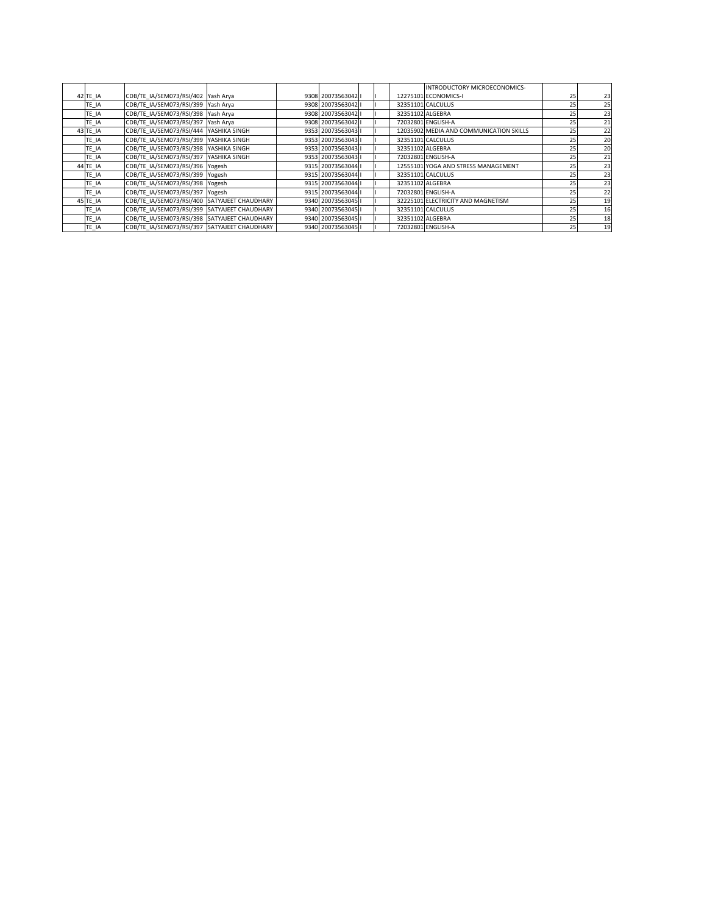|           |                                              |  |                      |  |                  | INTRODUCTORY MICROECONOMICS-            |    |    |
|-----------|----------------------------------------------|--|----------------------|--|------------------|-----------------------------------------|----|----|
| 42 TE_IA  | CDB/TE_IA/SEM073/RSI/402 Yash Arya           |  | 9308 20073563042     |  |                  | 12275101 ECONOMICS-I                    | 25 | 23 |
| $TE_l$ IA | CDB/TE_IA/SEM073/RSI/399 Yash Arya           |  | 9308 20073563042     |  |                  | 32351101 CALCULUS                       | 25 | 25 |
| $TE_l$ IA | CDB/TE IA/SEM073/RSI/398 Yash Arya           |  | 9308 20073563042   I |  |                  | 32351102 ALGEBRA                        | 25 | 23 |
| TE_IA     | CDB/TE_IA/SEM073/RSI/397 Yash Arya           |  | 9308 20073563042   I |  |                  | 72032801 ENGLISH-A                      | 25 | 21 |
| 43 TE_IA  | CDB/TE_IA/SEM073/RSI/444 YASHIKA SINGH       |  | 9353 20073563043   I |  |                  | 12035902 MEDIA AND COMMUNICATION SKILLS | 25 | 22 |
| TE_IA     | CDB/TE IA/SEM073/RSI/399 YASHIKA SINGH       |  | 9353 20073563043   I |  |                  | 32351101 CALCULUS                       | 25 | 20 |
| $TE_l$ IA | CDB/TE_IA/SEM073/RSI/398 YASHIKA SINGH       |  | 9353 20073563043   I |  | 32351102 ALGEBRA |                                         | 25 | 20 |
| $TE_l$ IA | CDB/TE IA/SEM073/RSI/397 YASHIKA SINGH       |  | 9353 20073563043   I |  |                  | 72032801 ENGLISH-A                      | 25 | 21 |
| 44 TE_IA  | CDB/TE IA/SEM073/RSI/396 Yogesh              |  | 9315 20073563044   I |  |                  | 12555101 YOGA AND STRESS MANAGEMENT     | 25 | 23 |
| $TE_l$ IA | CDB/TE_IA/SEM073/RSI/399 Yogesh              |  | 9315 20073563044   I |  |                  | 32351101 CALCULUS                       | 25 | 23 |
| $TE_l$ IA | CDB/TE_IA/SEM073/RSI/398 Yogesh              |  | 9315 20073563044   I |  | 32351102 ALGEBRA |                                         | 25 | 23 |
| TE_IA     | CDB/TE_IA/SEM073/RSI/397 Yogesh              |  | 9315 20073563044     |  |                  | 72032801 ENGLISH-A                      | 25 | 22 |
| 45 TE_IA  | CDB/TE_IA/SEM073/RSI/400 SATYAJEET CHAUDHARY |  | 9340 20073563045   I |  |                  | 32225101 ELECTRICITY AND MAGNETISM      | 25 | 19 |
| $TE_l$ IA | CDB/TE IA/SEM073/RSI/399 SATYAJEET CHAUDHARY |  | 9340 20073563045   I |  |                  | 32351101 CALCULUS                       | 25 | 16 |
| $TE_l$ IA | CDB/TE IA/SEM073/RSI/398 SATYAJEET CHAUDHARY |  | 9340 20073563045   I |  |                  | 32351102 ALGEBRA                        | 25 | 18 |
| TE_IA     | CDB/TE_IA/SEM073/RSI/397 SATYAJEET CHAUDHARY |  | 9340 20073563045   I |  |                  | 72032801 ENGLISH-A                      | 25 | 19 |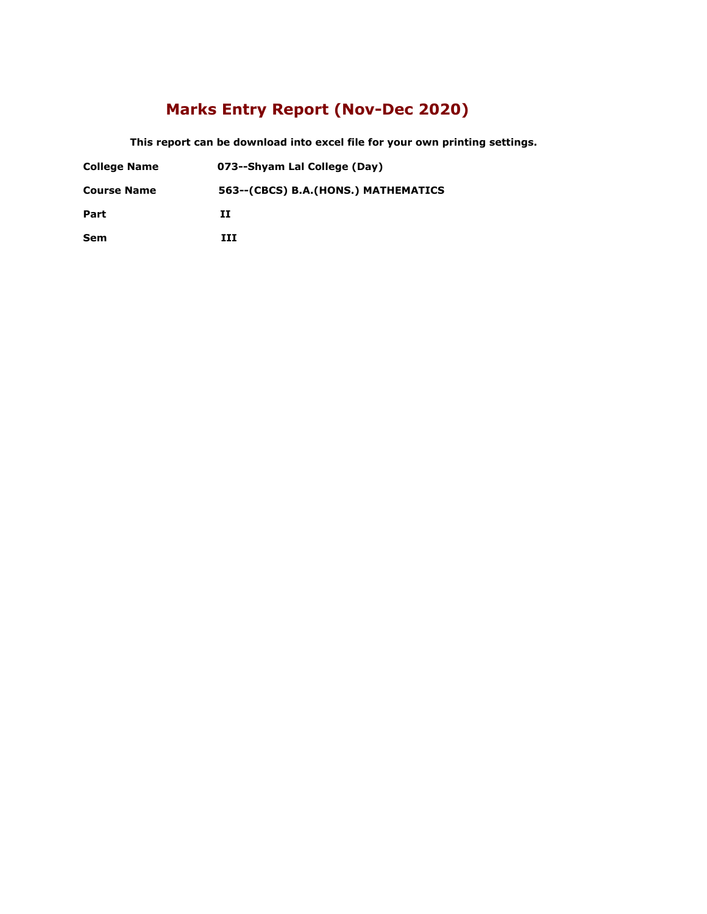### **Marks Entry Report (Nov-Dec 2020)**

 **This report can be download into excel file for your own printing settings.** 

- **College Name 073--Shyam Lal College (Day)**
- **Course Name 563--(CBCS) B.A.(HONS.) MATHEMATICS**

**Part II**

**Sem III**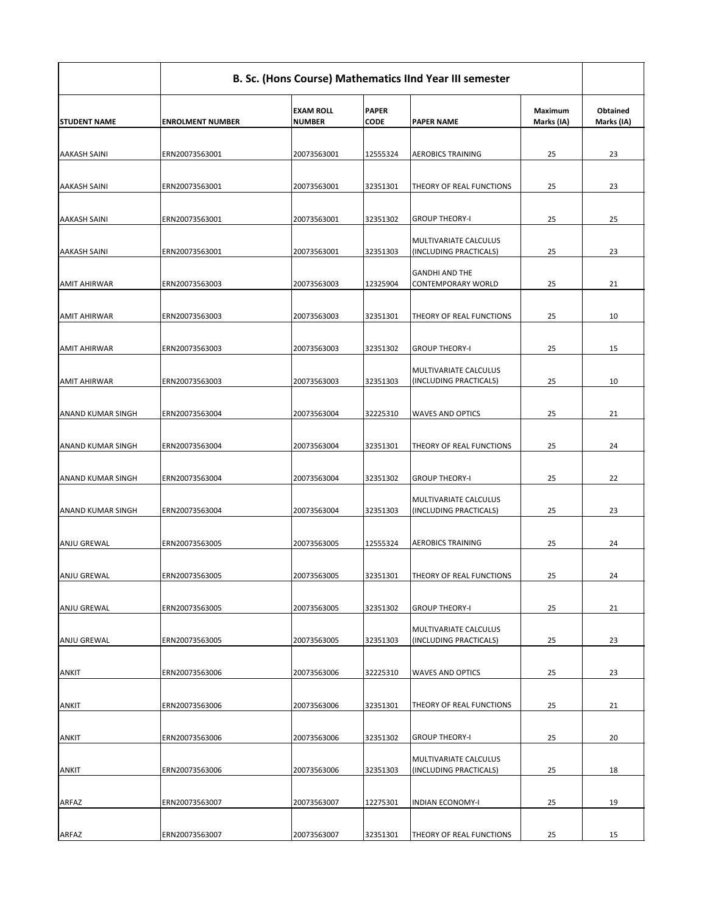| <b>STUDENT NAME</b>      | <b>ENROLMENT NUMBER</b> | <b>EXAM ROLL</b><br><b>NUMBER</b> | <b>PAPER</b><br><b>CODE</b> | <b>PAPER NAME</b>                                      | <b>Maximum</b><br>Marks (IA) | <b>Obtained</b><br>Marks (IA) |
|--------------------------|-------------------------|-----------------------------------|-----------------------------|--------------------------------------------------------|------------------------------|-------------------------------|
| <b>AAKASH SAINI</b>      | ERN20073563001          | 20073563001                       | 12555324                    | <b>AEROBICS TRAINING</b>                               | 25                           | 23                            |
| <b>AAKASH SAINI</b>      | ERN20073563001          | 20073563001                       | 32351301                    | <b>THEORY OF REAL FUNCTIONS</b>                        | 25                           | 23                            |
| <b>AAKASH SAINI</b>      | ERN20073563001          | 20073563001                       | 32351302                    | <b>GROUP THEORY-I</b>                                  | 25                           | 25                            |
| <b>AAKASH SAINI</b>      | ERN20073563001          | 20073563001                       | 32351303                    | MULTIVARIATE CALCULUS<br>(INCLUDING PRACTICALS)        | 25                           | 23                            |
| <b>AMIT AHIRWAR</b>      | ERN20073563003          | 20073563003                       | 12325904                    | <b>GANDHI AND THE</b><br>CONTEMPORARY WORLD            | 25                           | 21                            |
| <b>AMIT AHIRWAR</b>      | ERN20073563003          | 20073563003                       | 32351301                    | <b>THEORY OF REAL FUNCTIONS</b>                        | 25                           | 10                            |
| <b>AMIT AHIRWAR</b>      | ERN20073563003          | 20073563003                       | 32351302                    | <b>GROUP THEORY-I</b>                                  | 25                           | 15                            |
| <b>AMIT AHIRWAR</b>      | ERN20073563003          | 20073563003                       | 32351303                    | <b>MULTIVARIATE CALCULUS</b><br>(INCLUDING PRACTICALS) | 25                           | 10                            |
| <b>ANAND KUMAR SINGH</b> | ERN20073563004          | 20073563004                       | 32225310                    | <b>WAVES AND OPTICS</b>                                | 25                           | 21                            |
| ANAND KUMAR SINGH        | ERN20073563004          | 20073563004                       | 32351301                    | <b>THEORY OF REAL FUNCTIONS</b>                        | 25                           | 24                            |
| <b>ANAND KUMAR SINGH</b> | ERN20073563004          | 20073563004                       | 32351302                    | <b>GROUP THEORY-I</b>                                  | 25                           | 22                            |
| <b>ANAND KUMAR SINGH</b> | ERN20073563004          | 20073563004                       | 32351303                    | MULTIVARIATE CALCULUS<br>(INCLUDING PRACTICALS)        | 25                           | 23                            |
| <b>ANJU GREWAL</b>       | ERN20073563005          | 20073563005                       | 12555324                    | <b>AEROBICS TRAINING</b>                               | 25                           | 24                            |
| <b>ANJU GREWAL</b>       | ERN20073563005          | 20073563005                       | 32351301                    | <b>THEORY OF REAL FUNCTIONS</b>                        | 25                           | 24                            |
| <b>ANJU GREWAL</b>       | ERN20073563005          | 20073563005                       | 32351302                    | <b>GROUP THEORY-I</b>                                  | 25                           | 21                            |
| <b>ANJU GREWAL</b>       | ERN20073563005          | 20073563005                       | 32351303                    | <b>MULTIVARIATE CALCULUS</b><br>(INCLUDING PRACTICALS) | 25                           | 23                            |
| ANKIT                    | ERN20073563006          | 20073563006                       | 32225310                    | <b>WAVES AND OPTICS</b>                                | 25                           | 23                            |
| <b>ANKIT</b>             | ERN20073563006          | 20073563006                       | 32351301                    | <b>THEORY OF REAL FUNCTIONS</b>                        | 25                           | 21                            |
| ANKIT                    | ERN20073563006          | 20073563006                       | 32351302                    | <b>GROUP THEORY-I</b>                                  | 25                           | 20                            |
| ANKIT                    | ERN20073563006          | 20073563006                       | 32351303                    | MULTIVARIATE CALCULUS<br>(INCLUDING PRACTICALS)        | 25                           | 18                            |
| ARFAZ                    | ERN20073563007          | 20073563007                       | 12275301                    | <b>INDIAN ECONOMY-I</b>                                | 25                           | 19                            |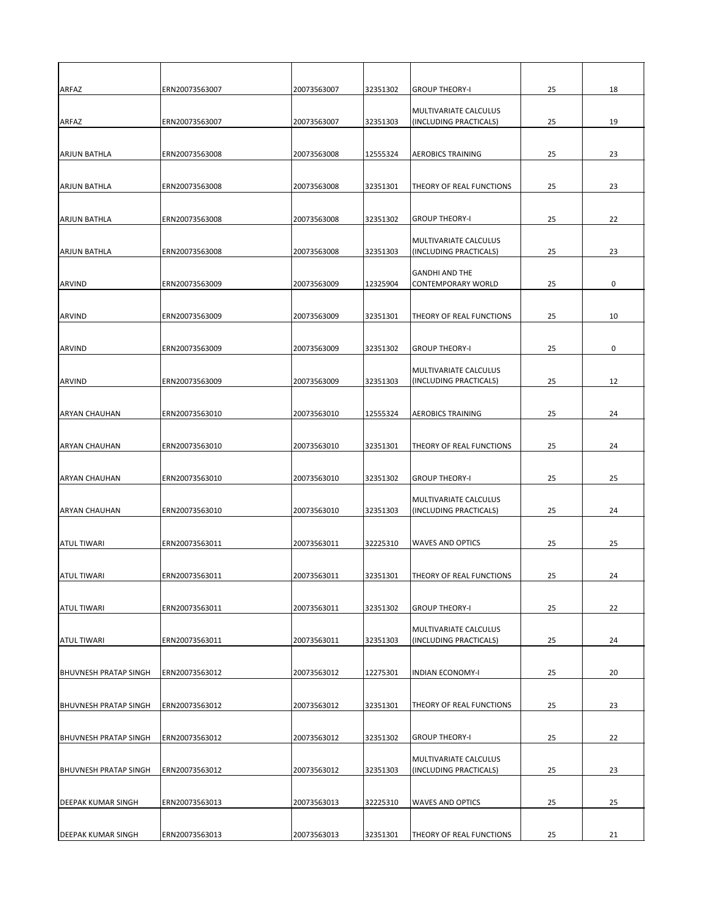| <b>ARFAZ</b>                 | ERN20073563007 | 20073563007 | 32351302 | <b>GROUP THEORY-I</b>                                  | 25 | 18          |
|------------------------------|----------------|-------------|----------|--------------------------------------------------------|----|-------------|
| ARFAZ                        | ERN20073563007 | 20073563007 | 32351303 | MULTIVARIATE CALCULUS<br>(INCLUDING PRACTICALS)        | 25 | 19          |
| <b>ARJUN BATHLA</b>          | ERN20073563008 | 20073563008 | 12555324 | <b>AEROBICS TRAINING</b>                               | 25 | 23          |
| <b>ARJUN BATHLA</b>          | ERN20073563008 | 20073563008 | 32351301 | THEORY OF REAL FUNCTIONS                               | 25 | 23          |
| <b>ARJUN BATHLA</b>          | ERN20073563008 | 20073563008 | 32351302 | <b>GROUP THEORY-I</b>                                  | 25 | 22          |
| <b>ARJUN BATHLA</b>          | ERN20073563008 | 20073563008 | 32351303 | MULTIVARIATE CALCULUS<br>(INCLUDING PRACTICALS)        | 25 | 23          |
| ARVIND                       | ERN20073563009 | 20073563009 | 12325904 | <b>GANDHI AND THE</b><br>CONTEMPORARY WORLD            | 25 | $\mathbf 0$ |
| ARVIND                       | ERN20073563009 | 20073563009 | 32351301 | <b>THEORY OF REAL FUNCTIONS</b>                        | 25 | 10          |
| <b>ARVIND</b>                | ERN20073563009 | 20073563009 | 32351302 | <b>GROUP THEORY-I</b>                                  | 25 | 0           |
| ARVIND                       | ERN20073563009 | 20073563009 | 32351303 | MULTIVARIATE CALCULUS<br>(INCLUDING PRACTICALS)        | 25 | 12          |
| <b>ARYAN CHAUHAN</b>         | ERN20073563010 | 20073563010 | 12555324 | <b>AEROBICS TRAINING</b>                               | 25 | 24          |
| <b>ARYAN CHAUHAN</b>         | ERN20073563010 | 20073563010 | 32351301 | <b>THEORY OF REAL FUNCTIONS</b>                        | 25 | 24          |
| <b>ARYAN CHAUHAN</b>         | ERN20073563010 | 20073563010 | 32351302 | <b>GROUP THEORY-I</b>                                  | 25 | 25          |
| <b>ARYAN CHAUHAN</b>         | ERN20073563010 | 20073563010 | 32351303 | <b>MULTIVARIATE CALCULUS</b><br>(INCLUDING PRACTICALS) | 25 | 24          |
| <b>ATUL TIWARI</b>           | ERN20073563011 | 20073563011 | 32225310 | <b>WAVES AND OPTICS</b>                                | 25 | 25          |
| <b>ATUL TIWARI</b>           | ERN20073563011 | 20073563011 | 32351301 | <b>THEORY OF REAL FUNCTIONS</b>                        | 25 | 24          |
| <b>ATUL TIWARI</b>           | ERN20073563011 | 20073563011 | 32351302 | <b>GROUP THEORY-I</b>                                  | 25 | 22          |
| <b>ATUL TIWARI</b>           | ERN20073563011 | 20073563011 | 32351303 | <b>MULTIVARIATE CALCULUS</b><br>(INCLUDING PRACTICALS) | 25 | 24          |
| <b>BHUVNESH PRATAP SINGH</b> | ERN20073563012 | 20073563012 | 12275301 | <b>INDIAN ECONOMY-I</b>                                | 25 | 20          |
| <b>BHUVNESH PRATAP SINGH</b> | ERN20073563012 | 20073563012 | 32351301 | <b>THEORY OF REAL FUNCTIONS</b>                        | 25 | 23          |
| <b>BHUVNESH PRATAP SINGH</b> | ERN20073563012 | 20073563012 | 32351302 | <b>GROUP THEORY-I</b>                                  | 25 | 22          |
| <b>BHUVNESH PRATAP SINGH</b> | ERN20073563012 | 20073563012 | 32351303 | MULTIVARIATE CALCULUS<br>(INCLUDING PRACTICALS)        | 25 | 23          |
| <b>DEEPAK KUMAR SINGH</b>    | ERN20073563013 | 20073563013 | 32225310 | <b>WAVES AND OPTICS</b>                                | 25 | 25          |
| <b>DEEPAK KUMAR SINGH</b>    | ERN20073563013 | 20073563013 | 32351301 | <b>THEORY OF REAL FUNCTIONS</b>                        | 25 | 21          |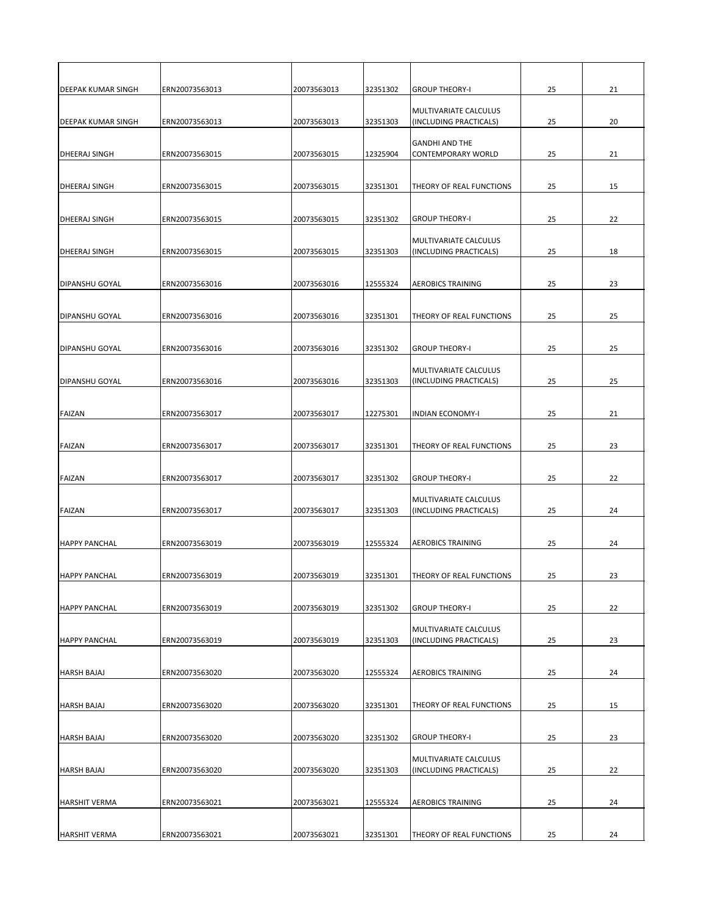| <b>DEEPAK KUMAR SINGH</b> | ERN20073563013 | 20073563013 | 32351302 | <b>GROUP THEORY-I</b>                                  | 25 | 21 |
|---------------------------|----------------|-------------|----------|--------------------------------------------------------|----|----|
| <b>DEEPAK KUMAR SINGH</b> | ERN20073563013 | 20073563013 | 32351303 | <b>MULTIVARIATE CALCULUS</b><br>(INCLUDING PRACTICALS) | 25 | 20 |
| <b>DHEERAJ SINGH</b>      | ERN20073563015 | 20073563015 | 12325904 | <b>GANDHI AND THE</b><br><b>CONTEMPORARY WORLD</b>     | 25 | 21 |
| <b>DHEERAJ SINGH</b>      | ERN20073563015 | 20073563015 | 32351301 | <b>THEORY OF REAL FUNCTIONS</b>                        | 25 | 15 |
| <b>DHEERAJ SINGH</b>      | ERN20073563015 | 20073563015 | 32351302 | <b>GROUP THEORY-I</b>                                  | 25 | 22 |
| <b>DHEERAJ SINGH</b>      | ERN20073563015 | 20073563015 | 32351303 | <b>MULTIVARIATE CALCULUS</b><br>(INCLUDING PRACTICALS) | 25 | 18 |
| <b>DIPANSHU GOYAL</b>     | ERN20073563016 | 20073563016 | 12555324 | <b>AEROBICS TRAINING</b>                               | 25 | 23 |
| <b>DIPANSHU GOYAL</b>     | ERN20073563016 | 20073563016 | 32351301 | <b>THEORY OF REAL FUNCTIONS</b>                        | 25 | 25 |
| <b>DIPANSHU GOYAL</b>     | ERN20073563016 | 20073563016 | 32351302 | <b>GROUP THEORY-I</b>                                  | 25 | 25 |
| <b>DIPANSHU GOYAL</b>     | ERN20073563016 | 20073563016 | 32351303 | MULTIVARIATE CALCULUS<br>(INCLUDING PRACTICALS)        | 25 | 25 |
| <b>FAIZAN</b>             | ERN20073563017 | 20073563017 | 12275301 | <b>INDIAN ECONOMY-I</b>                                | 25 | 21 |
| <b>FAIZAN</b>             | ERN20073563017 | 20073563017 | 32351301 | <b>THEORY OF REAL FUNCTIONS</b>                        | 25 | 23 |
| <b>FAIZAN</b>             | ERN20073563017 | 20073563017 | 32351302 | <b>GROUP THEORY-I</b>                                  | 25 | 22 |
| <b>FAIZAN</b>             | ERN20073563017 | 20073563017 | 32351303 | MULTIVARIATE CALCULUS<br>(INCLUDING PRACTICALS)        | 25 | 24 |
| <b>HAPPY PANCHAL</b>      | ERN20073563019 | 20073563019 | 12555324 | <b>AEROBICS TRAINING</b>                               | 25 | 24 |
| <b>HAPPY PANCHAL</b>      | ERN20073563019 | 20073563019 | 32351301 | <b>THEORY OF REAL FUNCTIONS</b>                        | 25 | 23 |
| <b>HAPPY PANCHAL</b>      | ERN20073563019 | 20073563019 | 32351302 | <b>GROUP THEORY-I</b>                                  | 25 | 22 |
| <b>HAPPY PANCHAL</b>      | ERN20073563019 | 20073563019 | 32351303 | <b>MULTIVARIATE CALCULUS</b><br>(INCLUDING PRACTICALS) | 25 | 23 |
| <b>HARSH BAJAJ</b>        | ERN20073563020 | 20073563020 | 12555324 | <b>AEROBICS TRAINING</b>                               | 25 | 24 |
| <b>HARSH BAJAJ</b>        | ERN20073563020 | 20073563020 | 32351301 | <b>THEORY OF REAL FUNCTIONS</b>                        | 25 | 15 |
| <b>HARSH BAJAJ</b>        | ERN20073563020 | 20073563020 | 32351302 | <b>GROUP THEORY-I</b>                                  | 25 | 23 |
| <b>HARSH BAJAJ</b>        | ERN20073563020 | 20073563020 | 32351303 | MULTIVARIATE CALCULUS<br>(INCLUDING PRACTICALS)        | 25 | 22 |
| <b>HARSHIT VERMA</b>      | ERN20073563021 | 20073563021 | 12555324 | <b>AEROBICS TRAINING</b>                               | 25 | 24 |
| <b>HARSHIT VERMA</b>      | ERN20073563021 | 20073563021 | 32351301 | <b>THEORY OF REAL FUNCTIONS</b>                        | 25 | 24 |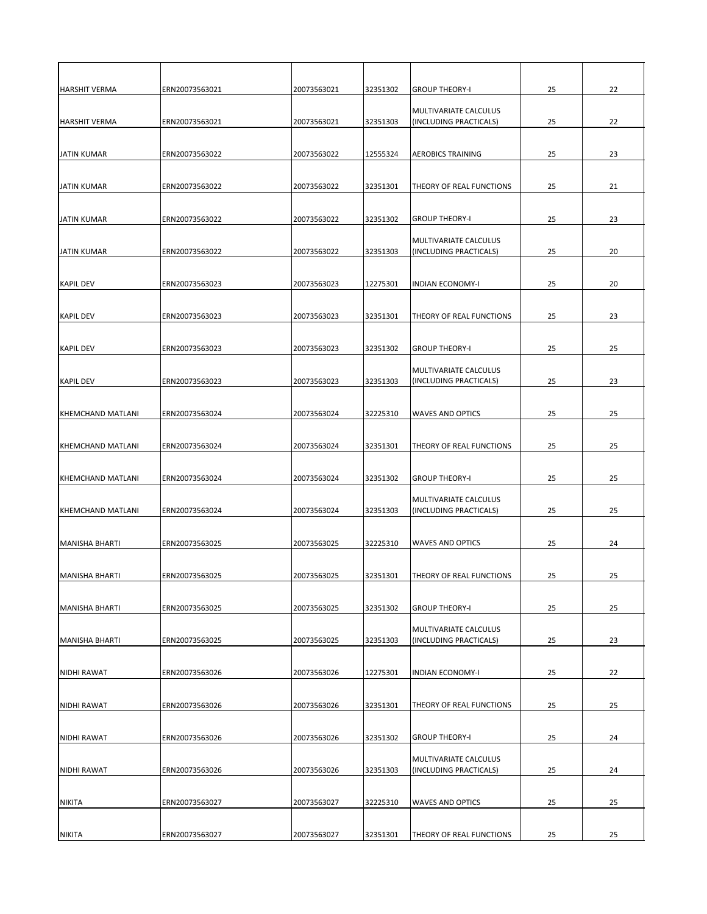| <b>HARSHIT VERMA</b>     | ERN20073563021 | 20073563021 | 32351302 | <b>GROUP THEORY-I</b>                                  | 25 | 22 |
|--------------------------|----------------|-------------|----------|--------------------------------------------------------|----|----|
| <b>HARSHIT VERMA</b>     | ERN20073563021 | 20073563021 | 32351303 | MULTIVARIATE CALCULUS<br>(INCLUDING PRACTICALS)        | 25 | 22 |
| <b>JATIN KUMAR</b>       | ERN20073563022 | 20073563022 | 12555324 | <b>AEROBICS TRAINING</b>                               | 25 | 23 |
| <b>JATIN KUMAR</b>       | ERN20073563022 | 20073563022 | 32351301 | <b>THEORY OF REAL FUNCTIONS</b>                        | 25 | 21 |
| <b>JATIN KUMAR</b>       | ERN20073563022 | 20073563022 | 32351302 | <b>GROUP THEORY-I</b>                                  | 25 | 23 |
| JATIN KUMAR              | ERN20073563022 | 20073563022 | 32351303 | MULTIVARIATE CALCULUS<br>(INCLUDING PRACTICALS)        | 25 | 20 |
| KAPIL DEV                | ERN20073563023 | 20073563023 | 12275301 | <b>INDIAN ECONOMY-I</b>                                | 25 | 20 |
| KAPIL DEV                | ERN20073563023 | 20073563023 | 32351301 | <b>THEORY OF REAL FUNCTIONS</b>                        | 25 | 23 |
| <b>KAPIL DEV</b>         | ERN20073563023 | 20073563023 | 32351302 | <b>GROUP THEORY-I</b>                                  | 25 | 25 |
| <b>KAPIL DEV</b>         | ERN20073563023 | 20073563023 | 32351303 | <b>MULTIVARIATE CALCULUS</b><br>(INCLUDING PRACTICALS) | 25 | 23 |
| <b>KHEMCHAND MATLANI</b> | ERN20073563024 | 20073563024 | 32225310 | <b>WAVES AND OPTICS</b>                                | 25 | 25 |
| <b>KHEMCHAND MATLANI</b> | ERN20073563024 | 20073563024 | 32351301 | <b>THEORY OF REAL FUNCTIONS</b>                        | 25 | 25 |
| KHEMCHAND MATLANI        | ERN20073563024 | 20073563024 | 32351302 | <b>GROUP THEORY-I</b>                                  | 25 | 25 |
| <b>KHEMCHAND MATLANI</b> | ERN20073563024 | 20073563024 | 32351303 | MULTIVARIATE CALCULUS<br>(INCLUDING PRACTICALS)        | 25 | 25 |
| <b>MANISHA BHARTI</b>    | ERN20073563025 | 20073563025 | 32225310 | <b>WAVES AND OPTICS</b>                                | 25 | 24 |
| <b>MANISHA BHARTI</b>    | ERN20073563025 | 20073563025 | 32351301 | <b>THEORY OF REAL FUNCTIONS</b>                        | 25 | 25 |
| <b>MANISHA BHARTI</b>    | ERN20073563025 | 20073563025 | 32351302 | <b>GROUP THEORY-I</b>                                  | 25 | 25 |
| <b>MANISHA BHARTI</b>    | ERN20073563025 | 20073563025 | 32351303 | MULTIVARIATE CALCULUS<br>(INCLUDING PRACTICALS)        | 25 | 23 |
| <b>NIDHI RAWAT</b>       | ERN20073563026 | 20073563026 | 12275301 | <b>INDIAN ECONOMY-I</b>                                | 25 | 22 |
| NIDHI RAWAT              | ERN20073563026 | 20073563026 | 32351301 | <b>THEORY OF REAL FUNCTIONS</b>                        | 25 | 25 |
| NIDHI RAWAT              | ERN20073563026 | 20073563026 | 32351302 | <b>GROUP THEORY-I</b>                                  | 25 | 24 |
| <b>NIDHI RAWAT</b>       | ERN20073563026 | 20073563026 | 32351303 | MULTIVARIATE CALCULUS<br>(INCLUDING PRACTICALS)        | 25 | 24 |
| <b>NIKITA</b>            | ERN20073563027 | 20073563027 | 32225310 | <b>WAVES AND OPTICS</b>                                | 25 | 25 |
| <b>NIKITA</b>            | ERN20073563027 | 20073563027 | 32351301 | <b>THEORY OF REAL FUNCTIONS</b>                        | 25 | 25 |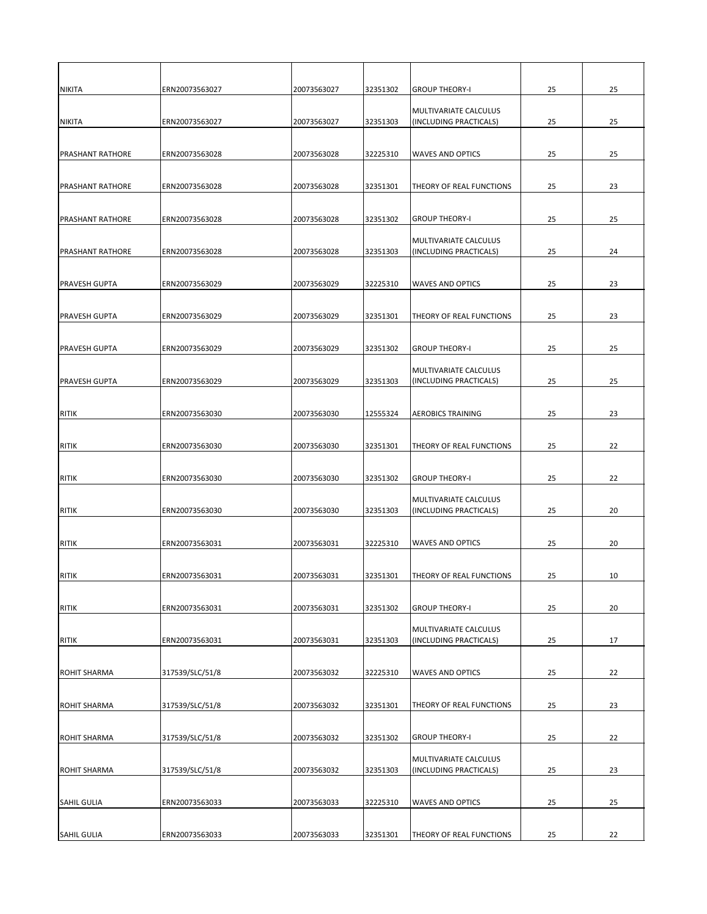| <b>NIKITA</b>           | ERN20073563027  | 20073563027 | 32351302 | <b>GROUP THEORY-I</b>                                  | 25 | 25 |
|-------------------------|-----------------|-------------|----------|--------------------------------------------------------|----|----|
| NIKITA                  | ERN20073563027  | 20073563027 | 32351303 | <b>MULTIVARIATE CALCULUS</b><br>(INCLUDING PRACTICALS) | 25 | 25 |
| <b>PRASHANT RATHORE</b> | ERN20073563028  | 20073563028 | 32225310 | <b>WAVES AND OPTICS</b>                                | 25 | 25 |
| <b>PRASHANT RATHORE</b> | ERN20073563028  | 20073563028 | 32351301 | <b>THEORY OF REAL FUNCTIONS</b>                        | 25 | 23 |
| <b>PRASHANT RATHORE</b> | ERN20073563028  | 20073563028 | 32351302 | <b>GROUP THEORY-I</b>                                  | 25 | 25 |
| <b>PRASHANT RATHORE</b> | ERN20073563028  | 20073563028 | 32351303 | MULTIVARIATE CALCULUS<br>(INCLUDING PRACTICALS)        | 25 | 24 |
| <b>PRAVESH GUPTA</b>    | ERN20073563029  | 20073563029 | 32225310 | <b>WAVES AND OPTICS</b>                                | 25 | 23 |
| <b>PRAVESH GUPTA</b>    | ERN20073563029  | 20073563029 | 32351301 | THEORY OF REAL FUNCTIONS                               | 25 | 23 |
| <b>PRAVESH GUPTA</b>    | ERN20073563029  | 20073563029 | 32351302 | <b>GROUP THEORY-I</b>                                  | 25 | 25 |
| <b>PRAVESH GUPTA</b>    | ERN20073563029  | 20073563029 | 32351303 | <b>MULTIVARIATE CALCULUS</b><br>(INCLUDING PRACTICALS) | 25 | 25 |
| <b>RITIK</b>            | ERN20073563030  | 20073563030 | 12555324 | <b>AEROBICS TRAINING</b>                               | 25 | 23 |
| RITIK                   | ERN20073563030  | 20073563030 | 32351301 | <b>THEORY OF REAL FUNCTIONS</b>                        | 25 | 22 |
| <b>RITIK</b>            | ERN20073563030  | 20073563030 | 32351302 | <b>GROUP THEORY-I</b>                                  | 25 | 22 |
| RITIK                   | ERN20073563030  | 20073563030 | 32351303 | MULTIVARIATE CALCULUS<br>(INCLUDING PRACTICALS)        | 25 | 20 |
| <b>RITIK</b>            | ERN20073563031  | 20073563031 | 32225310 | <b>WAVES AND OPTICS</b>                                | 25 | 20 |
| RITIK                   | ERN20073563031  | 20073563031 | 32351301 | <b>THEORY OF REAL FUNCTIONS</b>                        | 25 | 10 |
| RITIK                   | ERN20073563031  | 20073563031 | 32351302 | <b>GROUP THEORY-I</b>                                  | 25 | 20 |
| <b>RITIK</b>            | ERN20073563031  | 20073563031 | 32351303 | MULTIVARIATE CALCULUS<br>(INCLUDING PRACTICALS)        | 25 | 17 |
| <b>ROHIT SHARMA</b>     | 317539/SLC/51/8 | 20073563032 | 32225310 | <b>WAVES AND OPTICS</b>                                | 25 | 22 |
| <b>ROHIT SHARMA</b>     | 317539/SLC/51/8 | 20073563032 | 32351301 | <b>THEORY OF REAL FUNCTIONS</b>                        | 25 | 23 |
| <b>ROHIT SHARMA</b>     | 317539/SLC/51/8 | 20073563032 | 32351302 | <b>GROUP THEORY-I</b>                                  | 25 | 22 |
| <b>ROHIT SHARMA</b>     | 317539/SLC/51/8 | 20073563032 | 32351303 | MULTIVARIATE CALCULUS<br>(INCLUDING PRACTICALS)        | 25 | 23 |
| <b>SAHIL GULIA</b>      | ERN20073563033  | 20073563033 | 32225310 | <b>WAVES AND OPTICS</b>                                | 25 | 25 |
| <b>SAHIL GULIA</b>      | ERN20073563033  | 20073563033 | 32351301 | THEORY OF REAL FUNCTIONS                               | 25 | 22 |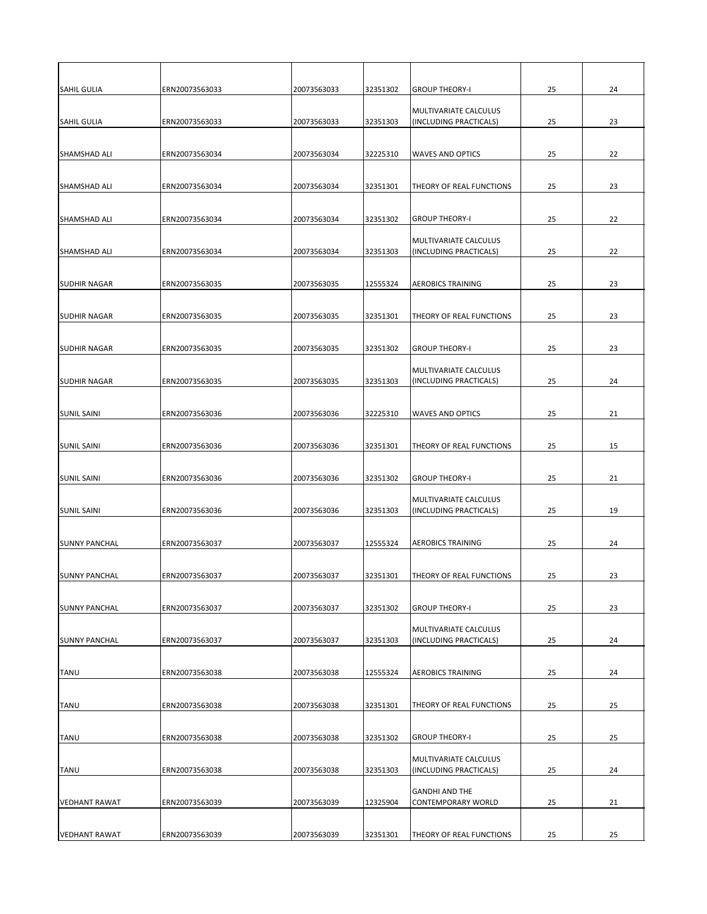| <b>SAHIL GULIA</b>    | ERN20073563033 | 20073563033 | 32351302 | <b>GROUP THEORY-I</b>                                  | 25 | 24 |
|-----------------------|----------------|-------------|----------|--------------------------------------------------------|----|----|
| <b>SAHIL GULIA</b>    | ERN20073563033 | 20073563033 | 32351303 | MULTIVARIATE CALCULUS<br>(INCLUDING PRACTICALS)        | 25 | 23 |
| <b>SHAMSHAD ALI</b>   | ERN20073563034 | 20073563034 | 32225310 | <b>WAVES AND OPTICS</b>                                | 25 | 22 |
| <b>SHAMSHAD ALI</b>   | ERN20073563034 | 20073563034 | 32351301 | <b>THEORY OF REAL FUNCTIONS</b>                        | 25 | 23 |
| <b>I</b> SHAMSHAD ALI | ERN20073563034 | 20073563034 | 32351302 | <b>GROUP THEORY-I</b>                                  | 25 | 22 |
| <b>SHAMSHAD ALI</b>   | ERN20073563034 | 20073563034 | 32351303 | MULTIVARIATE CALCULUS<br>(INCLUDING PRACTICALS)        | 25 | 22 |
| <b>SUDHIR NAGAR</b>   | ERN20073563035 | 20073563035 | 12555324 | <b>AEROBICS TRAINING</b>                               | 25 | 23 |
| <b>SUDHIR NAGAR</b>   | ERN20073563035 | 20073563035 | 32351301 | <b>THEORY OF REAL FUNCTIONS</b>                        | 25 | 23 |
| <b>SUDHIR NAGAR</b>   | ERN20073563035 | 20073563035 | 32351302 | <b>GROUP THEORY-I</b>                                  | 25 | 23 |
| <b>SUDHIR NAGAR</b>   | ERN20073563035 | 20073563035 | 32351303 | <b>MULTIVARIATE CALCULUS</b><br>(INCLUDING PRACTICALS) | 25 | 24 |
| <b>SUNIL SAINI</b>    | ERN20073563036 | 20073563036 | 32225310 | <b>WAVES AND OPTICS</b>                                | 25 | 21 |
| <b>SUNIL SAINI</b>    | ERN20073563036 | 20073563036 | 32351301 | <b>THEORY OF REAL FUNCTIONS</b>                        | 25 | 15 |
| <b>SUNIL SAINI</b>    | ERN20073563036 | 20073563036 | 32351302 | <b>GROUP THEORY-I</b>                                  | 25 | 21 |
| <b>SUNIL SAINI</b>    | ERN20073563036 | 20073563036 | 32351303 | MULTIVARIATE CALCULUS<br>(INCLUDING PRACTICALS)        | 25 | 19 |
| <b>SUNNY PANCHAL</b>  | ERN20073563037 | 20073563037 | 12555324 | <b>AEROBICS TRAINING</b>                               | 25 | 24 |
| <b>SUNNY PANCHAL</b>  | ERN20073563037 | 20073563037 | 32351301 | <b>THEORY OF REAL FUNCTIONS</b>                        | 25 | 23 |
| <b>SUNNY PANCHAL</b>  | ERN20073563037 | 20073563037 | 32351302 | <b>GROUP THEORY-I</b>                                  | 25 | 23 |
| <b>SUNNY PANCHAL</b>  | ERN20073563037 | 20073563037 | 32351303 | MULTIVARIATE CALCULUS<br>(INCLUDING PRACTICALS)        | 25 | 24 |
| <b>TANU</b>           | ERN20073563038 | 20073563038 | 12555324 | <b>AEROBICS TRAINING</b>                               | 25 | 24 |
| <b>TANU</b>           | ERN20073563038 | 20073563038 | 32351301 | <b>THEORY OF REAL FUNCTIONS</b>                        | 25 | 25 |
| <b>TANU</b>           | ERN20073563038 | 20073563038 | 32351302 | <b>GROUP THEORY-I</b>                                  | 25 | 25 |
| <b>TANU</b>           | ERN20073563038 | 20073563038 | 32351303 | MULTIVARIATE CALCULUS<br>(INCLUDING PRACTICALS)        | 25 | 24 |
| <b>VEDHANT RAWAT</b>  | ERN20073563039 | 20073563039 | 12325904 | <b>GANDHI AND THE</b><br>CONTEMPORARY WORLD            | 25 | 21 |
| <b>VEDHANT RAWAT</b>  | ERN20073563039 | 20073563039 | 32351301 | <b>THEORY OF REAL FUNCTIONS</b>                        | 25 | 25 |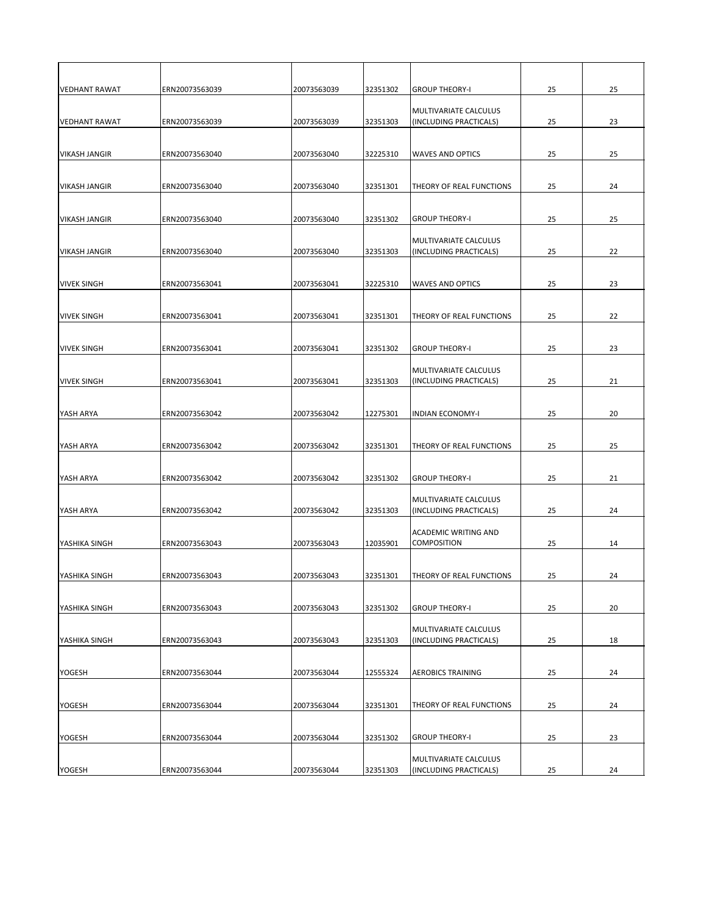| <b>VEDHANT RAWAT</b> | ERN20073563039 | 20073563039 | 32351302 | <b>GROUP THEORY-I</b>                           | 25 | 25 |
|----------------------|----------------|-------------|----------|-------------------------------------------------|----|----|
| VEDHANT RAWAT        | ERN20073563039 | 20073563039 | 32351303 | MULTIVARIATE CALCULUS<br>(INCLUDING PRACTICALS) | 25 | 23 |
|                      |                |             |          |                                                 |    |    |
| <b>VIKASH JANGIR</b> | ERN20073563040 | 20073563040 | 32225310 | <b>WAVES AND OPTICS</b>                         | 25 | 25 |
|                      |                |             |          |                                                 |    |    |
| VIKASH JANGIR        | ERN20073563040 | 20073563040 | 32351301 | THEORY OF REAL FUNCTIONS                        | 25 | 24 |
|                      |                |             |          |                                                 |    |    |
| <b>VIKASH JANGIR</b> | ERN20073563040 | 20073563040 | 32351302 | <b>GROUP THEORY-I</b>                           | 25 | 25 |
|                      |                |             |          |                                                 |    |    |
| VIKASH JANGIR        | ERN20073563040 | 20073563040 | 32351303 | MULTIVARIATE CALCULUS<br>(INCLUDING PRACTICALS) | 25 | 22 |
|                      |                |             |          |                                                 |    |    |
| <b>VIVEK SINGH</b>   | ERN20073563041 | 20073563041 | 32225310 | <b>WAVES AND OPTICS</b>                         | 25 | 23 |
|                      |                |             |          |                                                 |    |    |
| <b>VIVEK SINGH</b>   | ERN20073563041 | 20073563041 | 32351301 | THEORY OF REAL FUNCTIONS                        | 25 | 22 |
|                      |                |             |          |                                                 |    |    |
| <b>IVIVEK SINGH</b>  | ERN20073563041 | 20073563041 | 32351302 | <b>GROUP THEORY-I</b>                           | 25 | 23 |
|                      |                |             |          |                                                 |    |    |
| <b>VIVEK SINGH</b>   | ERN20073563041 | 20073563041 | 32351303 | MULTIVARIATE CALCULUS<br>(INCLUDING PRACTICALS) | 25 | 21 |
|                      |                |             |          |                                                 |    |    |
| YASH ARYA            | ERN20073563042 | 20073563042 | 12275301 | <b>INDIAN ECONOMY-I</b>                         | 25 | 20 |
|                      |                |             |          |                                                 |    |    |
| YASH ARYA            | ERN20073563042 | 20073563042 | 32351301 | <b>THEORY OF REAL FUNCTIONS</b>                 | 25 | 25 |
|                      |                |             |          |                                                 |    |    |
| YASH ARYA            | ERN20073563042 | 20073563042 | 32351302 | <b>GROUP THEORY-I</b>                           | 25 | 21 |
|                      |                |             |          | MULTIVARIATE CALCULUS                           |    |    |
| YASH ARYA            | ERN20073563042 | 20073563042 | 32351303 | (INCLUDING PRACTICALS)                          | 25 | 24 |
|                      |                |             |          | <b>ACADEMIC WRITING AND</b>                     |    |    |
| <b>YASHIKA SINGH</b> | ERN20073563043 | 20073563043 | 12035901 | <b>COMPOSITION</b>                              | 25 | 14 |
|                      |                |             |          |                                                 |    |    |
| YASHIKA SINGH        | ERN20073563043 | 20073563043 | 32351301 | THEORY OF REAL FUNCTIONS                        | 25 | 24 |
|                      |                |             |          |                                                 |    |    |
| YASHIKA SINGH        | ERN20073563043 | 20073563043 | 32351302 | <b>GROUP THEORY-I</b>                           | 25 | 20 |
|                      |                |             |          | MULTIVARIATE CALCULUS                           |    |    |
| <b>YASHIKA SINGH</b> | ERN20073563043 | 20073563043 | 32351303 | (INCLUDING PRACTICALS)                          | 25 | 18 |
|                      |                |             |          |                                                 |    |    |
| <b>YOGESH</b>        | ERN20073563044 | 20073563044 | 12555324 | <b>AEROBICS TRAINING</b>                        | 25 | 24 |
|                      |                |             |          |                                                 |    |    |
| <b>YOGESH</b>        | ERN20073563044 | 20073563044 | 32351301 | THEORY OF REAL FUNCTIONS                        | 25 | 24 |
|                      |                |             |          |                                                 |    |    |
| <b>YOGESH</b>        | ERN20073563044 | 20073563044 | 32351302 | <b>GROUP THEORY-I</b>                           | 25 | 23 |
|                      |                |             |          | MULTIVARIATE CALCULUS                           |    |    |
| <b>YOGESH</b>        | ERN20073563044 | 20073563044 | 32351303 | (INCLUDING PRACTICALS)                          | 25 | 24 |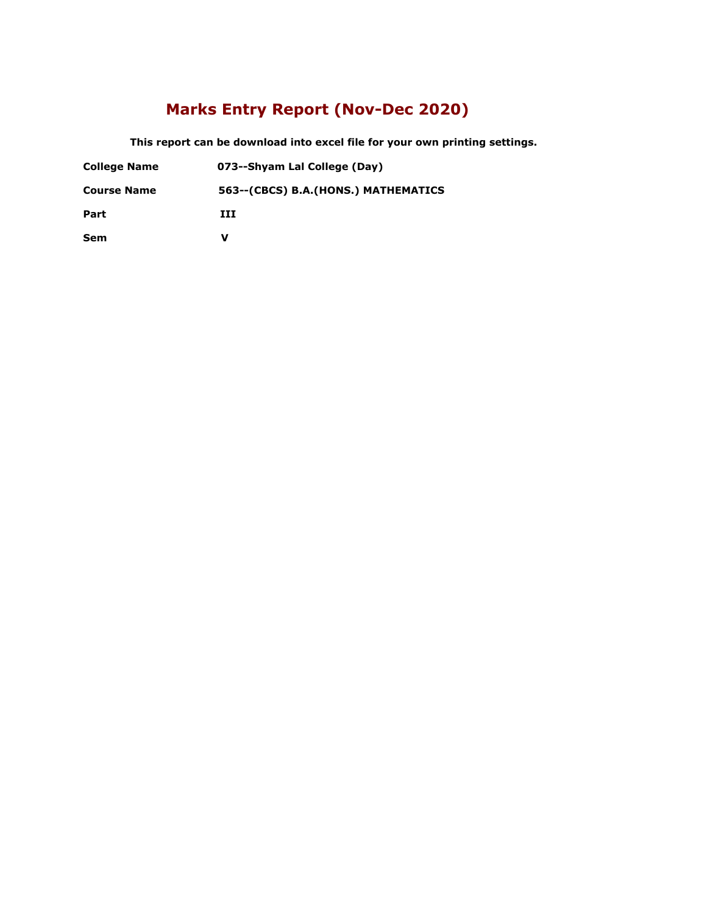### **Marks Entry Report (Nov-Dec 2020)**

 **This report can be download into excel file for your own printing settings.** 

- **College Name 073--Shyam Lal College (Day)**
- **Course Name 563--(CBCS) B.A.(HONS.) MATHEMATICS**

**Part III**

**Sem V**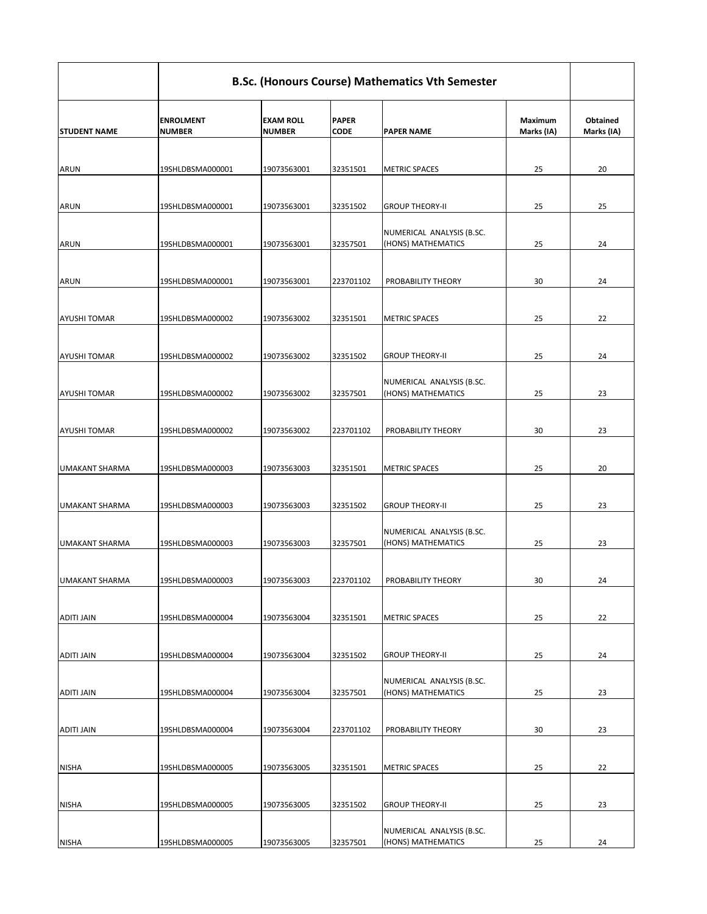|                       | <b>B.Sc. (Honours Course) Mathematics Vth Semester</b> |                                   |                             |                                                 |                              |                               |  |  |
|-----------------------|--------------------------------------------------------|-----------------------------------|-----------------------------|-------------------------------------------------|------------------------------|-------------------------------|--|--|
| <b>STUDENT NAME</b>   | <b>ENROLMENT</b><br><b>NUMBER</b>                      | <b>EXAM ROLL</b><br><b>NUMBER</b> | <b>PAPER</b><br><b>CODE</b> | <b>PAPER NAME</b>                               | <b>Maximum</b><br>Marks (IA) | <b>Obtained</b><br>Marks (IA) |  |  |
|                       |                                                        |                                   |                             |                                                 |                              |                               |  |  |
| <b>ARUN</b>           | 19SHLDBSMA000001                                       | 19073563001                       | 32351501                    | <b>METRIC SPACES</b>                            | 25                           | 20                            |  |  |
| <b>ARUN</b>           | 19SHLDBSMA000001                                       | 19073563001                       | 32351502                    | <b>GROUP THEORY-II</b>                          | 25                           | 25                            |  |  |
| <b>ARUN</b>           | 19SHLDBSMA000001                                       | 19073563001                       | 32357501                    | NUMERICAL ANALYSIS (B.SC.<br>(HONS) MATHEMATICS | 25                           | 24                            |  |  |
| <b>ARUN</b>           | 19SHLDBSMA000001                                       | 19073563001                       | 223701102                   | PROBABILITY THEORY                              | 30                           | 24                            |  |  |
| <b>AYUSHI TOMAR</b>   | 19SHLDBSMA000002                                       | 19073563002                       | 32351501                    | <b>METRIC SPACES</b>                            | 25                           | 22                            |  |  |
| <b>AYUSHI TOMAR</b>   | 19SHLDBSMA000002                                       | 19073563002                       | 32351502                    | <b>GROUP THEORY-II</b>                          | 25                           | 24                            |  |  |
| <b>AYUSHI TOMAR</b>   | 19SHLDBSMA000002                                       | 19073563002                       | 32357501                    | NUMERICAL ANALYSIS (B.SC.<br>(HONS) MATHEMATICS | 25                           | 23                            |  |  |
| <b>AYUSHI TOMAR</b>   | 19SHLDBSMA000002                                       | 19073563002                       | 223701102                   | PROBABILITY THEORY                              | 30                           | 23                            |  |  |
| <b>UMAKANT SHARMA</b> | 19SHLDBSMA000003                                       | 19073563003                       | 32351501                    | <b>METRIC SPACES</b>                            | 25                           | 20                            |  |  |
| <b>UMAKANT SHARMA</b> | 19SHLDBSMA000003                                       | 19073563003                       | 32351502                    | <b>GROUP THEORY-II</b>                          | 25                           | 23                            |  |  |
| UMAKANT SHARMA        | 19SHLDBSMA000003                                       | 19073563003                       | 32357501                    | NUMERICAL ANALYSIS (B.SC.<br>(HONS) MATHEMATICS | 25                           | 23                            |  |  |
| <b>UMAKANT SHARMA</b> | 19SHLDBSMA000003                                       | 19073563003                       | 223701102                   | PROBABILITY THEORY                              | 30                           | 24                            |  |  |
| <b>ADITI JAIN</b>     | 19SHLDBSMA000004                                       | 19073563004                       | 32351501                    | <b>METRIC SPACES</b>                            | 25                           | 22                            |  |  |
| <b>ADITI JAIN</b>     | 19SHLDBSMA000004                                       | 19073563004                       | 32351502                    | <b>GROUP THEORY-II</b>                          | 25                           | 24                            |  |  |
| <b>ADITI JAIN</b>     | 19SHLDBSMA000004                                       | 19073563004                       | 32357501                    | NUMERICAL ANALYSIS (B.SC.<br>(HONS) MATHEMATICS | 25                           | 23                            |  |  |

| ADITI JAIN   | 19SHLDBSMA000004 | 19073563004 | 223701102 | PROBABILITY THEORY        | 30 | 23 |
|--------------|------------------|-------------|-----------|---------------------------|----|----|
|              |                  |             |           |                           |    |    |
| <b>NISHA</b> | 19SHLDBSMA000005 | 19073563005 | 32351501  | <b>IMETRIC SPACES</b>     | 25 | 22 |
|              |                  |             |           |                           |    |    |
| <b>NISHA</b> | 19SHLDBSMA000005 | 19073563005 | 32351502  | <b>GROUP THEORY-II</b>    | 25 | 23 |
|              |                  |             |           |                           |    |    |
|              |                  |             |           | NUMERICAL ANALYSIS (B.SC. |    |    |
| <b>NISHA</b> | 19SHLDBSMA000005 | 19073563005 | 32357501  | (HONS) MATHEMATICS        | 25 | 24 |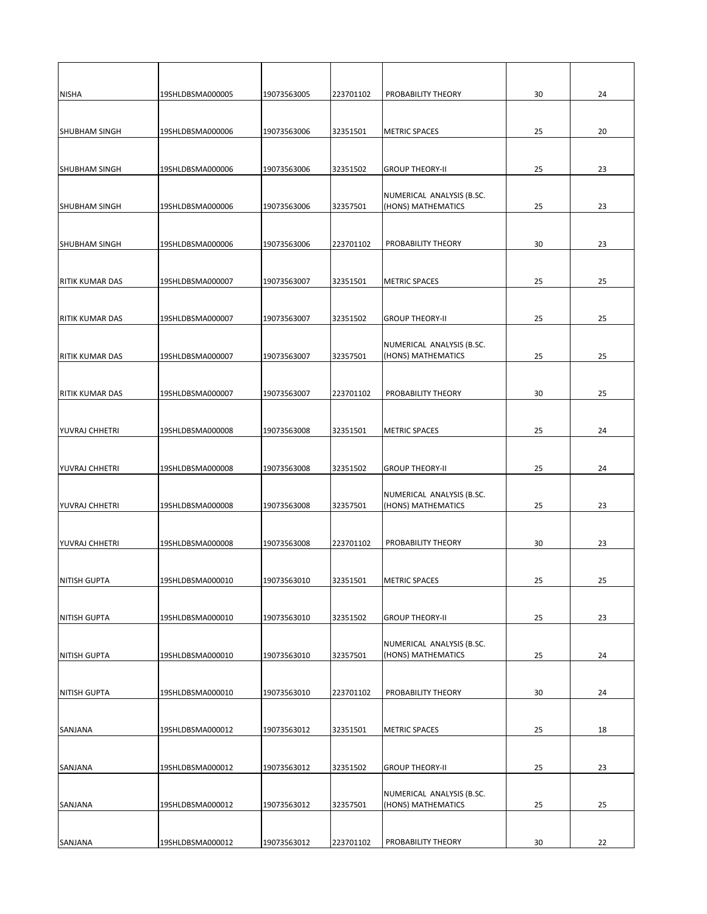| <b>NISHA</b>           | 19SHLDBSMA000005 | 19073563005 | 223701102 | PROBABILITY THEORY                              | 30 | 24 |
|------------------------|------------------|-------------|-----------|-------------------------------------------------|----|----|
|                        |                  |             |           |                                                 |    |    |
| <b>SHUBHAM SINGH</b>   | 19SHLDBSMA000006 | 19073563006 | 32351501  | <b>METRIC SPACES</b>                            | 25 | 20 |
|                        |                  |             |           |                                                 |    |    |
| <b>SHUBHAM SINGH</b>   | 19SHLDBSMA000006 | 19073563006 | 32351502  | <b>GROUP THEORY-II</b>                          | 25 | 23 |
|                        |                  |             |           |                                                 |    |    |
| <b>SHUBHAM SINGH</b>   | 19SHLDBSMA000006 | 19073563006 | 32357501  | NUMERICAL ANALYSIS (B.SC.<br>(HONS) MATHEMATICS | 25 | 23 |
|                        |                  |             |           |                                                 |    |    |
|                        |                  |             |           |                                                 |    |    |
| <b>SHUBHAM SINGH</b>   | 19SHLDBSMA000006 | 19073563006 | 223701102 | PROBABILITY THEORY                              | 30 | 23 |
|                        |                  |             |           |                                                 |    |    |
| <b>RITIK KUMAR DAS</b> | 19SHLDBSMA000007 | 19073563007 | 32351501  | <b>METRIC SPACES</b>                            | 25 | 25 |
|                        |                  |             |           |                                                 |    |    |
| <b>RITIK KUMAR DAS</b> | 19SHLDBSMA000007 | 19073563007 | 32351502  | <b>GROUP THEORY-II</b>                          | 25 | 25 |
|                        |                  |             |           |                                                 |    |    |
| <b>RITIK KUMAR DAS</b> | 19SHLDBSMA000007 | 19073563007 | 32357501  | NUMERICAL ANALYSIS (B.SC.<br>(HONS) MATHEMATICS | 25 | 25 |
|                        |                  |             |           |                                                 |    |    |
|                        |                  |             |           |                                                 |    |    |
| <b>RITIK KUMAR DAS</b> | 19SHLDBSMA000007 | 19073563007 | 223701102 | PROBABILITY THEORY                              | 30 | 25 |
|                        |                  |             |           |                                                 |    |    |
| YUVRAJ CHHETRI         | 19SHLDBSMA000008 | 19073563008 | 32351501  | <b>METRIC SPACES</b>                            | 25 | 24 |
|                        |                  |             |           |                                                 |    |    |
| YUVRAJ CHHETRI         | 19SHLDBSMA000008 | 19073563008 | 32351502  | <b>GROUP THEORY-II</b>                          | 25 | 24 |
|                        |                  |             |           |                                                 |    |    |
| YUVRAJ CHHETRI         | 19SHLDBSMA000008 | 19073563008 | 32357501  | NUMERICAL ANALYSIS (B.SC.<br>(HONS) MATHEMATICS | 25 | 23 |
|                        |                  |             |           |                                                 |    |    |
|                        |                  |             |           |                                                 |    |    |
| YUVRAJ CHHETRI         | 19SHLDBSMA000008 | 19073563008 | 223701102 | PROBABILITY THEORY                              | 30 | 23 |
|                        |                  |             |           |                                                 |    |    |
| <b>NITISH GUPTA</b>    | 19SHLDBSMA000010 | 19073563010 | 32351501  | <b>METRIC SPACES</b>                            | 25 | 25 |
|                        |                  |             |           |                                                 |    |    |
| <b>NITISH GUPTA</b>    | 19SHLDBSMA000010 | 19073563010 | 32351502  | <b>GROUP THEORY-II</b>                          | 25 | 23 |
|                        |                  |             |           |                                                 |    |    |
| <b>NITISH GUPTA</b>    | 19SHLDBSMA000010 | 19073563010 | 32357501  | NUMERICAL ANALYSIS (B.SC.<br>(HONS) MATHEMATICS | 25 | 24 |
|                        |                  |             |           |                                                 |    |    |
|                        |                  |             |           |                                                 |    |    |
| <b>NITISH GUPTA</b>    | 19SHLDBSMA000010 | 19073563010 | 223701102 | PROBABILITY THEORY                              | 30 | 24 |

| <b>ISANJANA</b> | 19SHLDBSMA000012 | 19073563012 | 32351501  | <b>IMETRIC SPACES</b>     | 25 | 18 |
|-----------------|------------------|-------------|-----------|---------------------------|----|----|
|                 |                  |             |           |                           |    |    |
| <b>SANJANA</b>  | 19SHLDBSMA000012 | 19073563012 | 32351502  | <b>GROUP THEORY-II</b>    | 25 | 23 |
|                 |                  |             |           | NUMERICAL ANALYSIS (B.SC. |    |    |
| <b>ISANJANA</b> | 19SHLDBSMA000012 | 19073563012 | 32357501  | (HONS) MATHEMATICS        | 25 | 25 |
|                 |                  |             |           |                           |    |    |
|                 |                  |             |           |                           |    |    |
| <b>ISANJANA</b> | 19SHLDBSMA000012 | 19073563012 | 223701102 | PROBABILITY THEORY        | 30 | 22 |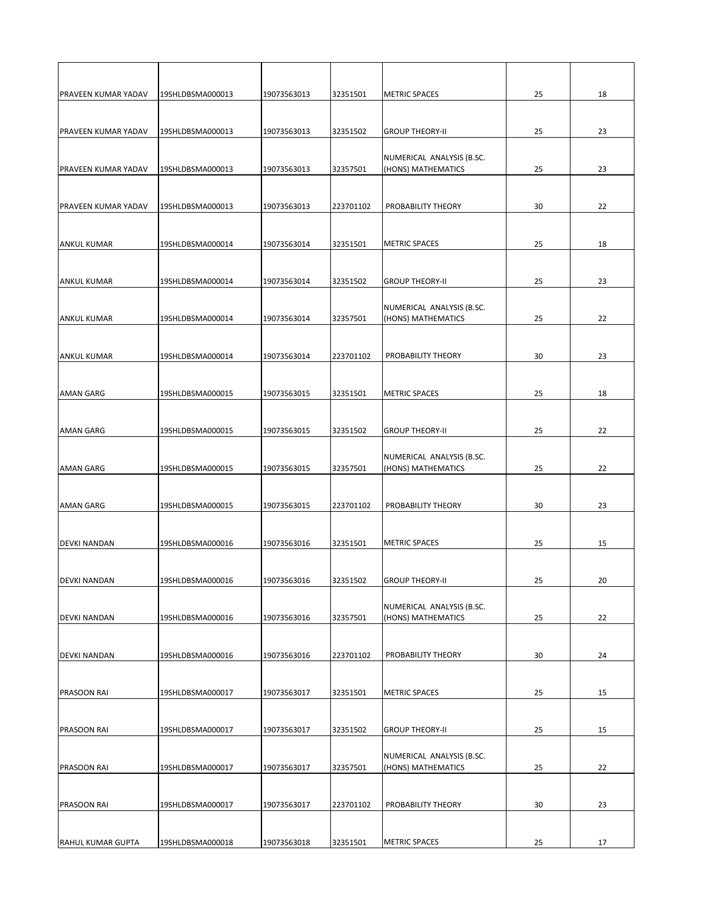| <b>PRAVEEN KUMAR YADAV</b> | 19SHLDBSMA000013 | 19073563013 | 32351501  | <b>METRIC SPACES</b>                            | 25 | 18 |
|----------------------------|------------------|-------------|-----------|-------------------------------------------------|----|----|
|                            |                  |             |           |                                                 |    |    |
| <b>PRAVEEN KUMAR YADAV</b> | 19SHLDBSMA000013 | 19073563013 | 32351502  | <b>GROUP THEORY-II</b>                          | 25 | 23 |
|                            |                  |             |           |                                                 |    |    |
|                            |                  |             |           | NUMERICAL ANALYSIS (B.SC.                       |    |    |
| <b>PRAVEEN KUMAR YADAV</b> | 19SHLDBSMA000013 | 19073563013 | 32357501  | (HONS) MATHEMATICS                              | 25 | 23 |
|                            |                  |             |           |                                                 |    |    |
| <b>PRAVEEN KUMAR YADAV</b> | 19SHLDBSMA000013 | 19073563013 | 223701102 | PROBABILITY THEORY                              | 30 | 22 |
|                            |                  |             |           |                                                 |    |    |
|                            |                  |             |           | <b>METRIC SPACES</b>                            |    |    |
| <b>ANKUL KUMAR</b>         | 19SHLDBSMA000014 | 19073563014 | 32351501  |                                                 | 25 | 18 |
|                            |                  |             |           |                                                 |    |    |
| <b>ANKUL KUMAR</b>         | 19SHLDBSMA000014 | 19073563014 | 32351502  | <b>GROUP THEORY-II</b>                          | 25 | 23 |
|                            |                  |             |           |                                                 |    |    |
| <b>ANKUL KUMAR</b>         | 19SHLDBSMA000014 | 19073563014 | 32357501  | NUMERICAL ANALYSIS (B.SC.<br>(HONS) MATHEMATICS | 25 | 22 |
|                            |                  |             |           |                                                 |    |    |
|                            |                  |             |           |                                                 |    |    |
| <b>ANKUL KUMAR</b>         | 19SHLDBSMA000014 | 19073563014 | 223701102 | PROBABILITY THEORY                              | 30 | 23 |
|                            |                  |             |           |                                                 |    |    |
| <b>AMAN GARG</b>           | 19SHLDBSMA000015 | 19073563015 | 32351501  | <b>METRIC SPACES</b>                            | 25 | 18 |
|                            |                  |             |           |                                                 |    |    |
|                            |                  |             |           |                                                 |    |    |
| <b>AMAN GARG</b>           | 19SHLDBSMA000015 | 19073563015 | 32351502  | <b>GROUP THEORY-II</b>                          | 25 | 22 |
|                            |                  |             |           | NUMERICAL ANALYSIS (B.SC.                       |    |    |
| <b>AMAN GARG</b>           | 19SHLDBSMA000015 | 19073563015 | 32357501  | (HONS) MATHEMATICS                              | 25 | 22 |
|                            |                  |             |           |                                                 |    |    |
|                            |                  |             |           |                                                 |    |    |
| <b>AMAN GARG</b>           | 19SHLDBSMA000015 | 19073563015 | 223701102 | PROBABILITY THEORY                              | 30 | 23 |
|                            |                  |             |           |                                                 |    |    |
| <b>DEVKI NANDAN</b>        | 19SHLDBSMA000016 | 19073563016 | 32351501  | <b>METRIC SPACES</b>                            | 25 | 15 |
|                            |                  |             |           |                                                 |    |    |
| <b>DEVKI NANDAN</b>        | 19SHLDBSMA000016 | 19073563016 | 32351502  | <b>GROUP THEORY-II</b>                          | 25 | 20 |
|                            |                  |             |           |                                                 |    |    |
|                            |                  |             |           | NUMERICAL ANALYSIS (B.SC.                       |    |    |
| <b>DEVKI NANDAN</b>        | 19SHLDBSMA000016 | 19073563016 | 32357501  | (HONS) MATHEMATICS                              | 25 | 22 |
|                            |                  |             |           |                                                 |    |    |
| <b>DEVKI NANDAN</b>        | 19SHLDBSMA000016 | 19073563016 | 223701102 | PROBABILITY THEORY                              | 30 | 24 |
|                            |                  |             |           |                                                 |    |    |
|                            |                  |             |           |                                                 |    |    |
| <b>PRASOON RAI</b>         | 19SHLDBSMA000017 | 19073563017 | 32351501  | <b>METRIC SPACES</b>                            | 25 | 15 |

| <b>IPRASOON RAI</b>      | 19SHLDBSMA000017 | 19073563017 | 32351502  | <b>GROUP THEORY-II</b>                          | 25 | 15 |
|--------------------------|------------------|-------------|-----------|-------------------------------------------------|----|----|
| <b>PRASOON RAI</b>       | 19SHLDBSMA000017 | 19073563017 | 32357501  | NUMERICAL ANALYSIS (B.SC.<br>(HONS) MATHEMATICS | 25 | 22 |
| <b>IPRASOON RAI</b>      | 19SHLDBSMA000017 | 19073563017 | 223701102 | <b>PROBABILITY THEORY</b>                       | 30 | 23 |
| <b>RAHUL KUMAR GUPTA</b> | 19SHLDBSMA000018 | 19073563018 | 32351501  | <b>METRIC SPACES</b>                            | 25 | 17 |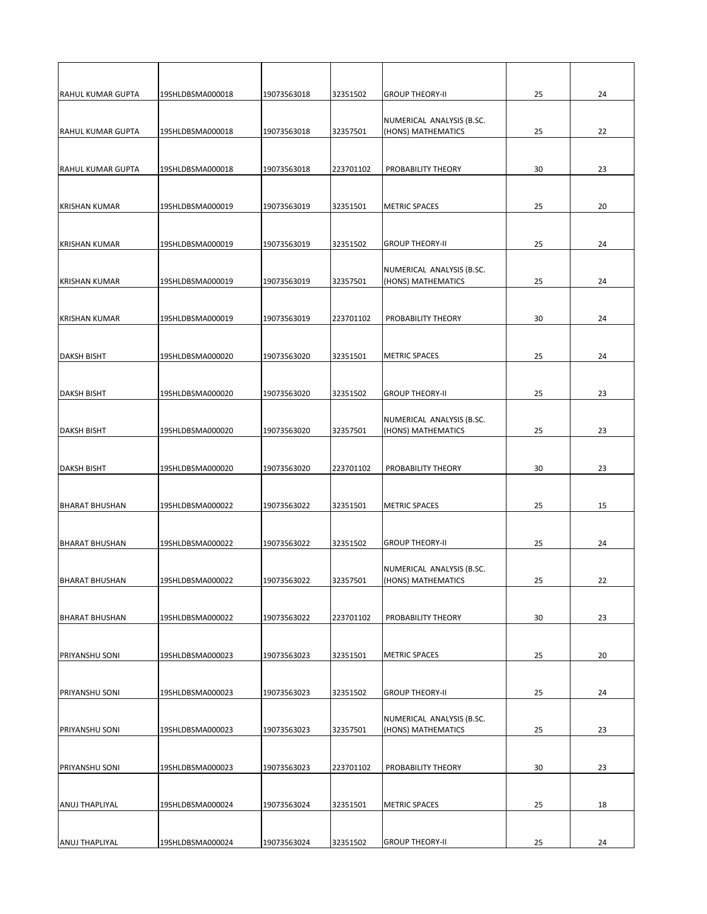| <b>RAHUL KUMAR GUPTA</b> | 19SHLDBSMA000018 | 19073563018 | 32351502  | <b>GROUP THEORY-II</b>                          | 25 | 24 |
|--------------------------|------------------|-------------|-----------|-------------------------------------------------|----|----|
| <b>RAHUL KUMAR GUPTA</b> | 19SHLDBSMA000018 | 19073563018 | 32357501  | NUMERICAL ANALYSIS (B.SC.<br>(HONS) MATHEMATICS | 25 | 22 |
| <b>RAHUL KUMAR GUPTA</b> | 19SHLDBSMA000018 | 19073563018 | 223701102 | PROBABILITY THEORY                              | 30 | 23 |
| <b>KRISHAN KUMAR</b>     | 19SHLDBSMA000019 | 19073563019 | 32351501  | <b>METRIC SPACES</b>                            | 25 | 20 |
| <b>KRISHAN KUMAR</b>     | 19SHLDBSMA000019 | 19073563019 | 32351502  | <b>GROUP THEORY-II</b>                          | 25 | 24 |
| <b>KRISHAN KUMAR</b>     | 19SHLDBSMA000019 | 19073563019 | 32357501  | NUMERICAL ANALYSIS (B.SC.<br>(HONS) MATHEMATICS | 25 | 24 |
| <b>KRISHAN KUMAR</b>     | 19SHLDBSMA000019 | 19073563019 | 223701102 | PROBABILITY THEORY                              | 30 | 24 |
| <b>DAKSH BISHT</b>       | 19SHLDBSMA000020 | 19073563020 | 32351501  | <b>METRIC SPACES</b>                            | 25 | 24 |
| <b>DAKSH BISHT</b>       | 19SHLDBSMA000020 | 19073563020 | 32351502  | <b>GROUP THEORY-II</b>                          | 25 | 23 |
| <b>DAKSH BISHT</b>       | 19SHLDBSMA000020 | 19073563020 | 32357501  | NUMERICAL ANALYSIS (B.SC.<br>(HONS) MATHEMATICS | 25 | 23 |
| <b>DAKSH BISHT</b>       | 19SHLDBSMA000020 | 19073563020 | 223701102 | PROBABILITY THEORY                              | 30 | 23 |
| <b>BHARAT BHUSHAN</b>    | 19SHLDBSMA000022 | 19073563022 | 32351501  | <b>METRIC SPACES</b>                            | 25 | 15 |
| <b>BHARAT BHUSHAN</b>    | 19SHLDBSMA000022 | 19073563022 | 32351502  | <b>GROUP THEORY-II</b>                          | 25 | 24 |
| <b>BHARAT BHUSHAN</b>    | 19SHLDBSMA000022 | 19073563022 | 32357501  | NUMERICAL ANALYSIS (B.SC.<br>(HONS) MATHEMATICS | 25 | 22 |
| <b>BHARAT BHUSHAN</b>    | 19SHLDBSMA000022 | 19073563022 | 223701102 | PROBABILITY THEORY                              | 30 | 23 |
| <b>PRIYANSHU SONI</b>    | 19SHLDBSMA000023 | 19073563023 | 32351501  | <b>METRIC SPACES</b>                            | 25 | 20 |
| <b>PRIYANSHU SONI</b>    | 19SHLDBSMA000023 | 19073563023 | 32351502  | <b>GROUP THEORY-II</b>                          | 25 | 24 |

| <b>PRIYANSHU SONI</b> | 19SHLDBSMA000023 | 19073563023 | 32357501  | NUMERICAL ANALYSIS (B.SC.<br>(HONS) MATHEMATICS | 25 | 23 |
|-----------------------|------------------|-------------|-----------|-------------------------------------------------|----|----|
|                       |                  |             |           |                                                 |    |    |
| IPRIYANSHU SONI       | 19SHLDBSMA000023 | 19073563023 | 223701102 | <b>PROBABILITY THEORY</b>                       | 30 | 23 |
|                       |                  |             |           |                                                 |    |    |
| <b>ANUJ THAPLIYAL</b> | 19SHLDBSMA000024 | 19073563024 | 32351501  | <b>METRIC SPACES</b>                            | 25 | 18 |
|                       |                  |             |           |                                                 |    |    |
| IANUJ THAPLIYAL       | 19SHLDBSMA000024 | 19073563024 | 32351502  | <b>GROUP THEORY-II</b>                          | 25 | 24 |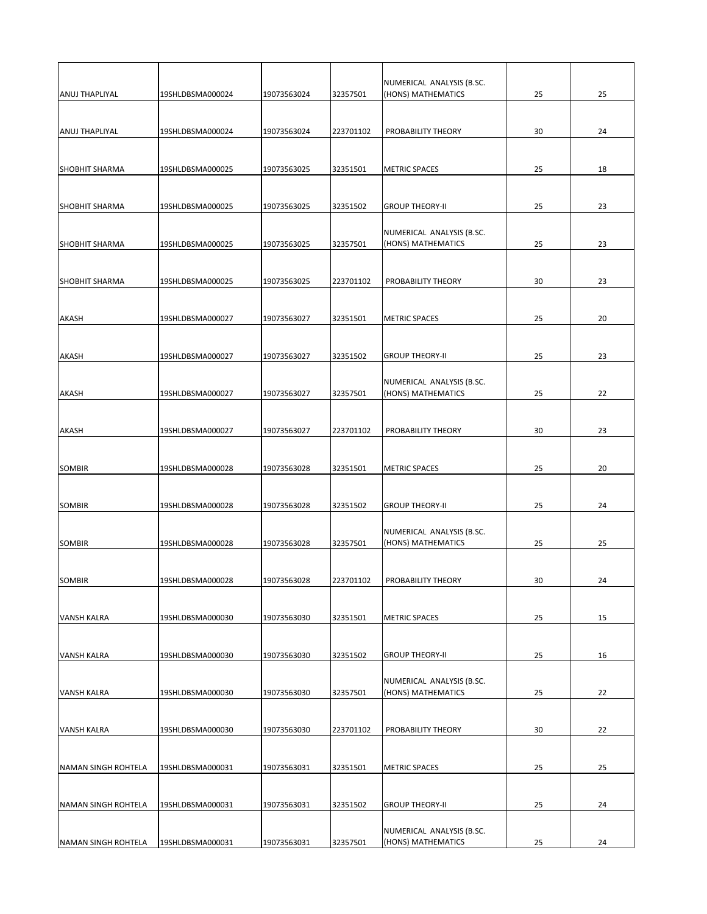|                       |                  |             |           | NUMERICAL ANALYSIS (B.SC.                       |    |    |
|-----------------------|------------------|-------------|-----------|-------------------------------------------------|----|----|
| <b>ANUJ THAPLIYAL</b> | 19SHLDBSMA000024 | 19073563024 | 32357501  | (HONS) MATHEMATICS                              | 25 | 25 |
| <b>ANUJ THAPLIYAL</b> | 19SHLDBSMA000024 | 19073563024 | 223701102 | PROBABILITY THEORY                              | 30 | 24 |
| <b>SHOBHIT SHARMA</b> | 19SHLDBSMA000025 | 19073563025 | 32351501  | <b>METRIC SPACES</b>                            | 25 | 18 |
| <b>SHOBHIT SHARMA</b> | 19SHLDBSMA000025 | 19073563025 | 32351502  | <b>GROUP THEORY-II</b>                          | 25 | 23 |
| <b>SHOBHIT SHARMA</b> | 19SHLDBSMA000025 | 19073563025 | 32357501  | NUMERICAL ANALYSIS (B.SC.<br>(HONS) MATHEMATICS | 25 | 23 |
| <b>SHOBHIT SHARMA</b> | 19SHLDBSMA000025 | 19073563025 | 223701102 | PROBABILITY THEORY                              | 30 | 23 |
| <b>AKASH</b>          | 19SHLDBSMA000027 | 19073563027 | 32351501  | <b>METRIC SPACES</b>                            | 25 | 20 |
| <b>AKASH</b>          | 19SHLDBSMA000027 | 19073563027 | 32351502  | <b>GROUP THEORY-II</b>                          | 25 | 23 |
| <b>AKASH</b>          | 19SHLDBSMA000027 | 19073563027 | 32357501  | NUMERICAL ANALYSIS (B.SC.<br>(HONS) MATHEMATICS | 25 | 22 |
| <b>AKASH</b>          | 19SHLDBSMA000027 | 19073563027 | 223701102 | PROBABILITY THEORY                              | 30 | 23 |
| <b>SOMBIR</b>         | 19SHLDBSMA000028 | 19073563028 | 32351501  | <b>METRIC SPACES</b>                            | 25 | 20 |
| <b>SOMBIR</b>         | 19SHLDBSMA000028 | 19073563028 | 32351502  | <b>GROUP THEORY-II</b>                          | 25 | 24 |
| <b>SOMBIR</b>         | 19SHLDBSMA000028 | 19073563028 | 32357501  | NUMERICAL ANALYSIS (B.SC.<br>(HONS) MATHEMATICS | 25 | 25 |
| <b>SOMBIR</b>         | 19SHLDBSMA000028 | 19073563028 | 223701102 | PROBABILITY THEORY                              | 30 | 24 |
| <b>VANSH KALRA</b>    | 19SHLDBSMA000030 | 19073563030 | 32351501  | <b>METRIC SPACES</b>                            | 25 | 15 |
| <b>VANSH KALRA</b>    | 19SHLDBSMA000030 | 19073563030 | 32351502  | <b>GROUP THEORY-II</b>                          | 25 | 16 |
| <b>VANSH KALRA</b>    | 19SHLDBSMA000030 | 19073563030 | 32357501  | NUMERICAL ANALYSIS (B.SC.<br>(HONS) MATHEMATICS | 25 | 22 |
|                       |                  |             |           |                                                 |    |    |

| IVANSH KALRA               | I19SHLDBSMA000030 | 19073563030 | 223701102 | PROBABILITY THEORY                              | 30 | 22 |
|----------------------------|-------------------|-------------|-----------|-------------------------------------------------|----|----|
|                            |                   |             |           |                                                 |    |    |
| <b>NAMAN SINGH ROHTELA</b> | 19SHLDBSMA000031  | 19073563031 | 32351501  | <b>IMETRIC SPACES</b>                           | 25 | 25 |
|                            |                   |             |           |                                                 |    |    |
| NAMAN SINGH ROHTELA        | 19SHLDBSMA000031  | 19073563031 | 32351502  | IGROUP THEORY-II                                | 25 | 24 |
|                            |                   |             |           |                                                 |    |    |
| NAMAN SINGH ROHTELA        | I19SHLDBSMA000031 | 19073563031 | 32357501  | NUMERICAL ANALYSIS (B.SC.<br>(HONS) MATHEMATICS | 25 | 24 |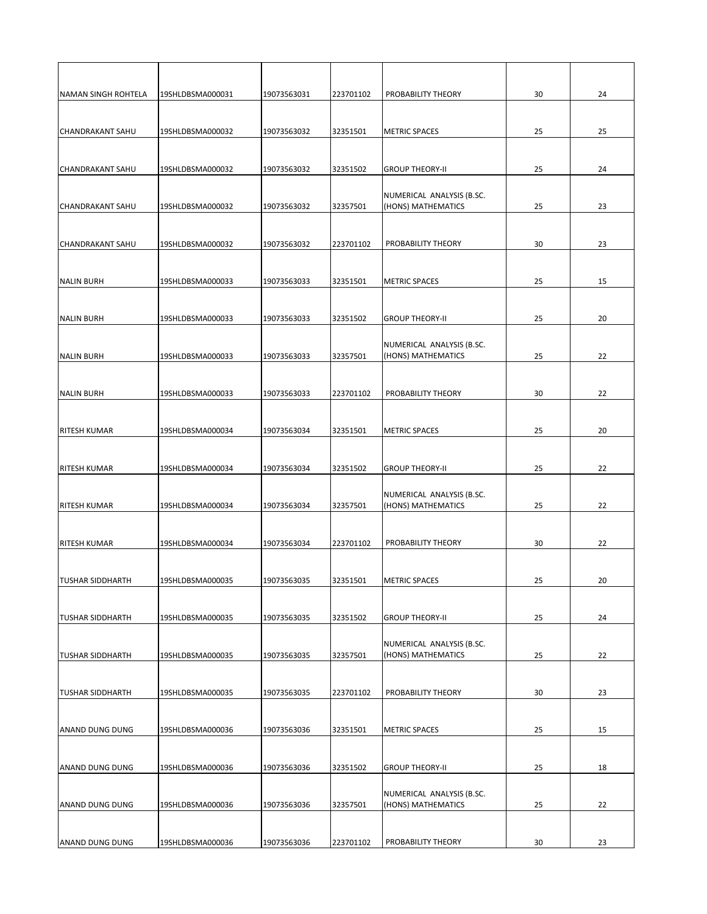| NAMAN SINGH ROHTELA     | 19SHLDBSMA000031 | 19073563031 | 223701102 | PROBABILITY THEORY        | 30 | 24 |
|-------------------------|------------------|-------------|-----------|---------------------------|----|----|
|                         |                  |             |           |                           |    |    |
| <b>CHANDRAKANT SAHU</b> | 19SHLDBSMA000032 | 19073563032 | 32351501  | <b>METRIC SPACES</b>      | 25 | 25 |
|                         |                  |             |           |                           |    |    |
|                         |                  |             |           |                           |    |    |
| <b>CHANDRAKANT SAHU</b> | 19SHLDBSMA000032 | 19073563032 | 32351502  | <b>GROUP THEORY-II</b>    | 25 | 24 |
|                         |                  |             |           | NUMERICAL ANALYSIS (B.SC. |    |    |
| <b>CHANDRAKANT SAHU</b> | 19SHLDBSMA000032 | 19073563032 | 32357501  | (HONS) MATHEMATICS        | 25 | 23 |
|                         |                  |             |           |                           |    |    |
| <b>CHANDRAKANT SAHU</b> | 19SHLDBSMA000032 | 19073563032 | 223701102 | PROBABILITY THEORY        | 30 | 23 |
|                         |                  |             |           |                           |    |    |
|                         |                  |             |           |                           |    |    |
| <b>NALIN BURH</b>       | 19SHLDBSMA000033 | 19073563033 | 32351501  | <b>METRIC SPACES</b>      | 25 | 15 |
|                         |                  |             |           |                           |    |    |
| <b>NALIN BURH</b>       | 19SHLDBSMA000033 | 19073563033 | 32351502  | <b>GROUP THEORY-II</b>    | 25 | 20 |
|                         |                  |             |           |                           |    |    |
|                         |                  |             |           | NUMERICAL ANALYSIS (B.SC. |    |    |
| <b>NALIN BURH</b>       | 19SHLDBSMA000033 | 19073563033 | 32357501  | (HONS) MATHEMATICS        | 25 | 22 |
|                         |                  |             |           |                           |    |    |
| <b>NALIN BURH</b>       | 19SHLDBSMA000033 | 19073563033 | 223701102 | PROBABILITY THEORY        | 30 | 22 |
|                         |                  |             |           |                           |    |    |
| <b>RITESH KUMAR</b>     | 19SHLDBSMA000034 | 19073563034 | 32351501  | <b>METRIC SPACES</b>      | 25 | 20 |
|                         |                  |             |           |                           |    |    |
|                         |                  |             |           |                           |    |    |
| <b>RITESH KUMAR</b>     | 19SHLDBSMA000034 | 19073563034 | 32351502  | <b>GROUP THEORY-II</b>    | 25 | 22 |
|                         |                  |             |           | NUMERICAL ANALYSIS (B.SC. |    |    |
| <b>RITESH KUMAR</b>     | 19SHLDBSMA000034 | 19073563034 | 32357501  | (HONS) MATHEMATICS        | 25 | 22 |
|                         |                  |             |           |                           |    |    |
| <b>RITESH KUMAR</b>     | 19SHLDBSMA000034 | 19073563034 | 223701102 | PROBABILITY THEORY        | 30 | 22 |
|                         |                  |             |           |                           |    |    |
|                         |                  |             |           |                           |    |    |
| <b>TUSHAR SIDDHARTH</b> | 19SHLDBSMA000035 | 19073563035 | 32351501  | <b>METRIC SPACES</b>      | 25 | 20 |
|                         |                  |             |           |                           |    |    |
| <b>TUSHAR SIDDHARTH</b> | 19SHLDBSMA000035 | 19073563035 | 32351502  | <b>GROUP THEORY-II</b>    | 25 | 24 |
|                         |                  |             |           |                           |    |    |
|                         |                  |             |           | NUMERICAL ANALYSIS (B.SC. |    |    |
| <b>TUSHAR SIDDHARTH</b> | 19SHLDBSMA000035 | 19073563035 | 32357501  | (HONS) MATHEMATICS        | 25 | 22 |
|                         |                  |             |           |                           |    |    |
| <b>TUSHAR SIDDHARTH</b> | 19SHLDBSMA000035 | 19073563035 | 223701102 | PROBABILITY THEORY        | 30 | 23 |
|                         |                  |             |           |                           |    |    |

| <b>ANAND DUNG DUNG</b> | 19SHLDBSMA000036  | 19073563036 | 32351501  | <b>IMETRIC SPACES</b>     | 25 | 15 |
|------------------------|-------------------|-------------|-----------|---------------------------|----|----|
|                        |                   |             |           |                           |    |    |
| <b>ANAND DUNG DUNG</b> | 19SHLDBSMA000036  | 19073563036 | 32351502  | <b>GROUP THEORY-II</b>    | 25 | 18 |
|                        |                   |             |           | NUMERICAL ANALYSIS (B.SC. |    |    |
| IANAND DUNG DUNG       | 19SHLDBSMA000036  | 19073563036 | 32357501  | (HONS) MATHEMATICS        | 25 | 22 |
|                        |                   |             |           |                           |    |    |
| IANAND DUNG DUNG       | I19SHLDBSMA000036 | 19073563036 | 223701102 | <b>PROBABILITY THEORY</b> | 30 | 23 |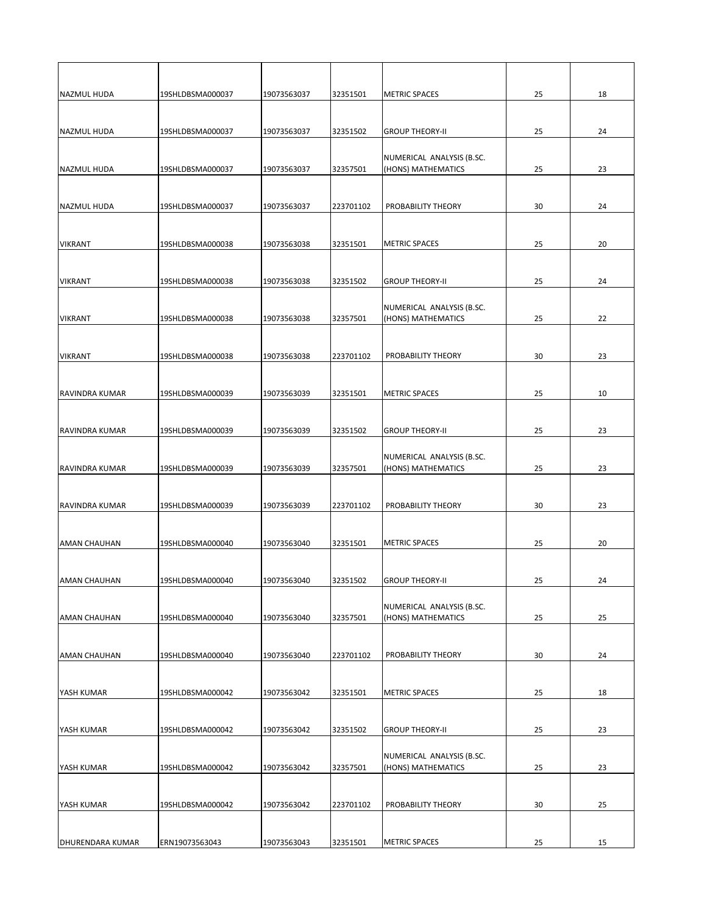| <b>NAZMUL HUDA</b>    | 19SHLDBSMA000037 | 19073563037 | 32351501  | <b>METRIC SPACES</b>                            | 25 | 18 |
|-----------------------|------------------|-------------|-----------|-------------------------------------------------|----|----|
|                       |                  |             |           |                                                 |    |    |
|                       |                  |             |           |                                                 |    |    |
| <b>NAZMUL HUDA</b>    | 19SHLDBSMA000037 | 19073563037 | 32351502  | <b>GROUP THEORY-II</b>                          | 25 | 24 |
|                       |                  |             |           | NUMERICAL ANALYSIS (B.SC.                       |    |    |
| <b>NAZMUL HUDA</b>    | 19SHLDBSMA000037 | 19073563037 | 32357501  | (HONS) MATHEMATICS                              | 25 | 23 |
|                       |                  |             |           |                                                 |    |    |
|                       |                  |             |           |                                                 |    |    |
| <b>NAZMUL HUDA</b>    | 19SHLDBSMA000037 | 19073563037 | 223701102 | PROBABILITY THEORY                              | 30 | 24 |
|                       |                  |             |           |                                                 |    |    |
| <b>VIKRANT</b>        | 19SHLDBSMA000038 | 19073563038 | 32351501  | <b>METRIC SPACES</b>                            | 25 | 20 |
|                       |                  |             |           |                                                 |    |    |
|                       |                  |             |           |                                                 |    |    |
| <b>VIKRANT</b>        | 19SHLDBSMA000038 | 19073563038 | 32351502  | <b>GROUP THEORY-II</b>                          | 25 | 24 |
|                       |                  |             |           |                                                 |    |    |
| <b>VIKRANT</b>        | 19SHLDBSMA000038 | 19073563038 | 32357501  | NUMERICAL ANALYSIS (B.SC.<br>(HONS) MATHEMATICS | 25 | 22 |
|                       |                  |             |           |                                                 |    |    |
|                       |                  |             |           |                                                 |    |    |
| <b>VIKRANT</b>        | 19SHLDBSMA000038 | 19073563038 | 223701102 | PROBABILITY THEORY                              | 30 | 23 |
|                       |                  |             |           |                                                 |    |    |
| <b>RAVINDRA KUMAR</b> | 19SHLDBSMA000039 | 19073563039 | 32351501  | <b>METRIC SPACES</b>                            | 25 | 10 |
|                       |                  |             |           |                                                 |    |    |
|                       |                  |             |           |                                                 |    |    |
| <b>RAVINDRA KUMAR</b> | 19SHLDBSMA000039 | 19073563039 | 32351502  | <b>GROUP THEORY-II</b>                          | 25 | 23 |
|                       |                  |             |           |                                                 |    |    |
|                       |                  |             |           | NUMERICAL ANALYSIS (B.SC.                       |    |    |
| <b>RAVINDRA KUMAR</b> | 19SHLDBSMA000039 | 19073563039 | 32357501  | (HONS) MATHEMATICS                              | 25 | 23 |
|                       |                  |             |           |                                                 |    |    |
| <b>RAVINDRA KUMAR</b> | 19SHLDBSMA000039 | 19073563039 | 223701102 | PROBABILITY THEORY                              | 30 | 23 |
|                       |                  |             |           |                                                 |    |    |
|                       |                  |             |           |                                                 |    |    |
| <b>AMAN CHAUHAN</b>   | 19SHLDBSMA000040 | 19073563040 | 32351501  | <b>METRIC SPACES</b>                            | 25 | 20 |
|                       |                  |             |           |                                                 |    |    |
| <b>AMAN CHAUHAN</b>   | 19SHLDBSMA000040 | 19073563040 | 32351502  | <b>GROUP THEORY-II</b>                          | 25 | 24 |
|                       |                  |             |           |                                                 |    |    |
|                       |                  |             |           | NUMERICAL ANALYSIS (B.SC.                       |    |    |
| <b>AMAN CHAUHAN</b>   | 19SHLDBSMA000040 | 19073563040 | 32357501  | (HONS) MATHEMATICS                              | 25 | 25 |
|                       |                  |             |           |                                                 |    |    |
| <b>AMAN CHAUHAN</b>   | 19SHLDBSMA000040 | 19073563040 | 223701102 | PROBABILITY THEORY                              | 30 | 24 |
|                       |                  |             |           |                                                 |    |    |
|                       |                  |             |           |                                                 |    |    |
| YASH KUMAR            | 19SHLDBSMA000042 | 19073563042 | 32351501  | <b>METRIC SPACES</b>                            | 25 | 18 |
|                       |                  |             |           |                                                 |    |    |

| IYASH KUMAR             | 19SHLDBSMA000042 | 19073563042 | 32351502  | <b>GROUP THEORY-II</b>                          | 25 | 23 |
|-------------------------|------------------|-------------|-----------|-------------------------------------------------|----|----|
| IYASH KUMAR             | 19SHLDBSMA000042 | 19073563042 | 32357501  | NUMERICAL ANALYSIS (B.SC.<br>(HONS) MATHEMATICS | 25 | 23 |
| IYASH KUMAR             | 19SHLDBSMA000042 | 19073563042 | 223701102 | <b>PROBABILITY THEORY</b>                       | 30 | 25 |
| <b>DHURENDARA KUMAR</b> | ERN19073563043   | 19073563043 | 32351501  | <b>METRIC SPACES</b>                            | 25 | 15 |